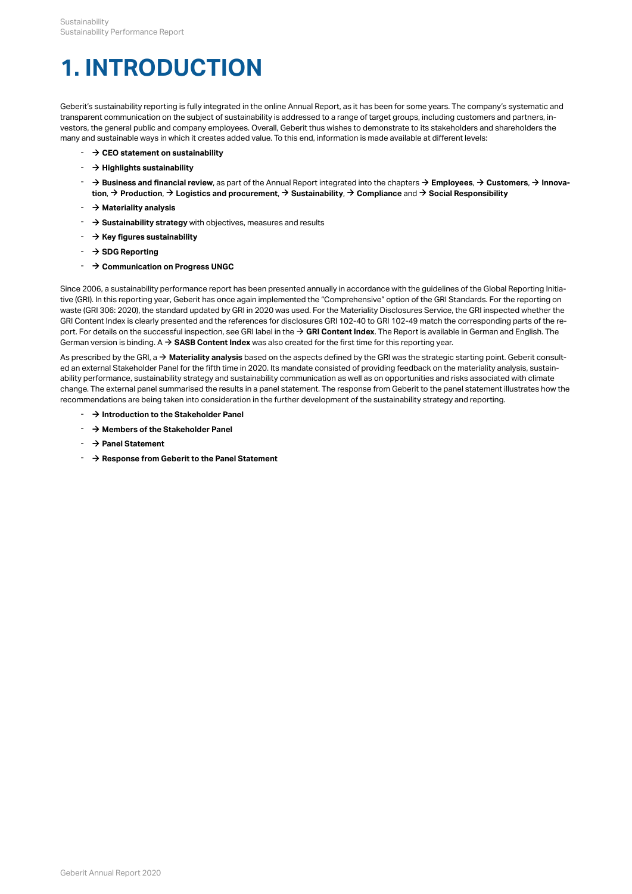# <span id="page-0-0"></span>**1. INTRODUCTION**

Geberit's sustainability reporting is fully integrated in the online Annual Report, as it has been for some years. The company's systematic and transparent communication on the subject of sustainability is addressed to a range of target groups, including customers and partners, investors, the general public and company employees. Overall, Geberit thus wishes to demonstrate to its stakeholders and shareholders the many and sustainable ways in which it creates added value. To this end, information is made available at different levels:

- $\rightarrow$  **[CEO statement on sustainability](http://annualreport.geberit.com/reports/geberit/annual/2020/gb/English/3020/ceo-statement-on-sustainability.html)**
- [\\$](http://annualreport.geberit.com/reports/geberit/annual/2020/gb/English/3010/highlights-sustainability.html) **[Highlights sustainability](http://annualreport.geberit.com/reports/geberit/annual/2020/gb/English/3010/highlights-sustainability.html)**
- $\rightarrow$  [Business and financial review](http://annualreport.geberit.com/reports/geberit/annual/2020/gb/English/10501010/strategy.html), as part of the Annual Report integrated into the chapters → [Employees](http://annualreport.geberit.com/reports/geberit/annual/2020/gb/English/10502040/employees.html), → [Customers](http://annualreport.geberit.com/reports/geberit/annual/2020/gb/English/10502045/customers.html), → [Innova](http://annualreport.geberit.com/reports/geberit/annual/2020/gb/English/10502050/innovation.html)**[tion](http://annualreport.geberit.com/reports/geberit/annual/2020/gb/English/10502050/innovation.html), → Business and financial review**, as part of the Annual Report integrated into the chapters → **Employees, → Custo**<br>tion, → [Production](http://annualreport.geberit.com/reports/geberit/annual/2020/gb/English/10502055/production.html), → [Logistics and procurement](http://annualreport.geberit.com/reports/geberit/annual/2020/gb/English/10502060/logistics-and-procurement.html), → [Sustainability](http://annualreport.geberit.com/reports/geberit/annual/2020/gb/English/10502065/sustainability.html), → [Compliance](http://annualreport.geberit.com/reports/geberit/annual/2020/gb/English/10502070/compliance.html) and → Social Respon
- $\rightarrow$  **[Materiality analysis](http://annualreport.geberit.com/reports/geberit/annual/2020/gb/English/3030/materiality-analysis.html)**
- **→ [Sustainability strategy](http://annualreport.geberit.com/reports/geberit/annual/2020/gb/English/3040/sustainability-strategy-2021-2023.html)** with objectives, measures and results
- $\rightarrow$  [Key figures sustainability](http://annualreport.geberit.com/reports/geberit/annual/2020/gb/English/3070/key-figures-sustainability.html)
- [\\$](http://annualreport.geberit.com/geberit/annual/2020/gb/layout/../English/pdf/SDG_Reporting_2020_en.pdf) **[SDG Reporting](http://annualreport.geberit.com/geberit/annual/2020/gb/layout/../English/pdf/SDG_Reporting_2020_en.pdf)**
- $\rightarrow$  **[Communication on Progress UNGC](http://annualreport.geberit.com/geberit/annual/2020/gb/layout/../English/pdf/cop_ungc_2020_en.pdf)**

Since 2006, a sustainability performance report has been presented annually in accordance with the guidelines of the Global Reporting Initiative (GRI). In this reporting year, Geberit has once again implemented the "Comprehensive" option of the GRI Standards. For the reporting on waste (GRI 306: 2020), the standard updated by GRI in 2020 was used. For the Materiality Disclosures Service, the GRI inspected whether the GRI Content Index is clearly presented and the references for disclosures GRI 102-40 to GRI 102-49 match the corresponding parts of the report. For details on the successful inspection, see GRI label in the [\\$](http://annualreport.geberit.com/geberit/annual/2020/gb/layout/../English/pdf/gri_content_index_2020.pdf) **[GRI Content Index](http://annualreport.geberit.com/geberit/annual/2020/gb/layout/../English/pdf/gri_content_index_2020.pdf)**. The Report is available in German and English. The German version is binding. A  $\rightarrow$  [SASB Content Index](http://annualreport.geberit.com/geberit/annual/2020/gb/layout/../English/pdf/sasb_index_2020.pdf) was also created for the first time for this reporting year.

As prescribed by the GRI, a  $\rightarrow$  [Materiality analysis](http://annualreport.geberit.com/reports/geberit/annual/2020/gb/English/3030/materiality-analysis.html) based on the aspects defined by the GRI was the strategic starting point. Geberit consulted an external Stakeholder Panel for the fifth time in 2020. Its mandate consisted of providing feedback on the materiality analysis, sustainability performance, sustainability strategy and sustainability communication as well as on opportunities and risks associated with climate change. The external panel summarised the results in a panel statement. The response from Geberit to the panel statement illustrates how the recommendations are being taken into consideration in the further development of the sustainability strategy and reporting.

- $\rightarrow$  **[Introduction to the Stakeholder Panel](http://annualreport.geberit.com/geberit/annual/2020/gb/layout/../English/pdf/introduction_stakeholderpanel_2020.pdf)**
- $\rightarrow$  [Members of the Stakeholder Panel](http://annualreport.geberit.com/geberit/annual/2020/gb/layout/../English/pdf/panel_members_2020.pdf)
- $\rightarrow$  **[Panel Statement](http://annualreport.geberit.com/geberit/annual/2020/gb/layout/../English/pdf/panel_statement_2020_en.pdf)**
- $\rightarrow$  [Response from Geberit to the Panel Statement](http://annualreport.geberit.com/geberit/annual/2020/gb/layout/../English/pdf/response_geberit_panel_statement_2020.pdf)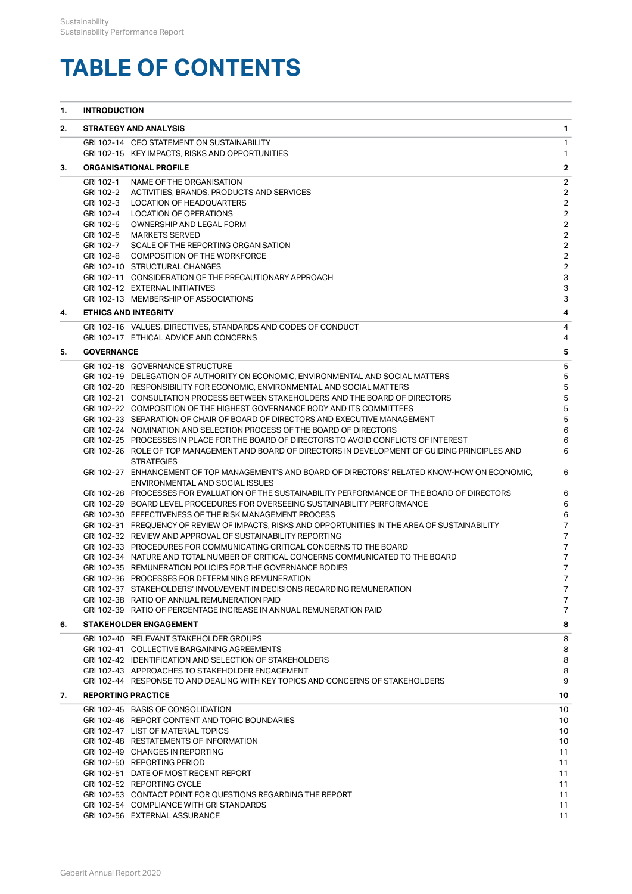# **TABLE OF CONTENTS**

| 1. | <b>INTRODUCTION</b>       |                                                                                                                                                             |                                  |  |
|----|---------------------------|-------------------------------------------------------------------------------------------------------------------------------------------------------------|----------------------------------|--|
| 2. |                           | <b>STRATEGY AND ANALYSIS</b>                                                                                                                                | $\mathbf{1}$                     |  |
|    |                           | GRI 102-14 CEO STATEMENT ON SUSTAINABILITY                                                                                                                  | $\mathbf{1}$                     |  |
|    |                           | GRI 102-15 KEY IMPACTS, RISKS AND OPPORTUNITIES                                                                                                             | $\mathbf{1}$                     |  |
| З. |                           | <b>ORGANISATIONAL PROFILE</b>                                                                                                                               | $\overline{\mathbf{2}}$          |  |
|    | GRI 102-1                 | NAME OF THE ORGANISATION                                                                                                                                    | $\overline{2}$                   |  |
|    |                           | GRI 102-2 ACTIVITIES, BRANDS, PRODUCTS AND SERVICES                                                                                                         | $\overline{2}$                   |  |
|    | GRI 102-3                 | LOCATION OF HEADQUARTERS                                                                                                                                    | $\overline{2}$                   |  |
|    | GRI 102-4                 | LOCATION OF OPERATIONS<br>GRI 102-5 OWNERSHIP AND LEGAL FORM                                                                                                | $\overline{2}$<br>$\overline{2}$ |  |
|    |                           | GRI 102-6 MARKETS SERVED                                                                                                                                    | $\overline{2}$                   |  |
|    |                           | GRI 102-7 SCALE OF THE REPORTING ORGANISATION                                                                                                               | $\overline{2}$                   |  |
|    |                           | GRI 102-8 COMPOSITION OF THE WORKFORCE                                                                                                                      | $\overline{2}$                   |  |
|    |                           | GRI 102-10 STRUCTURAL CHANGES                                                                                                                               | $\overline{2}$                   |  |
|    |                           | GRI 102-11 CONSIDERATION OF THE PRECAUTIONARY APPROACH                                                                                                      | 3                                |  |
|    |                           | GRI 102-12 EXTERNAL INITIATIVES                                                                                                                             | $\ensuremath{\mathsf{3}}$        |  |
|    |                           | GRI 102-13 MEMBERSHIP OF ASSOCIATIONS                                                                                                                       | 3                                |  |
| 4. |                           | <b>ETHICS AND INTEGRITY</b>                                                                                                                                 | 4                                |  |
|    |                           | GRI 102-16 VALUES, DIRECTIVES, STANDARDS AND CODES OF CONDUCT                                                                                               | 4                                |  |
|    |                           | GRI 102-17 ETHICAL ADVICE AND CONCERNS                                                                                                                      | 4                                |  |
| 5. | <b>GOVERNANCE</b>         |                                                                                                                                                             | 5                                |  |
|    |                           | GRI 102-18 GOVERNANCE STRUCTURE                                                                                                                             | $\overline{5}$                   |  |
|    |                           | GRI 102-19 DELEGATION OF AUTHORITY ON ECONOMIC, ENVIRONMENTAL AND SOCIAL MATTERS                                                                            | 5                                |  |
|    |                           | GRI 102-20 RESPONSIBILITY FOR ECONOMIC, ENVIRONMENTAL AND SOCIAL MATTERS                                                                                    | 5                                |  |
|    |                           | GRI 102-21 CONSULTATION PROCESS BETWEEN STAKEHOLDERS AND THE BOARD OF DIRECTORS                                                                             | 5                                |  |
|    |                           | GRI 102-22 COMPOSITION OF THE HIGHEST GOVERNANCE BODY AND ITS COMMITTEES<br>GRI 102-23 SEPARATION OF CHAIR OF BOARD OF DIRECTORS AND EXECUTIVE MANAGEMENT   | $\mathbf 5$<br>5                 |  |
|    |                           | GRI 102-24 NOMINATION AND SELECTION PROCESS OF THE BOARD OF DIRECTORS                                                                                       | 6                                |  |
|    |                           | GRI 102-25 PROCESSES IN PLACE FOR THE BOARD OF DIRECTORS TO AVOID CONFLICTS OF INTEREST                                                                     | 6                                |  |
|    |                           | GRI 102-26 ROLE OF TOP MANAGEMENT AND BOARD OF DIRECTORS IN DEVELOPMENT OF GUIDING PRINCIPLES AND<br><b>STRATEGIES</b>                                      | 6                                |  |
|    |                           | GRI 102-27 ENHANCEMENT OF TOP MANAGEMENT'S AND BOARD OF DIRECTORS' RELATED KNOW-HOW ON ECONOMIC,<br>ENVIRONMENTAL AND SOCIAL ISSUES                         | 6                                |  |
|    |                           | GRI 102-28 PROCESSES FOR EVALUATION OF THE SUSTAINABILITY PERFORMANCE OF THE BOARD OF DIRECTORS                                                             | 6                                |  |
|    |                           | GRI 102-29 BOARD LEVEL PROCEDURES FOR OVERSEEING SUSTAINABILITY PERFORMANCE                                                                                 | 6                                |  |
|    |                           | GRI 102-30 EFFECTIVENESS OF THE RISK MANAGEMENT PROCESS<br>GRI 102-31 FREQUENCY OF REVIEW OF IMPACTS, RISKS AND OPPORTUNITIES IN THE AREA OF SUSTAINABILITY | 6<br>$\overline{7}$              |  |
|    |                           | GRI 102-32 REVIEW AND APPROVAL OF SUSTAINABILITY REPORTING                                                                                                  | $\overline{7}$                   |  |
|    |                           | GRI 102-33 PROCEDURES FOR COMMUNICATING CRITICAL CONCERNS TO THE BOARD                                                                                      | $\overline{7}$                   |  |
|    |                           | GRI 102-34 NATURE AND TOTAL NUMBER OF CRITICAL CONCERNS COMMUNICATED TO THE BOARD                                                                           | $\overline{7}$                   |  |
|    |                           | GRI 102-35 REMUNERATION POLICIES FOR THE GOVERNANCE BODIES                                                                                                  | $\overline{7}$                   |  |
|    |                           | GRI 102-36 PROCESSES FOR DETERMINING REMUNERATION                                                                                                           | $7^{\circ}$                      |  |
|    |                           | GRI 102-37 STAKEHOLDERS' INVOLVEMENT IN DECISIONS REGARDING REMUNERATION                                                                                    | $\overline{7}$                   |  |
|    |                           | GRI 102-38 RATIO OF ANNUAL REMUNERATION PAID                                                                                                                | $\overline{7}$                   |  |
|    |                           | GRI 102-39 RATIO OF PERCENTAGE INCREASE IN ANNUAL REMUNERATION PAID                                                                                         | $\overline{7}$                   |  |
| 6. |                           | <b>STAKEHOLDER ENGAGEMENT</b>                                                                                                                               | 8                                |  |
|    |                           | GRI 102-40 RELEVANT STAKEHOLDER GROUPS<br>GRI 102-41 COLLECTIVE BARGAINING AGREEMENTS                                                                       | 8<br>8                           |  |
|    |                           | GRI 102-42 IDENTIFICATION AND SELECTION OF STAKEHOLDERS                                                                                                     | 8                                |  |
|    |                           | GRI 102-43 APPROACHES TO STAKEHOLDER ENGAGEMENT                                                                                                             | 8                                |  |
|    |                           | GRI 102-44 RESPONSE TO AND DEALING WITH KEY TOPICS AND CONCERNS OF STAKEHOLDERS                                                                             | 9                                |  |
| 7. | <b>REPORTING PRACTICE</b> |                                                                                                                                                             | 10                               |  |
|    |                           | GRI 102-45 BASIS OF CONSOLIDATION                                                                                                                           | 10                               |  |
|    |                           | GRI 102-46 REPORT CONTENT AND TOPIC BOUNDARIES                                                                                                              | 10                               |  |
|    |                           | GRI 102-47 LIST OF MATERIAL TOPICS                                                                                                                          | 10                               |  |
|    |                           | GRI 102-48 RESTATEMENTS OF INFORMATION                                                                                                                      | 10                               |  |
|    |                           | GRI 102-49 CHANGES IN REPORTING                                                                                                                             | 11                               |  |
|    |                           | GRI 102-50 REPORTING PERIOD                                                                                                                                 | 11                               |  |
|    |                           | GRI 102-51 DATE OF MOST RECENT REPORT<br>GRI 102-52 REPORTING CYCLE                                                                                         | 11<br>11                         |  |
|    |                           | GRI 102-53 CONTACT POINT FOR QUESTIONS REGARDING THE REPORT                                                                                                 | 11                               |  |
|    |                           | GRI 102-54 COMPLIANCE WITH GRI STANDARDS                                                                                                                    | 11                               |  |
|    |                           | GRI 102-56 EXTERNAL ASSURANCE                                                                                                                               | 11                               |  |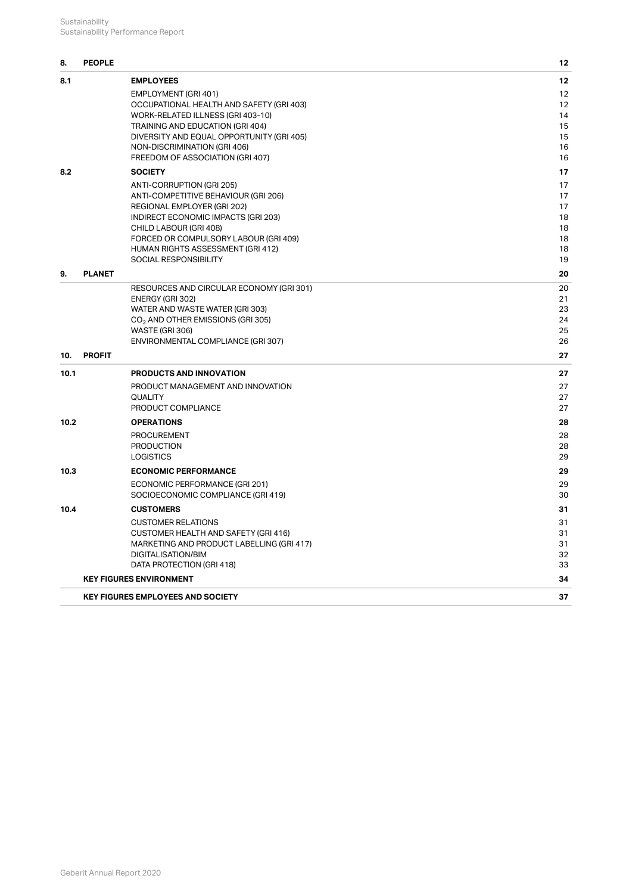#### **[8.](#page-14-0) [PEOPLE](#page-14-0) [12](#page-14-0)**

| 8.1  | <b>EMPLOYEES</b>                                                           | 12       |
|------|----------------------------------------------------------------------------|----------|
|      | EMPLOYMENT (GRI 401)                                                       | 12       |
|      | OCCUPATIONAL HEALTH AND SAFETY (GRI 403)                                   | 12       |
|      | WORK-RELATED ILLNESS (GRI 403-10)                                          | 14       |
|      | TRAINING AND EDUCATION (GRI 404)                                           | 15       |
|      | DIVERSITY AND EQUAL OPPORTUNITY (GRI 405)<br>NON-DISCRIMINATION (GRI 406)  | 15<br>16 |
|      | FREEDOM OF ASSOCIATION (GRI 407)                                           | 16       |
| 8.2  | <b>SOCIETY</b>                                                             | 17       |
|      | ANTI-CORRUPTION (GRI 205)                                                  | 17       |
|      | ANTI-COMPETITIVE BEHAVIOUR (GRI 206)                                       | 17       |
|      | REGIONAL EMPLOYER (GRI 202)                                                | 17       |
|      | INDIRECT ECONOMIC IMPACTS (GRI 203)                                        | 18       |
|      | CHILD LABOUR (GRI 408)                                                     | 18       |
|      | FORCED OR COMPULSORY LABOUR (GRI 409)<br>HUMAN RIGHTS ASSESSMENT (GRI 412) | 18<br>18 |
|      | <b>SOCIAL RESPONSIBILITY</b>                                               | 19       |
| 9.   | <b>PLANET</b>                                                              | 20       |
|      | RESOURCES AND CIRCULAR ECONOMY (GRI 301)                                   | 20       |
|      | ENERGY (GRI 302)                                                           | 21       |
|      | WATER AND WASTE WATER (GRI 303)                                            | 23       |
|      | CO <sub>2</sub> AND OTHER EMISSIONS (GRI 305)<br>WASTE (GRI 306)           | 24<br>25 |
|      | ENVIRONMENTAL COMPLIANCE (GRI 307)                                         | 26       |
| 10.  | <b>PROFIT</b>                                                              | 27       |
| 10.1 | <b>PRODUCTS AND INNOVATION</b>                                             | 27       |
|      | PRODUCT MANAGEMENT AND INNOVATION                                          | 27       |
|      | <b>QUALITY</b>                                                             | 27       |
|      | PRODUCT COMPLIANCE                                                         | 27       |
| 10.2 | <b>OPERATIONS</b>                                                          | 28       |
|      | PROCUREMENT                                                                | 28       |
|      | <b>PRODUCTION</b>                                                          | 28       |
| 10.3 | <b>LOGISTICS</b><br><b>ECONOMIC PERFORMANCE</b>                            | 29<br>29 |
|      |                                                                            |          |
|      | ECONOMIC PERFORMANCE (GRI 201)<br>SOCIOECONOMIC COMPLIANCE (GRI 419)       | 29<br>30 |
| 10.4 | <b>CUSTOMERS</b>                                                           | 31       |
|      | <b>CUSTOMER RELATIONS</b>                                                  | 31       |
|      | <b>CUSTOMER HEALTH AND SAFETY (GRI 416)</b>                                | 31       |
|      | MARKETING AND PRODUCT LABELLING (GRI 417)                                  | 31       |
|      | DIGITALISATION/BIM                                                         | 32       |
|      | DATA PROTECTION (GRI 418)<br><b>KEY FIGURES ENVIRONMENT</b>                | 33<br>34 |
|      |                                                                            |          |
|      | <b>KEY FIGURES EMPLOYEES AND SOCIETY</b>                                   | 37       |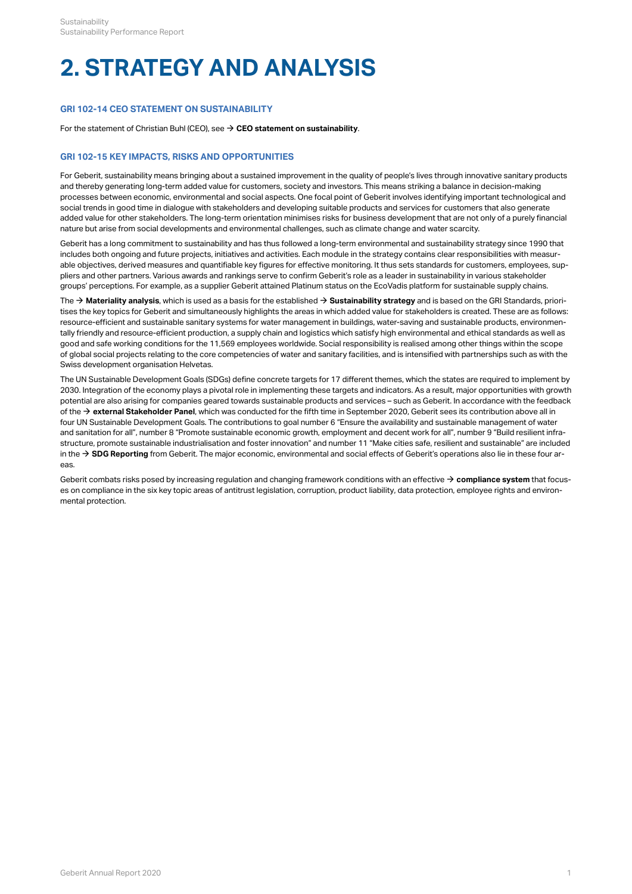# <span id="page-3-0"></span>**2. STRATEGY AND ANALYSIS**

# <span id="page-3-1"></span>**GRI 102-14 CEO STATEMENT ON SUSTAINABILITY**

For the statement of Christian Buhl (CEO), see  $\rightarrow$  [CEO statement on sustainability](http://annualreport.geberit.com/reports/geberit/annual/2020/gb/English/3020/ceo-statement-on-sustainability.html).

## <span id="page-3-2"></span>**GRI 102-15 KEY IMPACTS, RISKS AND OPPORTUNITIES**

For Geberit, sustainability means bringing about a sustained improvement in the quality of people's lives through innovative sanitary products and thereby generating long-term added value for customers, society and investors. This means striking a balance in decision-making processes between economic, environmental and social aspects. One focal point of Geberit involves identifying important technological and social trends in good time in dialogue with stakeholders and developing suitable products and services for customers that also generate added value for other stakeholders. The long-term orientation minimises risks for business development that are not only of a purely financial nature but arise from social developments and environmental challenges, such as climate change and water scarcity.

Geberit has a long commitment to sustainability and has thus followed a long-term environmental and sustainability strategy since 1990 that includes both ongoing and future projects, initiatives and activities. Each module in the strategy contains clear responsibilities with measurable objectives, derived measures and quantifiable key figures for effective monitoring. It thus sets standards for customers, employees, suppliers and other partners. Various awards and rankings serve to confirm Geberit's role as a leader in sustainability in various stakeholder groups' perceptions. For example, as a supplier Geberit attained Platinum status on the EcoVadis platform for sustainable supply chains.

The  $\rightarrow$  [Materiality analysis](http://annualreport.geberit.com/reports/geberit/annual/2020/gb/English/3030/materiality-analysis.html), which is used as a basis for the established  $\rightarrow$  [Sustainability strategy](http://annualreport.geberit.com/reports/geberit/annual/2020/gb/English/3040/sustainability-strategy-2021-2023.html) and is based on the GRI Standards, prioritises the key topics for Geberit and simultaneously highlights the areas in which added value for stakeholders is created. These are as follows: resource-efficient and sustainable sanitary systems for water management in buildings, water-saving and sustainable products, environmentally friendly and resource-efficient production, a supply chain and logistics which satisfy high environmental and ethical standards as well as good and safe working conditions for the 11,569 employees worldwide. Social responsibility is realised among other things within the scope of global social projects relating to the core competencies of water and sanitary facilities, and is intensified with partnerships such as with the Swiss development organisation Helvetas.

The UN Sustainable Development Goals (SDGs) define concrete targets for 17 different themes, which the states are required to implement by 2030. Integration of the economy plays a pivotal role in implementing these targets and indicators. As a result, major opportunities with growth potential are also arising for companies geared towards sustainable products and services – such as Geberit. In accordance with the feedback of the  $\rightarrow$  [external Stakeholder Panel](http://annualreport.geberit.com/geberit/annual/2020/gb/layout/../English/pdf/stakeholder_panel_2020.pdf), which was conducted for the fifth time in September 2020, Geberit sees its contribution above all in four UN Sustainable Development Goals. The contributions to goal number 6 "Ensure the availability and sustainable management of water and sanitation for all", number 8 "Promote sustainable economic growth, employment and decent work for all", number 9 "Build resilient infrastructure, promote sustainable industrialisation and foster innovation" and number 11 "Make cities safe, resilient and sustainable" are included in the  $\rightarrow$  [SDG Reporting](http://annualreport.geberit.com/geberit/annual/2020/gb/layout/../English/pdf/SDG_Reporting_2020_en.pdf) from Geberit. The major economic, environmental and social effects of Geberit's operations also lie in these four areas.

Geberit combats risks posed by increasing regulation and changing framework conditions with an effective  $\rightarrow$  [compliance system](http://annualreport.geberit.com/reports/geberit/annual/2020/gb/English/10502070/compliance.html) that focuses on compliance in the six key topic areas of antitrust legislation, corruption, product liability, data protection, employee rights and environmental protection.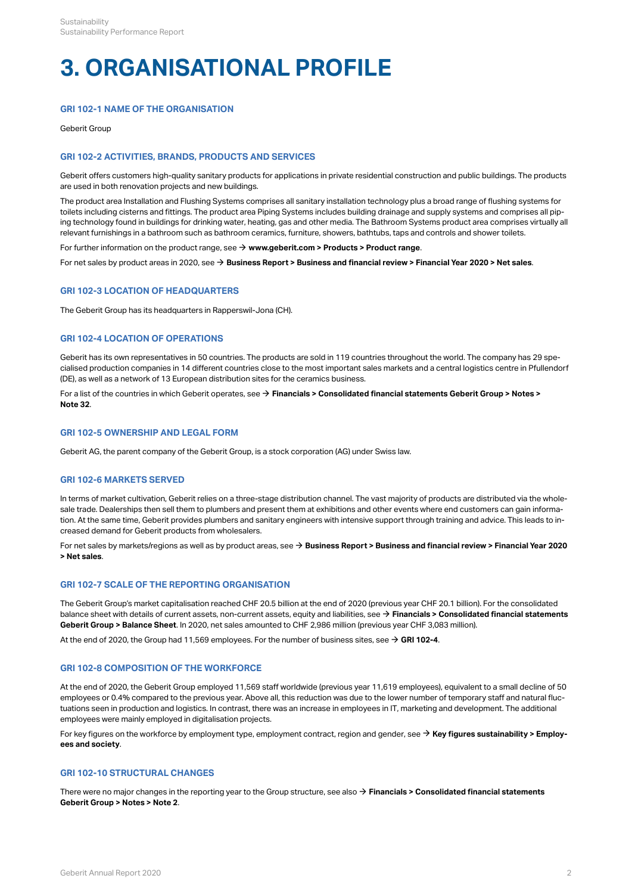# <span id="page-4-0"></span>**3. ORGANISATIONAL PROFILE**

# <span id="page-4-1"></span>**GRI 102-1 NAME OF THE ORGANISATION**

Geberit Group

# <span id="page-4-2"></span>**GRI 102-2 ACTIVITIES, BRANDS, PRODUCTS AND SERVICES**

Geberit offers customers high-quality sanitary products for applications in private residential construction and public buildings. The products are used in both renovation projects and new buildings.

The product area Installation and Flushing Systems comprises all sanitary installation technology plus a broad range of flushing systems for toilets including cisterns and fittings. The product area Piping Systems includes building drainage and supply systems and comprises all piping technology found in buildings for drinking water, heating, gas and other media. The Bathroom Systems product area comprises virtually all relevant furnishings in a bathroom such as bathroom ceramics, furniture, showers, bathtubs, taps and controls and shower toilets.

For further information on the product range, see  $\rightarrow$  [www.geberit.com > Products > Product range](https://www.geberit.com/products/product-range/).

For net sales by product areas in 2020, see  $\rightarrow$  [Business Report > Business and financial review > Financial Year 2020 > Net sales](http://annualreport.geberit.com/reports/geberit/annual/2020/gb/English/10502020/net-sales.html).

#### <span id="page-4-3"></span>**GRI 102-3 LOCATION OF HEADQUARTERS**

The Geberit Group has its headquarters in Rapperswil-Jona (CH).

#### <span id="page-4-4"></span>**GRI 102-4 LOCATION OF OPERATIONS**

Geberit has its own representatives in 50 countries. The products are sold in 119 countries throughout the world. The company has 29 specialised production companies in 14 different countries close to the most important sales markets and a central logistics centre in Pfullendorf (DE), as well as a network of 13 European distribution sites for the ceramics business.

For a list of the countries in which Geberit operates, see → [Financials > Consolidated financial statements Geberit Group > Notes >](http://annualreport.geberit.com/reports/geberit/annual/2020/gb/English/20405032/32_-group-companies-as-of-31-december-2020.html) **[Note 32](http://annualreport.geberit.com/reports/geberit/annual/2020/gb/English/20405032/32_-group-companies-as-of-31-december-2020.html)** .

#### <span id="page-4-5"></span>**GRI 102-5 OWNERSHIP AND LEGAL FORM**

Geberit AG, the parent company of the Geberit Group, is a stock corporation (AG) under Swiss law.

#### <span id="page-4-6"></span>**GRI 102-6 MARKETS SERVED**

In terms of market cultivation, Geberit relies on a three-stage distribution channel. The vast majority of products are distributed via the wholesale trade. Dealerships then sell them to plumbers and present them at exhibitions and other events where end customers can gain information. At the same time, Geberit provides plumbers and sanitary engineers with intensive support through training and advice. This leads to increased demand for Geberit products from wholesalers.

For net sales by markets/regions as well as by product areas, see **[Business Report > Business and financial review > Financial Year 2020](http://annualreport.geberit.com/reports/geberit/annual/2020/gb/English/10502020/net-sales.html)**  [\\$](http://annualreport.geberit.com/reports/geberit/annual/2020/gb/English/10502020/net-sales.html) **[> Net sales](http://annualreport.geberit.com/reports/geberit/annual/2020/gb/English/10502020/net-sales.html)** .

#### <span id="page-4-7"></span>**GRI 102-7 SCALE OF THE REPORTING ORGANISATION**

The Geberit Group's market capitalisation reached CHF 20.5 billion at the end of 2020 (previous year CHF 20.1 billion). For the consolidated balance sheet with details of current assets, non-current assets, equity and liabilities, see  $\rightarrow$  **[Financials > Consolidated financial statements](http://annualreport.geberit.com/reports/geberit/annual/2020/gb/English/204010/consolidated-balance-sheets.html) [Geberit Group > Balance Sheet](http://annualreport.geberit.com/reports/geberit/annual/2020/gb/English/204010/consolidated-balance-sheets.html)** . In 2020, net sales amounted to CHF 2,986 million (previous year CHF 3,083 million).

At the end of 2020, the Group had 11,569 employees. For the number of business sites, see  $\rightarrow$  [GRI 102-4](#page-4-4).

#### <span id="page-4-8"></span>**GRI 102-8 COMPOSITION OF THE WORKFORCE**

At the end of 2020, the Geberit Group employed 11,569 staff worldwide (previous year 11,619 employees), equivalent to a small decline of 50 employees or 0.4% compared to the previous year. Above all, this reduction was due to the lower number of temporary staff and natural fluctuations seen in production and logistics. In contrast, there was an increase in employees in IT, marketing and development. The additional employees were mainly employed in digitalisation projects.

For key figures on the workforce by employment type, employment contract, region and gender, see → **[Key figures sustainability > Employ](#page-39-1)[ees and society](#page-39-1)** .

# <span id="page-4-9"></span>**GRI 102-10 STRUCTURAL CHANGES**

There were no major changes in the reporting year to the Group structure, see also  $\to$  **[Financials > Consolidated financial statements](http://annualreport.geberit.com/reports/geberit/annual/2020/gb/English/20405002/2_-changes-in-group-structure.html) [Geberit Group > Notes > Note 2](http://annualreport.geberit.com/reports/geberit/annual/2020/gb/English/20405002/2_-changes-in-group-structure.html)** .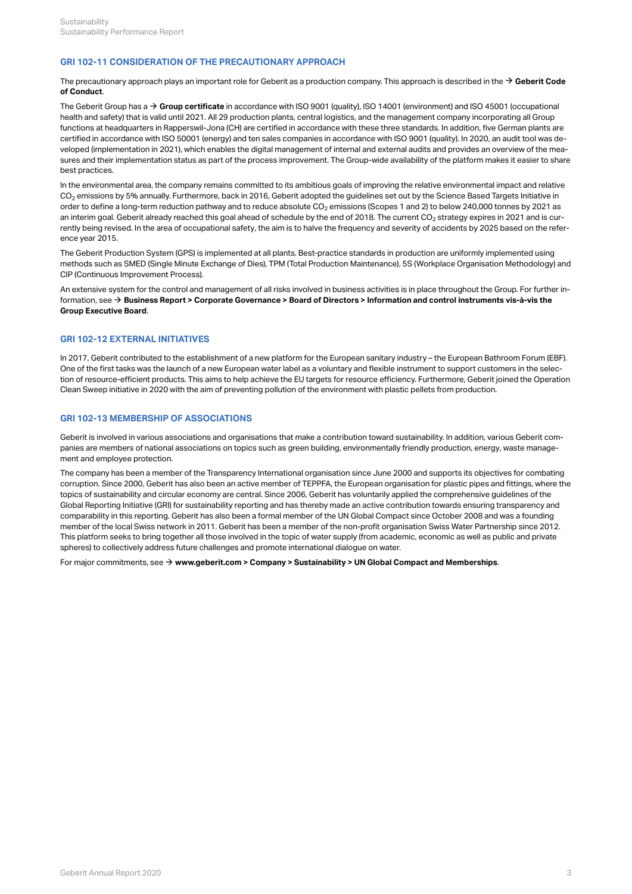### <span id="page-5-0"></span>**GRI 102-11 CONSIDERATION OF THE PRECAUTIONARY APPROACH**

The precautionary approach plays an important role for Geberit as a production company. This approach is described in the  $\to$  [Geberit Code](http://annualreport.geberit.com/geberit/annual/2020/gb/layout/../English/pdf/geberit_code_of_conduct_en.pdf) **[of Conduct](http://annualreport.geberit.com/geberit/annual/2020/gb/layout/../English/pdf/geberit_code_of_conduct_en.pdf)** .

The Geberit Group has a → [Group certificate](https://www.geberit.com/files/diverses/iso-certificate-9001-and-14001-en.pdf) in accordance with ISO 9001 (quality), ISO 14001 (environment) and ISO 45001 (occupational health and safety) that is valid until 2021. All 29 production plants, central logistics, and the management company incorporating all Group functions at headquarters in Rapperswil-Jona (CH) are certified in accordance with these three standards. In addition, five German plants are certified in accordance with ISO 50001 (energy) and ten sales companies in accordance with ISO 9001 (quality). In 2020, an audit tool was developed (implementation in 2021), which enables the digital management of internal and external audits and provides an overview of the measures and their implementation status as part of the process improvement. The Group-wide availability of the platform makes it easier to share best practices.

In the environmental area, the company remains committed to its ambitious goals of improving the relative environmental impact and relative CO $_2$  emissions by 5% annually. Furthermore, back in 2016, Geberit adopted the guidelines set out by the Science Based Targets Initiative in  $\,$ order to define a long-term reduction pathway and to reduce absolute CO $_2$  emissions (Scopes 1 and 2) to below 240,000 tonnes by 2021 as an interim goal. Geberit already reached this goal ahead of schedule by the end of 2018. The current CO $_2$  strategy expires in 2021 and is currently being revised. In the area of occupational safety, the aim is to halve the frequency and severity of accidents by 2025 based on the reference year 2015.

The Geberit Production System (GPS) is implemented at all plants. Best-practice standards in production are uniformly implemented using methods such as SMED (Single Minute Exchange of Dies), TPM (Total Production Maintenance), 5S (Workplace Organisation Methodology) and CIP (Continuous Improvement Process).

An extensive system for the control and management of all risks involved in business activities is in place throughout the Group. For further information, see **[Business Report > Corporate Governance > Board of Directors > Information and control instruments vis-à-vis the](http://annualreport.geberit.com/reports/geberit/annual/2020/gb/English/106030/3_-board-of-directors.html?anchor=106030_Control-struments#106030_Control-struments)**  [\\$](http://annualreport.geberit.com/reports/geberit/annual/2020/gb/English/106030/3_-board-of-directors.html?anchor=106030_Control-struments#106030_Control-struments) **[Group Executive Board](http://annualreport.geberit.com/reports/geberit/annual/2020/gb/English/106030/3_-board-of-directors.html?anchor=106030_Control-struments#106030_Control-struments)** .

#### <span id="page-5-1"></span>**GRI 102-12 EXTERNAL INITIATIVES**

In 2017, Geberit contributed to the establishment of a new platform for the European sanitary industry – the European Bathroom Forum (EBF). One of the first tasks was the launch of a new European water label as a voluntary and flexible instrument to support customers in the selection of resource-efficient products. This aims to help achieve the EU targets for resource efficiency. Furthermore, Geberit joined the Operation Clean Sweep initiative in 2020 with the aim of preventing pollution of the environment with plastic pellets from production.

#### <span id="page-5-2"></span>**GRI 102-13 MEMBERSHIP OF ASSOCIATIONS**

Geberit is involved in various associations and organisations that make a contribution toward sustainability. In addition, various Geberit companies are members of national associations on topics such as green building, environmentally friendly production, energy, waste management and employee protection.

The company has been a member of the Transparency International organisation since June 2000 and supports its objectives for combating corruption. Since 2000, Geberit has also been an active member of TEPPFA, the European organisation for plastic pipes and fittings, where the topics of sustainability and circular economy are central. Since 2006, Geberit has voluntarily applied the comprehensive guidelines of the Global Reporting Initiative (GRI) for sustainability reporting and has thereby made an active contribution towards ensuring transparency and comparability in this reporting. Geberit has also been a formal member of the UN Global Compact since October 2008 and was a founding member of the local Swiss network in 2011. Geberit has been a member of the non-profit organisation Swiss Water Partnership since 2012. This platform seeks to bring together all those involved in the topic of water supply (from academic, economic as well as public and private spheres) to collectively address future challenges and promote international dialogue on water.

For major commitments, see  $\rightarrow$  [www.geberit.com > Company > Sustainability > UN Global Compact and Memberships](https://www.geberit.com/company/sustainability/un-global-compact-and-memberships.html).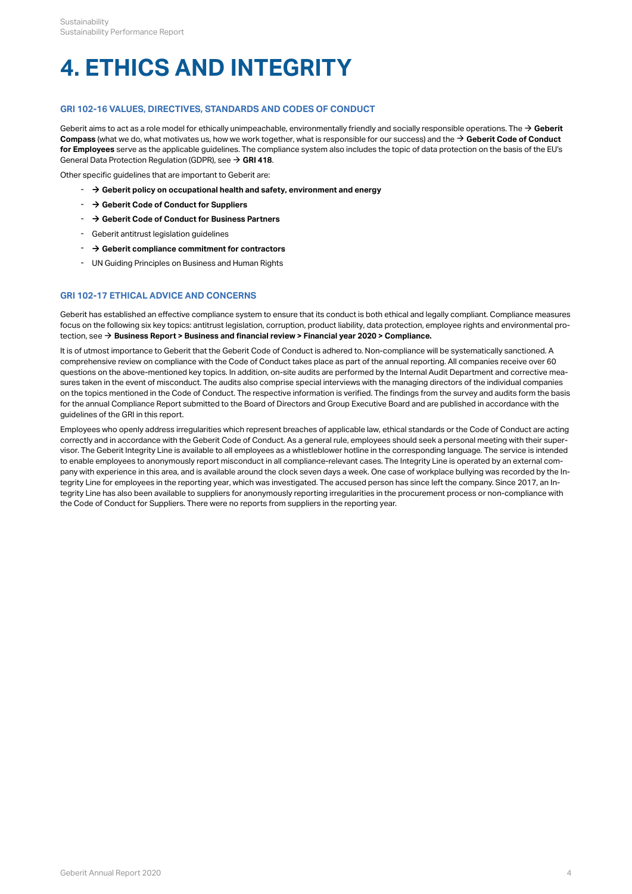# <span id="page-6-0"></span>**4. ETHICS AND INTEGRITY**

# <span id="page-6-1"></span>**GRI 102-16 VALUES, DIRECTIVES, STANDARDS AND CODES OF CONDUCT**

[Geberit](http://annualreport.geberit.com/geberit/annual/2020/gb/layout/../English/pdf/geberit_compass.pdf) aims to act as a role model for ethically unimpeachable, environmentally friendly and socially responsible operations. The → Geberit [Compass](http://annualreport.geberit.com/geberit/annual/2020/gb/layout/../English/pdf/geberit_compass.pdf) (what we do, what motivates us, how we work together, what is responsible for our success) and the → Geberit Code of Conduct **[for Employees](http://annualreport.geberit.com/geberit/annual/2020/gb/layout/../English/pdf/geberit_code_of_conduct_en.pdf)** serve as the applicable guidelines. The compliance system also includes the topic of data protection on the basis of the EU's General Data Protection Regulation (GDPR), see → [GRI 418](#page-35-0).

Other specific guidelines that are important to Geberit are:

- <sup>-</sup> → [Geberit policy on occupational health and safety, environment and energy](http://annualreport.geberit.com/geberit/annual/2020/gb/layout/../English/pdf/geberit_policy_health_safety_environment_energy.pdf)
- [\\$](http://annualreport.geberit.com/geberit/annual/2020/gb/layout/../English/pdf/supplier_code_of_conduct.pdf) **[Geberit Code of Conduct for Suppliers](http://annualreport.geberit.com/geberit/annual/2020/gb/layout/../English/pdf/supplier_code_of_conduct.pdf)**
- [\\$](http://annualreport.geberit.com/geberit/annual/2020/gb/layout/../English/pdf/business_partners_code_of_conduct.pdf) **[Geberit Code of Conduct for Business Partners](http://annualreport.geberit.com/geberit/annual/2020/gb/layout/../English/pdf/business_partners_code_of_conduct.pdf)**
- Geberit antitrust legislation guidelines
- $\rightarrow$  **[Geberit compliance commitment for contractors](http://annualreport.geberit.com/geberit/annual/2020/gb/layout/../English/pdf/compliance_commitment_building_projects.pdf)**
- UN Guiding Principles on Business and Human Rights

# <span id="page-6-2"></span>**GRI 102-17 ETHICAL ADVICE AND CONCERNS**

Geberit has established an effective compliance system to ensure that its conduct is both ethical and legally compliant. Compliance measures focus on the following six key topics: antitrust legislation, corruption, product liability, data protection, employee rights and environmental protection, see → **[Business Report > Business and financial review > Financial year 2020 > Compliance.](http://annualreport.geberit.com/reports/geberit/annual/2020/gb/English/10502070/compliance.html)** 

It is of utmost importance to Geberit that the Geberit Code of Conduct is adhered to. Non-compliance will be systematically sanctioned. A comprehensive review on compliance with the Code of Conduct takes place as part of the annual reporting. All companies receive over 60 questions on the above-mentioned key topics. In addition, on-site audits are performed by the Internal Audit Department and corrective measures taken in the event of misconduct. The audits also comprise special interviews with the managing directors of the individual companies on the topics mentioned in the Code of Conduct. The respective information is verified. The findings from the survey and audits form the basis for the annual Compliance Report submitted to the Board of Directors and Group Executive Board and are published in accordance with the guidelines of the GRI in this report.

Employees who openly address irregularities which represent breaches of applicable law, ethical standards or the Code of Conduct are acting correctly and in accordance with the Geberit Code of Conduct. As a general rule, employees should seek a personal meeting with their supervisor. The Geberit Integrity Line is available to all employees as a whistleblower hotline in the corresponding language. The service is intended to enable employees to anonymously report misconduct in all compliance-relevant cases. The Integrity Line is operated by an external company with experience in this area, and is available around the clock seven days a week. One case of workplace bullying was recorded by the Integrity Line for employees in the reporting year, which was investigated. The accused person has since left the company. Since 2017, an Integrity Line has also been available to suppliers for anonymously reporting irregularities in the procurement process or non-compliance with the Code of Conduct for Suppliers. There were no reports from suppliers in the reporting year.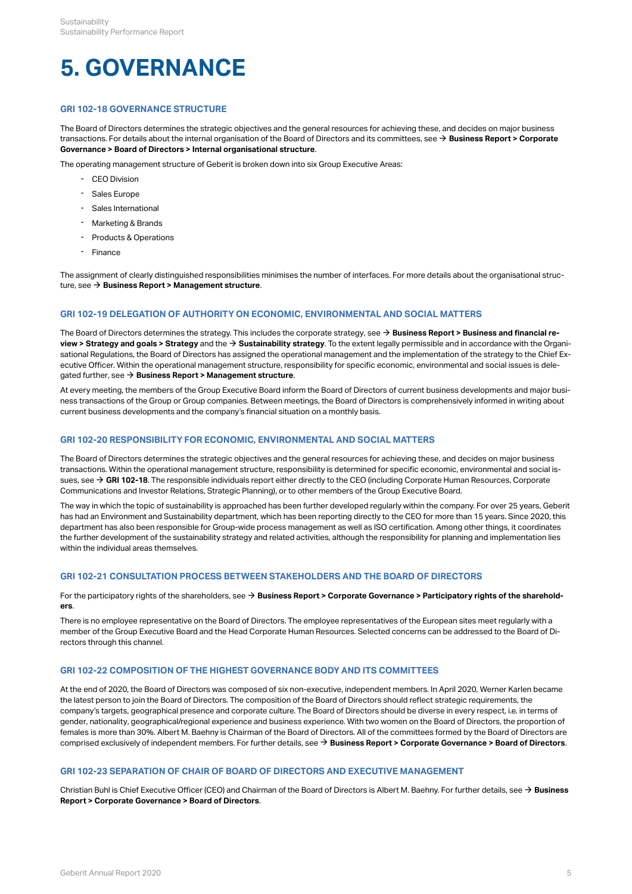# <span id="page-7-0"></span>**5. GOVERNANCE**

# <span id="page-7-1"></span>**GRI 102-18 GOVERNANCE STRUCTURE**

The Board of Directors determines the strategic objectives and the general resources for achieving these, and decides on major business transactions. For details about the internal organisation of the Board of Directors and its committees, see  $\to$  **[Business Report > Corporate](http://annualreport.geberit.com/reports/geberit/annual/2020/gb/English/106030/3_-board-of-directors.html?anchor=106030_Interal-organisation#106030_Interal-organisation) [Governance > Board of Directors > Internal organisational structure](http://annualreport.geberit.com/reports/geberit/annual/2020/gb/English/106030/3_-board-of-directors.html?anchor=106030_Interal-organisation#106030_Interal-organisation)** .

The operating management structure of Geberit is broken down into six Group Executive Areas:

- 
- Sales Europe
- Sales International
- Marketing & Brands
- Products & Operations
- Finance

The assignment of clearly distinguished responsibilities minimises the number of interfaces. For more details about the organisational structure, see → **Business Report > Management structure**.

#### <span id="page-7-2"></span>**GRI 102-19 DELEGATION OF AUTHORITY ON ECONOMIC, ENVIRONMENTAL AND SOCIAL MATTERS**

The Board of Directors determines the strategy. This includes the corporate strategy, see → **[Business Report > Business and financial re](http://annualreport.geberit.com/reports/geberit/annual/2020/gb/English/10501010/strategy.html)view > Strategy and goals > Strategy** and the  $\rightarrow$  **[Sustainability strategy](http://annualreport.geberit.com/reports/geberit/annual/2020/gb/English/3040/sustainability-strategy-2021-2023.html)**. To the extent legally permissible and in accordance with the Organisational Regulations, the Board of Directors has assigned the operational management and the implementation of the strategy to the Chief Executive Officer. Within the operational management structure, responsibility for specific economic, environmental and social issues is delegated further, see  $\rightarrow$  **[Business Report > Management structure](http://annualreport.geberit.com/reports/geberit/annual/2020/gb/English/1040/management-structure.html)**.

At every meeting, the members of the Group Executive Board inform the Board of Directors of current business developments and major business transactions of the Group or Group companies. Between meetings, the Board of Directors is comprehensively informed in writing about current business developments and the company's financial situation on a monthly basis.

#### <span id="page-7-3"></span>**GRI 102-20 RESPONSIBILITY FOR ECONOMIC, ENVIRONMENTAL AND SOCIAL MATTERS**

The Board of Directors determines the strategic objectives and the general resources for achieving these, and decides on major business transactions. Within the operational management structure, responsibility is determined for specific economic, environmental and social issues, see  $\rightarrow$  GRI 102-18. The responsible individuals report either directly to the CEO (including Corporate Human Resources, Corporate Communications and Investor Relations, Strategic Planning), or to other members of the Group Executive Board.

The way in which the topic of sustainability is approached has been further developed regularly within the company. For over 25 years, Geberit has had an Environment and Sustainability department, which has been reporting directly to the CEO for more than 15 years. Since 2020, this department has also been responsible for Group-wide process management as well as ISO certification. Among other things, it coordinates the further development of the sustainability strategy and related activities, although the responsibility for planning and implementation lies within the individual areas themselves.

# <span id="page-7-4"></span>**GRI 102-21 CONSULTATION PROCESS BETWEEN STAKEHOLDERS AND THE BOARD OF DIRECTORS**

For the participatory rights of the shareholders, see **[Business Report > Corporate Governance > Participatory rights of the sharehold-](http://annualreport.geberit.com/reports/geberit/annual/2020/gb/English/106060/6_-participatory-rights-of-shareholders.html)**\$ **[ers](http://annualreport.geberit.com/reports/geberit/annual/2020/gb/English/106060/6_-participatory-rights-of-shareholders.html)**

.There is no employee representative on the Board of Directors. The employee representatives of the European sites meet regularly with a member of the Group Executive Board and the Head Corporate Human Resources. Selected concerns can be addressed to the Board of Directors through this channel.

#### <span id="page-7-5"></span>**GRI 102-22 COMPOSITION OF THE HIGHEST GOVERNANCE BODY AND ITS COMMITTEES**

At the end of 2020, the Board of Directors was composed of six non-executive, independent members. In April 2020, Werner Karlen became the latest person to join the Board of Directors. The composition of the Board of Directors should reflect strategic requirements, the company's targets, geographical presence and corporate culture. The Board of Directors should be diverse in every respect, i.e. in terms of gender, nationality, geographical/regional experience and business experience. With two women on the Board of Directors, the proportion of females is more than 30%. Albert M. Baehny is Chairman of the Board of Directors. All of the committees formed by the Board of Directors are comprised exclusively of independent members. For further details, see  $\rightarrow$  [Business Report > Corporate Governance > Board of Directors](http://annualreport.geberit.com/reports/geberit/annual/2020/gb/English/106030/3_-board-of-directors.html). - CEO Division<br>
- Sales Europe<br>
- Sales International<br>
- Marketing & Brands<br>
- Marketing & Brands<br>
- France<br>
- Sales International<br>
- France<br>
- France<br>
- France<br>
essignment of clearly distinguished responsibilities<br>
ee  $\$ 

#### <span id="page-7-6"></span>**GRI 102-23 SEPARATION OF CHAIR OF BOARD OF DIRECTORS AND EXECUTIVE MANAGEMENT**

Christian Buhl is Chief Executive Officer (CEO) and Chairman of the Board of Directors is Albert M. Baehny. For further details, see **[Business](http://annualreport.geberit.com/reports/geberit/annual/2020/gb/English/106030/3_-board-of-directors.html)**  [\\$](http://annualreport.geberit.com/reports/geberit/annual/2020/gb/English/106030/3_-board-of-directors.html) **Report > Corporate Governance > Board of Directors**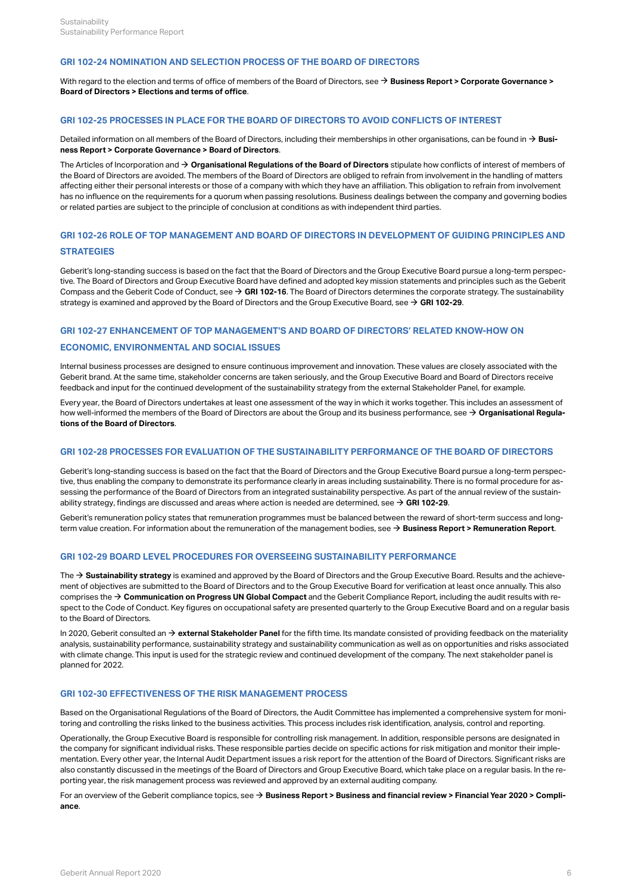#### <span id="page-8-0"></span>**GRI 102-24 NOMINATION AND SELECTION PROCESS OF THE BOARD OF DIRECTORS**

With regard to the election and terms of office of members of the Board of Directors, see → **Business Report > Corporate Governance > [Board of Directors > Elections and terms of office](http://annualreport.geberit.com/reports/geberit/annual/2020/gb/English/106030/3_-board-of-directors.html?anchor=106030_Elections#106030_Elections)** .

#### <span id="page-8-1"></span>**GRI 102-25 PROCESSES IN PLACE FOR THE BOARD OF DIRECTORS TO AVOID CONFLICTS OF INTEREST**

Detailed information on all members of the Board of Directors, including their memberships in other organisations, can be found in **[Busi-](http://annualreport.geberit.com/reports/geberit/annual/2020/gb/English/106030/3_-board-of-directors.html)**[\\$](http://annualreport.geberit.com/reports/geberit/annual/2020/gb/English/106030/3_-board-of-directors.html) **[ness Report > Corporate Governance > Board of Directors](http://annualreport.geberit.com/reports/geberit/annual/2020/gb/English/106030/3_-board-of-directors.html)** .

The Articles of Incorporation and  $\rightarrow$  [Organisational Regulations of the Board of Directors](http://annualreport.geberit.com/geberit/annual/2020/gb/layout/../English/pdf/organizational_regulations_BoD.pdf) stipulate how conflicts of interest of members of the Board of Directors are avoided. The members of the Board of Directors are obliged to refrain from involvement in the handling of matters affecting either their personal interests or those of a company with which they have an affiliation. This obligation to refrain from involvement has no influence on the requirements for a quorum when passing resolutions. Business dealings between the company and governing bodies or related parties are subject to the principle of conclusion at conditions as with independent third parties.

# <span id="page-8-2"></span>**GRI 102-26 ROLE OF TOP MANAGEMENT AND BOARD OF DIRECTORS IN DEVELOPMENT OF GUIDING PRINCIPLES AND STRATEGIES**

Geberit's long-standing success is based on the fact that the Board of Directors and the Group Executive Board pursue a long-term perspective. The Board of Directors and Group Executive Board have defined and adopted key mission statements and principles such as the Geberit Compass and the Geberit Code of Conduct, see → [GRI 102-16](#page-6-1). The Board of Directors determines the corporate strategy. The sustainability strategy is examined and approved by the Board of Directors and the Group Executive Board, see  $\rightarrow$  [GRI 102-29](#page-8-5).

#### <span id="page-8-3"></span>**GRI 102-27 ENHANCEMENT OF TOP MANAGEMENT'S AND BOARD OF DIRECTORS' RELATED KNOW-HOW ON**

# **ECONOMIC, ENVIRONMENTAL AND SOCIAL ISSUES**

Internal business processes are designed to ensure continuous improvement and innovation. These values are closely associated with the Geberit brand. At the same time, stakeholder concerns are taken seriously, and the Group Executive Board and Board of Directors receive feedback and input for the continued development of the sustainability strategy from the external Stakeholder Panel, for example.

Every year, the Board of Directors undertakes at least one assessment of the way in which it works together. This includes an assessment of how well-informed the members of the Board of Directors are about the Group and its business performance, see **[Organisational Regula-](http://annualreport.geberit.com/geberit/annual/2020/gb/layout/../English/pdf/organizational_regulations_BoD.pdf)**[\\$](http://annualreport.geberit.com/geberit/annual/2020/gb/layout/../English/pdf/organizational_regulations_BoD.pdf) **[tions of the Board of Directors](http://annualreport.geberit.com/geberit/annual/2020/gb/layout/../English/pdf/organizational_regulations_BoD.pdf)** .

#### <span id="page-8-4"></span>**GRI 102-28 PROCESSES FOR EVALUATION OF THE SUSTAINABILITY PERFORMANCE OF THE BOARD OF DIRECTORS**

Geberit's long-standing success is based on the fact that the Board of Directors and the Group Executive Board pursue a long-term perspective, thus enabling the company to demonstrate its performance clearly in areas including sustainability. There is no formal procedure for assessing the performance of the Board of Directors from an integrated sustainability perspective. As part of the annual review of the sustainability strategy, findings are discussed and areas where action is needed are determined, see  $\rightarrow$  [GRI 102-29](#page-8-5).

Geberit's remuneration policy states that remuneration programmes must be balanced between the reward of short-term success and longterm value creation. For information about the remuneration of the management bodies, see  $\rightarrow$  [Business Report > Remuneration Report](http://annualreport.geberit.com/reports/geberit/annual/2020/gb/English/1070/remune_ration-report.html).

#### <span id="page-8-5"></span>**GRI 102-29 BOARD LEVEL PROCEDURES FOR OVERSEEING SUSTAINABILITY PERFORMANCE**

The  $\rightarrow$  [Sustainability strategy](http://annualreport.geberit.com/reports/geberit/annual/2020/gb/English/3040/sustainability-strategy-2021-2023.html) is examined and approved by the Board of Directors and the Group Executive Board. Results and the achievement of objectives are submitted to the Board of Directors and to the Group Executive Board for verification at least once annually. This also comprises the  $\rightarrow$  [Communication on Progress UN Global Compact](http://annualreport.geberit.com/geberit/annual/2020/gb/layout/../English/pdf/cop_ungc_2020_en.pdf) and the Geberit Compliance Report, including the audit results with respect to the Code of Conduct. Key figures on occupational safety are presented quarterly to the Group Executive Board and on a regular basis to the Board of Directors.

In 2020, Geberit consulted an  $\rightarrow$  [external Stakeholder Panel](http://annualreport.geberit.com/geberit/annual/2020/gb/layout/../English/pdf/stakeholder_panel_2020.pdf) for the fifth time. Its mandate consisted of providing feedback on the materiality analysis, sustainability performance, sustainability strategy and sustainability communication as well as on opportunities and risks associated with climate change. This input is used for the strategic review and continued development of the company. The next stakeholder panel is planned for 2022.

# <span id="page-8-6"></span>**GRI 102-30 EFFECTIVENESS OF THE RISK MANAGEMENT PROCESS**

Based on the Organisational Regulations of the Board of Directors, the Audit Committee has implemented a comprehensive system for monitoring and controlling the risks linked to the business activities. This process includes risk identification, analysis, control and reporting.

Operationally, the Group Executive Board is responsible for controlling risk management. In addition, responsible persons are designated in the company for significant individual risks. These responsible parties decide on specific actions for risk mitigation and monitor their implementation. Every other year, the Internal Audit Department issues a risk report for the attention of the Board of Directors. Significant risks are also constantly discussed in the meetings of the Board of Directors and Group Executive Board, which take place on a regular basis. In the reporting year, the risk management process was reviewed and approved by an external auditing company.

For an overview of the Geberit compliance topics, see **[Business Report > Business and financial review > Financial Year 2020 > Compli-](http://annualreport.geberit.com/reports/geberit/annual/2020/gb/English/10502070/compliance.html)**[\\$](http://annualreport.geberit.com/reports/geberit/annual/2020/gb/English/10502070/compliance.html) **[ance](http://annualreport.geberit.com/reports/geberit/annual/2020/gb/English/10502070/compliance.html)** .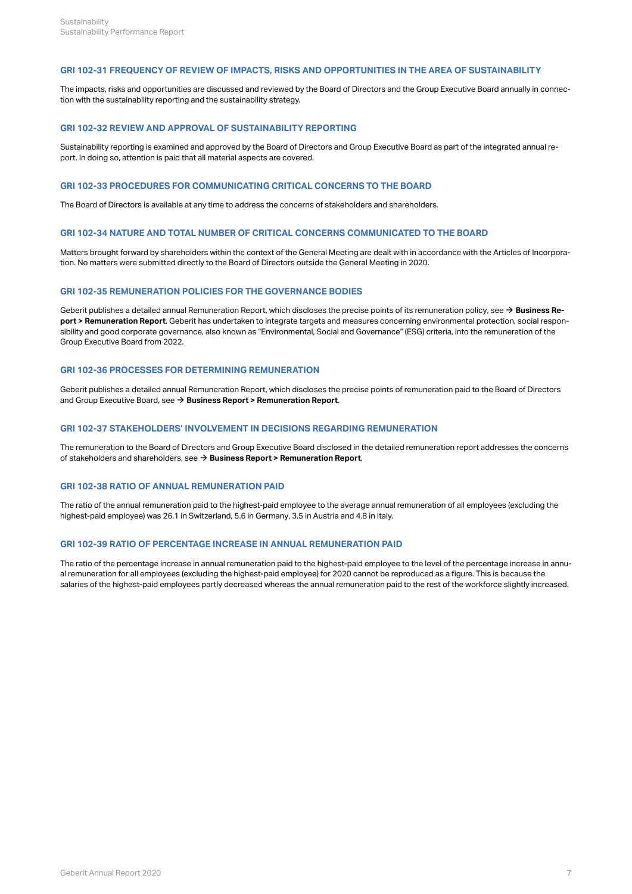#### <span id="page-9-0"></span>**GRI 102-31 FREQUENCY OF REVIEW OF IMPACTS, RISKS AND OPPORTUNITIES IN THE AREA OF SUSTAINABILITY**

The impacts, risks and opportunities are discussed and reviewed by the Board of Directors and the Group Executive Board annually in connection with the sustainability reporting and the sustainability strategy.

#### <span id="page-9-1"></span>**GRI 102-32 REVIEW AND APPROVAL OF SUSTAINABILITY REPORTING**

Sustainability reporting is examined and approved by the Board of Directors and Group Executive Board as part of the integrated annual report. In doing so, attention is paid that all material aspects are covered.

#### <span id="page-9-2"></span>**GRI 102-33 PROCEDURES FOR COMMUNICATING CRITICAL CONCERNS TO THE BOARD**

The Board of Directors is available at any time to address the concerns of stakeholders and shareholders.

#### <span id="page-9-3"></span>**GRI 102-34 NATURE AND TOTAL NUMBER OF CRITICAL CONCERNS COMMUNICATED TO THE BOARD**

Matters brought forward by shareholders within the context of the General Meeting are dealt with in accordance with the Articles of Incorporation. No matters were submitted directly to the Board of Directors outside the General Meeting in 2020.

#### <span id="page-9-4"></span>**GRI 102-35 REMUNERATION POLICIES FOR THE GOVERNANCE BODIES**

Geberit publishes a detailed annual Remuneration Report, which discloses the precise points of its remuneration policy, see  $\rightarrow$  **[Business Re](http://annualreport.geberit.com/reports/geberit/annual/2020/gb/English/1070/remune_ration-report.html)[port > Remuneration Report](http://annualreport.geberit.com/reports/geberit/annual/2020/gb/English/1070/remune_ration-report.html)**. Geberit has undertaken to integrate targets and measures concerning environmental protection, social responsibility and good corporate governance, also known as "Environmental, Social and Governance" (ESG) criteria, into the remuneration of the Group Executive Board from 2022.

### <span id="page-9-5"></span>**GRI 102-36 PROCESSES FOR DETERMINING REMUNERATION**

Geberit publishes a detailed annual Remuneration Report, which discloses the precise points of remuneration paid to the Board of Directors and Group Executive Board, see → [Business Report > Remuneration Report](http://annualreport.geberit.com/reports/geberit/annual/2020/gb/English/1070/remune_ration-report.html).

#### <span id="page-9-6"></span>**GRI 102-37 STAKEHOLDERS' INVOLVEMENT IN DECISIONS REGARDING REMUNERATION**

The remuneration to the Board of Directors and Group Executive Board disclosed in the detailed remuneration report addresses the concerns of stakeholders and shareholders, see  $\rightarrow$  [Business Report > Remuneration Report](http://annualreport.geberit.com/reports/geberit/annual/2020/gb/English/1070/remune_ration-report.html).

### <span id="page-9-7"></span>**GRI 102-38 RATIO OF ANNUAL REMUNERATION PAID**

The ratio of the annual remuneration paid to the highest-paid employee to the average annual remuneration of all employees (excluding the highest-paid employee) was 26.1 in Switzerland, 5.6 in Germany, 3.5 in Austria and 4.8 in Italy.

#### <span id="page-9-8"></span>**GRI 102-39 RATIO OF PERCENTAGE INCREASE IN ANNUAL REMUNERATION PAID**

The ratio of the percentage increase in annual remuneration paid to the highest-paid employee to the level of the percentage increase in annual remuneration for all employees (excluding the highest-paid employee) for 2020 cannot be reproduced as a figure. This is because the salaries of the highest-paid employees partly decreased whereas the annual remuneration paid to the rest of the workforce slightly increased.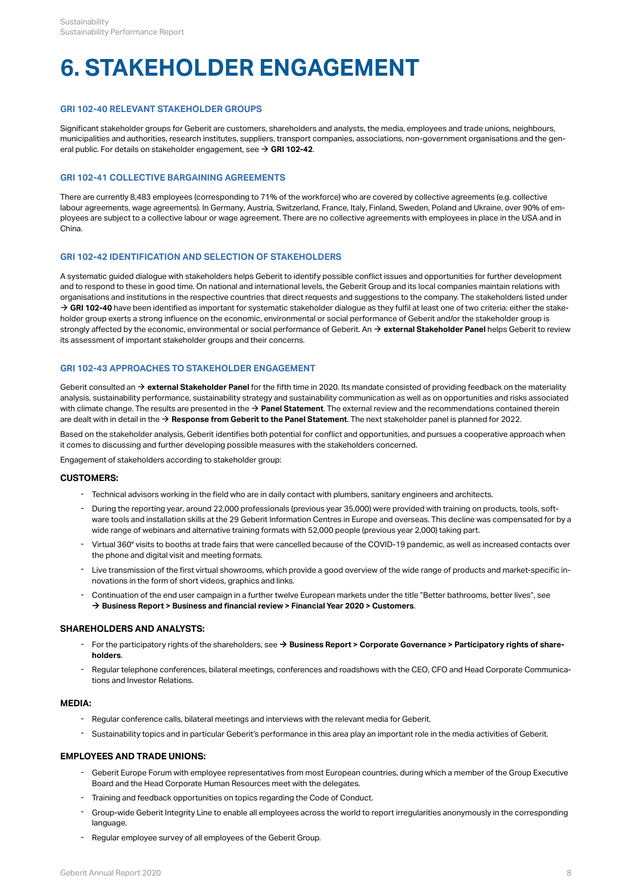# <span id="page-10-0"></span>**6. STAKEHOLDER ENGAGEMENT**

### <span id="page-10-1"></span>**GRI 102-40 RELEVANT STAKEHOLDER GROUPS**

Significant stakeholder groups for Geberit are customers, shareholders and analysts, the media, employees and trade unions, neighbours, municipalities and authorities, research institutes, suppliers, transport companies, associations, non-government organisations and the gen-eral public. For details on stakeholder engagement, see → [GRI 102-42](#page-10-3).

# <span id="page-10-2"></span>**GRI 102-41 COLLECTIVE BARGAINING AGREEMENTS**

There are currently 8,483 employees (corresponding to 71% of the workforce) who are covered by collective agreements (e.g. collective labour agreements, wage agreements). In Germany, Austria, Switzerland, France, Italy, Finland, Sweden, Poland and Ukraine, over 90% of employees are subject to a collective labour or wage agreement. There are no collective agreements with employees in place in the USA and in China.

#### <span id="page-10-3"></span>**GRI 102-42 IDENTIFICATION AND SELECTION OF STAKEHOLDERS**

A systematic guided dialogue with stakeholders helps Geberit to identify possible conflict issues and opportunities for further development and to respond to these in good time. On national and international levels, the Geberit Group and its local companies maintain relations with organisations and institutions in the respective countries that direct requests and suggestions to the company. The stakeholders listed under  $\rightarrow$  [GRI 102-40](#page-10-1) have been identified as important for systematic stakeholder dialogue as they fulfil at least one of two criteria: either the stakeholder group exerts a strong influence on the economic, environmental or social performance of Geberit and/or the stakeholder group is strongly affected by the economic, environmental or social performance of Geberit. An  $\rightarrow$  [external Stakeholder Panel](http://annualreport.geberit.com/geberit/annual/2020/gb/layout/../English/pdf/introduction_stakeholderpanel_2020.pdf) helps Geberit to review its assessment of important stakeholder groups and their concerns.

# <span id="page-10-4"></span>**GRI 102-43 APPROACHES TO STAKEHOLDER ENGAGEMENT**

Geberit consulted an  $\rightarrow$  [external Stakeholder Panel](http://annualreport.geberit.com/geberit/annual/2020/gb/layout/../English/pdf/introduction_stakeholderpanel_2020.pdf) for the fifth time in 2020. Its mandate consisted of providing feedback on the materiality analysis, sustainability performance, sustainability strategy and sustainability communication as well as on opportunities and risks associated with climate change. The results are presented in the  $\rightarrow$  [Panel Statement](http://annualreport.geberit.com/geberit/annual/2020/gb/layout/../English/pdf/panel_statement_2020_en.pdf). The external review and the recommendations contained therein are dealt with in detail in the  $\rightarrow$  [Response from Geberit to the Panel Statement](http://annualreport.geberit.com/geberit/annual/2020/gb/layout/../English/pdf/response_geberit_panel_statement_2020.pdf). The next stakeholder panel is planned for 2022.

Based on the stakeholder analysis, Geberit identifies both potential for conflict and opportunities, and pursues a cooperative approach when it comes to discussing and further developing possible measures with the stakeholders concerned.

Engagement of stakeholders according to stakeholder group:

#### **CUSTOMERS:**

- Technical advisors working in the field who are in daily contact with plumbers, sanitary engineers and architects.
- During the reporting year, around 22,000 professionals (previous year 35,000) were provided with training on products, tools, software tools and installation skills at the 29 Geberit Information Centres in Europe and overseas. This decline was compensated for by a wide range of webinars and alternative training formats with 52,000 people (previous year 2,000) taking part. -
- Virtual 360° visits to booths at trade fairs that were cancelled because of the COVID-19 pandemic, as well as increased contacts over the phone and digital visit and meeting formats. -
- Live transmission of the first virtual showrooms, which provide a good overview of the wide range of products and market-specific innovations in the form of short videos, graphics and links. -
- Continuation of the end user campaign in a further twelve European markets under the title "Better bathrooms, better lives", see  $\rightarrow$  **[Business Report > Business and financial review > Financial Year 2020 > Customers](http://annualreport.geberit.com/reports/geberit/annual/2020/gb/English/10502045/customers.html).** -

#### **SHAREHOLDERS AND ANALYSTS:**

- For the participatory rights of the shareholders, see → [Business Report > Corporate Governance > Participatory rights of share](http://annualreport.geberit.com/reports/geberit/annual/2020/gb/English/106060/6_-participatory-rights-of-shareholders.html)**[holders](http://annualreport.geberit.com/reports/geberit/annual/2020/gb/English/106060/6_-participatory-rights-of-shareholders.html)** .
- Regular telephone conferences, bilateral meetings, conferences and roadshows with the CEO, CFO and Head Corporate Communications and Investor Relations. -

#### **MEDIA:**

- Regular conference calls, bilateral meetings and interviews with the relevant media for Geberit.
- Sustainability topics and in particular Geberit's performance in this area play an important role in the media activities of Geberit.

#### **EMPLOYEES AND TRADE UNIONS:**

- Geberit Europe Forum with employee representatives from most European countries, during which a member of the Group Executive Board and the Head Corporate Human Resources meet with the delegates.
- Training and feedback opportunities on topics regarding the Code of Conduct.
- Group-wide Geberit Integrity Line to enable all employees across the world to report irregularities anonymously in the corresponding language -
- Regular employee survey of all employees of the Geberit Group.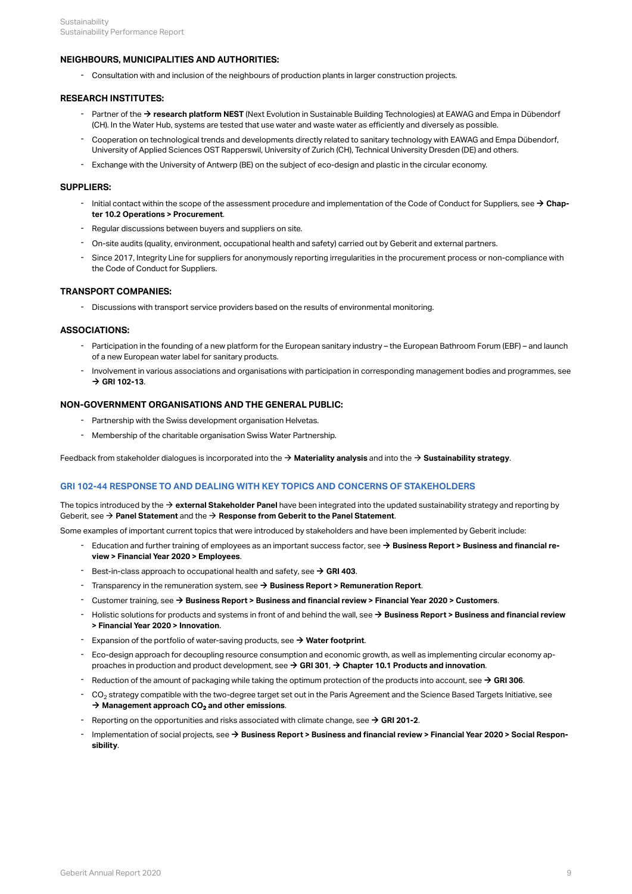## **NEIGHBOURS, MUNICIPALITIES AND AUTHORITIES:**

- Consultation with and inclusion of the neighbours of production plants in larger construction projects.

#### **RESEARCH INSTITUTES:**

- Partner of the → **[research platform NEST](https://www.empa.ch/en/web/nest/)** (Next Evolution in Sustainable Building Technologies) at EAWAG and Empa in Dübendorf (CH). In the Water Hub, systems are tested that use water and waste water as efficiently and diversely as possible.
- Cooperation on technological trends and developments directly related to sanitary technology with EAWAG and Empa Dübendorf, University of Applied Sciences OST Rapperswil, University of Zurich (CH), Technical University Dresden (DE) and others. -
- Exchange with the University of Antwerp (BE) on the subject of eco-design and plastic in the circular economy.

#### **SUPPLIERS:**

- Initial contact within the scope of the assessment procedure and implementation of the Code of Conduct for Suppliers, see → [Chap](#page-30-1)**[ter 10.2 Operations > Procurement](#page-30-1)** .
- Regular discussions between buyers and suppliers on site.
- On-site audits (quality, environment, occupational health and safety) carried out by Geberit and external partners.
- Since 2017, Integrity Line for suppliers for anonymously reporting irregularities in the procurement process or non-compliance with the Code of Conduct for Suppliers. -

#### **TRANSPORT COMPANIES:**

- Discussions with transport service providers based on the results of environmental monitoring.

#### **ASSOCIATIONS:**

- Participation in the founding of a new platform for the European sanitary industry the European Bathroom Forum (EBF) and launch of a new European water label for sanitary products. -
- Involvement in various associations and organisations with participation in corresponding management bodies and programmes, see  $\rightarrow$  [GRI 102-13](#page-5-2). -

#### **NON-GOVERNMENT ORGANISATIONS AND THE GENERAL PUBLIC:**

- Partnership with the Swiss development organisation Helvetas.
- Membership of the charitable organisation Swiss Water Partnership.

Feedback from stakeholder dialogues is incorporated into the  $\rightarrow$  [Materiality analysis](http://annualreport.geberit.com/reports/geberit/annual/2020/gb/English/3030/materiality-analysis.html) and into the  $\rightarrow$  [Sustainability strategy](http://annualreport.geberit.com/reports/geberit/annual/2020/gb/English/3040/sustainability-strategy-2021-2023.html).

# <span id="page-11-0"></span>**GRI 102-44 RESPONSE TO AND DEALING WITH KEY TOPICS AND CONCERNS OF STAKEHOLDERS**

The topics introduced by the  $\rightarrow$  [external Stakeholder Panel](http://annualreport.geberit.com/geberit/annual/2020/gb/layout/../English/pdf/introduction_stakeholderpanel_2020.pdf) have been integrated into the updated sustainability strategy and reporting by Geberit, see  $\rightarrow$  [Panel Statement](http://annualreport.geberit.com/geberit/annual/2020/gb/layout/../English/pdf/panel_statement_2020_en.pdf) and the  $\rightarrow$  [Response from Geberit to the Panel Statement](http://annualreport.geberit.com/geberit/annual/2020/gb/layout/../English/pdf/response_geberit_panel_statement_2020.pdf).

Some examples of important current topics that were introduced by stakeholders and have been implemented by Geberit include:

- Education and further training of employees as an important success factor, see → [Business Report > Business and financial re](http://annualreport.geberit.com/reports/geberit/annual/2020/gb/English/10502040/employees.html)**[view > Financial Year 2020 > Employees](http://annualreport.geberit.com/reports/geberit/annual/2020/gb/English/10502040/employees.html)** .
- Best-in-class approach to occupational health and safety, see  $\rightarrow$  [GRI 403](#page-14-3).
- Transparency in the remuneration system, see [\\$](http://annualreport.geberit.com/reports/geberit/annual/2020/gb/English/1070/remune_ration-report.html) **[Business Report > Remuneration Report](http://annualreport.geberit.com/reports/geberit/annual/2020/gb/English/1070/remune_ration-report.html)**.
- Customer training, see → [Business Report > Business and financial review > Financial Year 2020 > Customers](http://annualreport.geberit.com/reports/geberit/annual/2020/gb/English/10502045/customers.html).
- Holistic solutions for products and systems in front of and behind the wall, see  $\rightarrow$  Business Report > Business and financial review **[> Financial Year 2020 > Innovation](http://annualreport.geberit.com/reports/geberit/annual/2020/gb/English/10502050/innovation.html)** . -
- Expansion of the portfolio of water-saving products, see  $\rightarrow$  [Water footprint](http://annualreport.geberit.com/reports/geberit/annual/2020/gb/English/10502065/sustainability.html?anchor=10502065_Water-footprint#10502065_Water-footprint).
- Eco-design approach for decoupling resource consumption and economic growth, as well as implementing circular economy ap-proaches in production and product development, see → [GRI 301](#page-22-1), → [Chapter 10.1 Products and innovation](#page-29-0). -
- Reduction of the amount of packaging while taking the optimum protection of the products into account, see  $\rightarrow$  [GRI 306](#page-27-0).
- $\,$  CO $_2$  strategy compatible with the two-degree target set out in the Paris Agreement and the Science Based Targets Initiative, see → [Management approach CO](#page-26-0)<sub>[2](#page-26-0)</sub> [and other emissions](#page-26-0).
- Reporting on the opportunities and risks associated with climate change, see  $\rightarrow$  [GRI 201-2](#page-32-1).
- Implementation of social projects, see → [Business Report > Business and financial review > Financial Year 2020 > Social Respon](http://annualreport.geberit.com/reports/geberit/annual/2020/gb/English/10502075/social-responsibility.html)**[sibility](http://annualreport.geberit.com/reports/geberit/annual/2020/gb/English/10502075/social-responsibility.html)** . -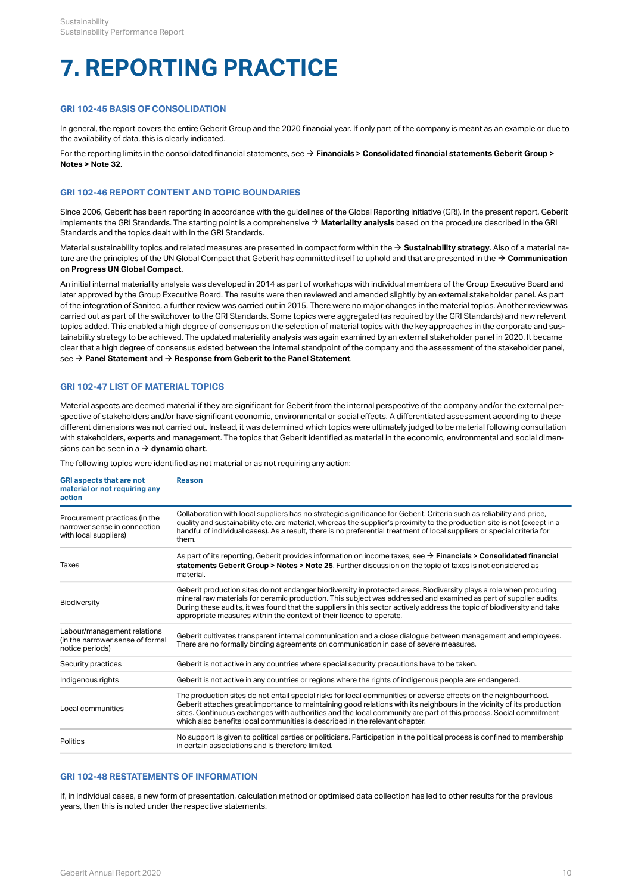# <span id="page-12-0"></span>**7. REPORTING PRACTICE**

### <span id="page-12-1"></span>**GRI 102-45 BASIS OF CONSOLIDATION**

In general, the report covers the entire Geberit Group and the 2020 financial year. If only part of the company is meant as an example or due to the availability of data, this is clearly indicated.

For the reporting limits in the consolidated financial statements, see  $\rightarrow$  **[Financials > Consolidated financial statements Geberit Group >](http://annualreport.geberit.com/reports/geberit/annual/2020/gb/English/20405032/32_-group-companies-as-of-31-december-2020.html) [Notes > Note 32](http://annualreport.geberit.com/reports/geberit/annual/2020/gb/English/20405032/32_-group-companies-as-of-31-december-2020.html)** .

#### <span id="page-12-2"></span>**GRI 102-46 REPORT CONTENT AND TOPIC BOUNDARIES**

Since 2006, Geberit has been reporting in accordance with the guidelines of the Global Reporting Initiative (GRI). In the present report, Geberit implements the GRI Standards. The starting point is a comprehensive  $\rightarrow$  [Materiality analysis](http://annualreport.geberit.com/reports/geberit/annual/2020/gb/English/3030/materiality-analysis.html) based on the procedure described in the GRI Standards and the topics dealt with in the GRI Standards.

Material sustainability topics and related measures are presented in compact form within the  $\rightarrow$  [Sustainability strategy](http://annualreport.geberit.com/reports/geberit/annual/2020/gb/English/3040/sustainability-strategy-2021-2023.html). Also of a material nature are the principles of the UN Global Compact that Geberit has committed itself to uphold and that are presented in the  $\to$  Communication **[on Progress UN Global Compact](http://annualreport.geberit.com/geberit/annual/2020/gb/layout/../English/pdf/cop_ungc_2020_en.pdf)** .

An initial internal materiality analysis was developed in 2014 as part of workshops with individual members of the Group Executive Board and later approved by the Group Executive Board. The results were then reviewed and amended slightly by an external stakeholder panel. As part of the integration of Sanitec, a further review was carried out in 2015. There were no major changes in the material topics. Another review was carried out as part of the switchover to the GRI Standards. Some topics were aggregated (as required by the GRI Standards) and new relevant topics added. This enabled a high degree of consensus on the selection of material topics with the key approaches in the corporate and sustainability strategy to be achieved. The updated materiality analysis was again examined by an external stakeholder panel in 2020. It became clear that a high degree of consensus existed between the internal standpoint of the company and the assessment of the stakeholder panel, see → **[Panel Statement](http://annualreport.geberit.com/geberit/annual/2020/gb/layout/../English/pdf/panel_statement_2020_en.pdf)** and → **[Response from Geberit to the Panel Statement](http://annualreport.geberit.com/geberit/annual/2020/gb/layout/../English/pdf/response_geberit_panel_statement_2020.pdf)**.

#### <span id="page-12-3"></span>**GRI 102-47 LIST OF MATERIAL TOPICS**

Material aspects are deemed material if they are significant for Geberit from the internal perspective of the company and/or the external perspective of stakeholders and/or have significant economic, environmental or social effects. A differentiated assessment according to these different dimensions was not carried out. Instead, it was determined which topics were ultimately judged to be material following consultation with stakeholders, experts and management. The topics that Geberit identified as material in the economic, environmental and social dimensions can be seen in  $a \rightarrow$  **[dynamic chart](http://annualreport.geberit.com/reports/geberit/annual/2020/gb/English/3030/materiality-analysis.html)**.

The following topics were identified as not material or as not requiring any action:

| <b>GRI aspects that are not</b><br>material or not requiring any<br>action             | Reason                                                                                                                                                                                                                                                                                                                                                                                                                                      |
|----------------------------------------------------------------------------------------|---------------------------------------------------------------------------------------------------------------------------------------------------------------------------------------------------------------------------------------------------------------------------------------------------------------------------------------------------------------------------------------------------------------------------------------------|
| Procurement practices (in the<br>narrower sense in connection<br>with local suppliers) | Collaboration with local suppliers has no strategic significance for Geberit. Criteria such as reliability and price,<br>quality and sustainability etc. are material, whereas the supplier's proximity to the production site is not (except in a<br>handful of individual cases). As a result, there is no preferential treatment of local suppliers or special criteria for<br>them.                                                     |
| <b>Taxes</b>                                                                           | As part of its reporting, Geberit provides information on income taxes, see $\rightarrow$ Financials > Consolidated financial<br>statements Geberit Group > Notes > Note 25. Further discussion on the topic of taxes is not considered as<br>material.                                                                                                                                                                                     |
| Biodiversity                                                                           | Geberit production sites do not endanger biodiversity in protected areas. Biodiversity plays a role when procuring<br>mineral raw materials for ceramic production. This subject was addressed and examined as part of supplier audits.<br>During these audits, it was found that the suppliers in this sector actively address the topic of biodiversity and take<br>appropriate measures within the context of their licence to operate.  |
| Labour/management relations<br>(in the narrower sense of formal<br>notice periods)     | Geberit cultivates transparent internal communication and a close dialogue between management and employees.<br>There are no formally binding agreements on communication in case of severe measures.                                                                                                                                                                                                                                       |
| Security practices                                                                     | Geberit is not active in any countries where special security precautions have to be taken.                                                                                                                                                                                                                                                                                                                                                 |
| Indigenous rights                                                                      | Geberit is not active in any countries or regions where the rights of indigenous people are endangered.                                                                                                                                                                                                                                                                                                                                     |
| Local communities                                                                      | The production sites do not entail special risks for local communities or adverse effects on the neighbourhood.<br>Geberit attaches great importance to maintaining good relations with its neighbours in the vicinity of its production<br>sites. Continuous exchanges with authorities and the local community are part of this process. Social commitment<br>which also benefits local communities is described in the relevant chapter. |
| <b>Politics</b>                                                                        | No support is given to political parties or politicians. Participation in the political process is confined to membership<br>in certain associations and is therefore limited.                                                                                                                                                                                                                                                              |

#### <span id="page-12-4"></span>**GRI 102-48 RESTATEMENTS OF INFORMATION**

If, in individual cases, a new form of presentation, calculation method or optimised data collection has led to other results for the previous years, then this is noted under the respective statements.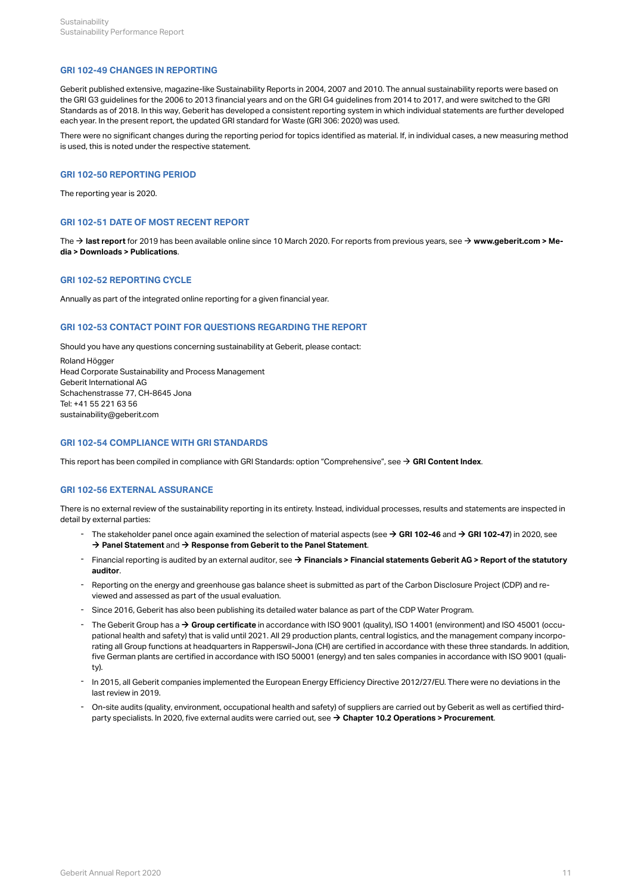#### <span id="page-13-0"></span>**GRI 102-49 CHANGES IN REPORTING**

Geberit published extensive, magazine-like Sustainability Reports in 2004, 2007 and 2010. The annual sustainability reports were based on the GRI G3 guidelines for the 2006 to 2013 financial years and on the GRI G4 guidelines from 2014 to 2017, and were switched to the GRI Standards as of 2018. In this way, Geberit has developed a consistent reporting system in which individual statements are further developed each year. In the present report, the updated GRI standard for Waste (GRI 306: 2020) was used.

There were no significant changes during the reporting period for topics identified as material. If, in individual cases, a new measuring method is used, this is noted under the respective statement.

#### <span id="page-13-1"></span>**GRI 102-50 REPORTING PERIOD**

The reporting year is 2020.

#### <span id="page-13-2"></span>**GRI 102-51 DATE OF MOST RECENT REPORT**

The → **[last report](https://geschaeftsbericht.geberit.com/reports/geberit/annual/2019/gb/English/0/home.html)** for 2019 has been available online since 10 March 2020. For reports from previous years, see → **[www.geberit.com > Me](https://www.geberit.com/media/downloads/publications/)[dia > Downloads > Publications](https://www.geberit.com/media/downloads/publications/)** .

#### <span id="page-13-3"></span>**GRI 102-52 REPORTING CYCLE**

Annually as part of the integrated online reporting for a given financial year.

#### <span id="page-13-4"></span>**GRI 102-53 CONTACT POINT FOR QUESTIONS REGARDING THE REPORT**

Should you have any questions concerning sustainability at Geberit, please contact:

Roland Högger Head Corporate Sustainability and Process Management Geberit International AG Schachenstrasse 77, CH-8645 Jona Tel: +41 55 221 63 56 sustainability@geberit.com

# <span id="page-13-5"></span>**GRI 102-54 COMPLIANCE WITH GRI STANDARDS**

This report has been compiled in compliance with GRI Standards: option "Comprehensive", see → [GRI Content Index](http://annualreport.geberit.com/geberit/annual/2020/gb/layout/../English/pdf/gri_content_index_2020.pdf).

#### <span id="page-13-6"></span>**GRI 102-56 EXTERNAL ASSURANCE**

There is no external review of the sustainability reporting in its entirety. Instead, individual processes, results and statements are inspected in detail by external parties:

- The stakeholder panel once again examined the selection of material aspects (see **→ [GRI 102-46](#page-12-2)** and **→ [GRI 102-47](#page-12-3)**) in 2020, see → [Panel Statement](http://annualreport.geberit.com/geberit/annual/2020/gb/layout/../English/pdf/panel_statement_2020_en.pdf) and → [Response from Geberit to the Panel Statement](http://annualreport.geberit.com/geberit/annual/2020/gb/layout/../English/pdf/response_geberit_panel_statement_2020.pdf).
- Financial reporting is audited by an external auditor, see  $\rightarrow$  Financials > Financial statements Geberit AG > Report of the statutory **[auditor](http://annualreport.geberit.com/reports/geberit/annual/2020/gb/English/204060/report-of-the-statutory-auditor.html)** . -
- Reporting on the energy and greenhouse gas balance sheet is submitted as part of the Carbon Disclosure Project (CDP) and reviewed and assessed as part of the usual evaluation. -
- Since 2016, Geberit has also been publishing its detailed water balance as part of the CDP Water Program.
- The Geberit Group has a **→ [Group certificate](https://www.geberit.com/files/diverses/iso-certificate-9001-and-14001-en.pdf)** in accordance with ISO 9001 (quality), ISO 14001 (environment) and ISO 45001 (occupational health and safety) that is valid until 2021. All 29 production plants, central logistics, and the management company incorporating all Group functions at headquarters in Rapperswil-Jona (CH) are certified in accordance with these three standards. In addition, five German plants are certified in accordance with ISO 50001 (energy) and ten sales companies in accordance with ISO 9001 (quality).
- In 2015, all Geberit companies implemented the European Energy Efficiency Directive 2012/27/EU. There were no deviations in the last review in 2019.
- On-site audits (quality, environment, occupational health and safety) of suppliers are carried out by Geberit as well as certified thirdparty specialists. In 2020, five external audits were carried out, see  $\rightarrow$  [Chapter 10.2 Operations > Procurement](#page-30-1). -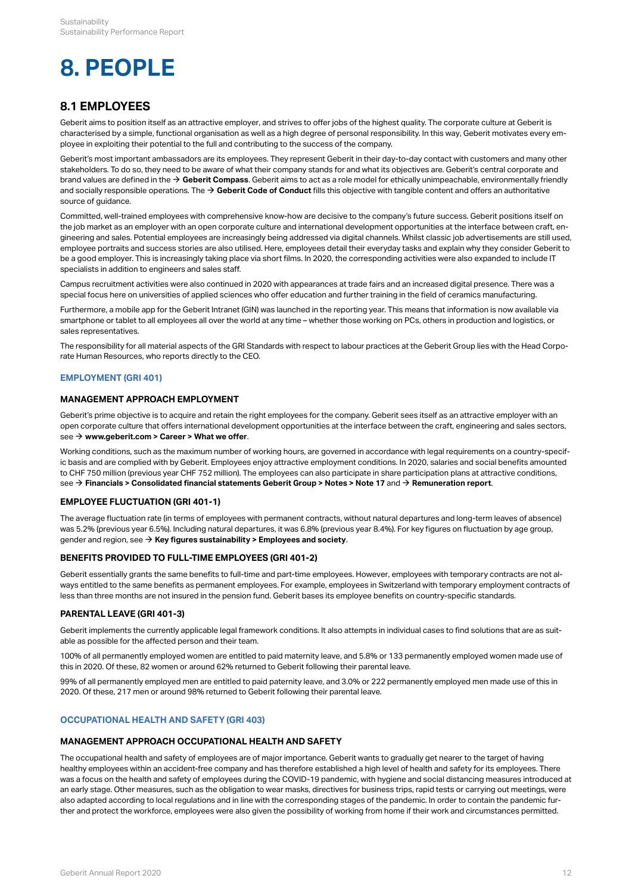# <span id="page-14-0"></span>**8. PEOPLE**

# <span id="page-14-1"></span>**8.1 EMPLOYEES**

Geberit aims to position itself as an attractive employer, and strives to offer jobs of the highest quality. The corporate culture at Geberit is characterised by a simple, functional organisation as well as a high degree of personal responsibility. In this way, Geberit motivates every employee in exploiting their potential to the full and contributing to the success of the company.

Geberit's most important ambassadors are its employees. They represent Geberit in their day-to-day contact with customers and many other stakeholders. To do so, they need to be aware of what their company stands for and what its objectives are. Geberit's central corporate and brand values are defined in the  $\rightarrow$  [Geberit Compass](http://annualreport.geberit.com/geberit/annual/2020/gb/layout/../English/pdf/geberit_compass.pdf). Geberit aims to act as a role model for ethically unimpeachable, environmentally friendly and socially responsible operations. The  $\rightarrow$  [Geberit Code of Conduct](http://annualreport.geberit.com/geberit/annual/2020/gb/layout/../English/pdf/geberit_code_of_conduct_en.pdf) fills this objective with tangible content and offers an authoritative source of guidance.

Committed, well-trained employees with comprehensive know-how are decisive to the company's future success. Geberit positions itself on the job market as an employer with an open corporate culture and international development opportunities at the interface between craft, engineering and sales. Potential employees are increasingly being addressed via digital channels. Whilst classic job advertisements are still used, employee portraits and success stories are also utilised. Here, employees detail their everyday tasks and explain why they consider Geberit to be a good employer. This is increasingly taking place via short films. In 2020, the corresponding activities were also expanded to include IT specialists in addition to engineers and sales staff.

Campus recruitment activities were also continued in 2020 with appearances at trade fairs and an increased digital presence. There was a special focus here on universities of applied sciences who offer education and further training in the field of ceramics manufacturing.

Furthermore, a mobile app for the Geberit Intranet (GIN) was launched in the reporting year. This means that information is now available via smartphone or tablet to all employees all over the world at any time – whether those working on PCs, others in production and logistics, or sales representatives.

The responsibility for all material aspects of the GRI Standards with respect to labour practices at the Geberit Group lies with the Head Corporate Human Resources, who reports directly to the CEO.

# <span id="page-14-2"></span>**EMPLOYMENT (GRI 401)**

# **MANAGEMENT APPROACH EMPLOYMENT**

Geberit's prime objective is to acquire and retain the right employees for the company. Geberit sees itself as an attractive employer with an open corporate culture that offers international development opportunities at the interface between the craft, engineering and sales sectors, see  $\rightarrow$  [www.geberit.com > Career > What we offer](https://www.geberit.com/career/what-we-offer/exciting-jobs/).

Working conditions, such as the maximum number of working hours, are governed in accordance with legal requirements on a country-specific basis and are complied with by Geberit. Employees enjoy attractive employment conditions. In 2020, salaries and social benefits amounted to CHF 750 million (previous year CHF 752 million). The employees can also participate in share participation plans at attractive conditions, see  $\rightarrow$  [Financials > Consolidated financial statements Geberit Group > Notes > Note 17](http://annualreport.geberit.com/reports/geberit/annual/2020/gb/English/20405017/17_-participation-plans.html) and  $\rightarrow$  [Remuneration report](http://annualreport.geberit.com/reports/geberit/annual/2020/gb/English/1070/remune_ration-report.html).

# **EMPLOYEE FLUCTUATION (GRI 401-1)**

The average fluctuation rate (in terms of employees with permanent contracts, without natural departures and long-term leaves of absence) was 5.2% (previous year 6.5%). Including natural departures, it was 6.8% (previous year 8.4%). For key figures on fluctuation by age group, gender and region, see  $\rightarrow$  [Key figures sustainability > Employees and society](#page-40-0).

# **BENEFITS PROVIDED TO FULL-TIME EMPLOYEES (GRI 401-2)**

Geberit essentially grants the same benefits to full-time and part-time employees. However, employees with temporary contracts are not always entitled to the same benefits as permanent employees. For example, employees in Switzerland with temporary employment contracts of less than three months are not insured in the pension fund. Geberit bases its employee benefits on country-specific standards.

# **PARENTAL LEAVE (GRI 401-3)**

Geberit implements the currently applicable legal framework conditions. It also attempts in individual cases to find solutions that are as suitable as possible for the affected person and their team.

100% of all permanently employed women are entitled to paid maternity leave, and 5.8% or 133 permanently employed women made use of this in 2020. Of these, 82 women or around 62% returned to Geberit following their parental leave.

99% of all permanently employed men are entitled to paid paternity leave, and 3.0% or 222 permanently employed men made use of this in 2020. Of these, 217 men or around 98% returned to Geberit following their parental leave.

# <span id="page-14-3"></span>**OCCUPATIONAL HEALTH AND SAFETY (GRI 403)**

#### **MANAGEMENT APPROACH OCCUPATIONAL HEALTH AND SAFETY**

The occupational health and safety of employees are of major importance. Geberit wants to gradually get nearer to the target of having healthy employees within an accident-free company and has therefore established a high level of health and safety for its employees. There was a focus on the health and safety of employees during the COVID-19 pandemic, with hygiene and social distancing measures introduced at an early stage. Other measures, such as the obligation to wear masks, directives for business trips, rapid tests or carrying out meetings, were also adapted according to local regulations and in line with the corresponding stages of the pandemic. In order to contain the pandemic further and protect the workforce, employees were also given the possibility of working from home if their work and circumstances permitted.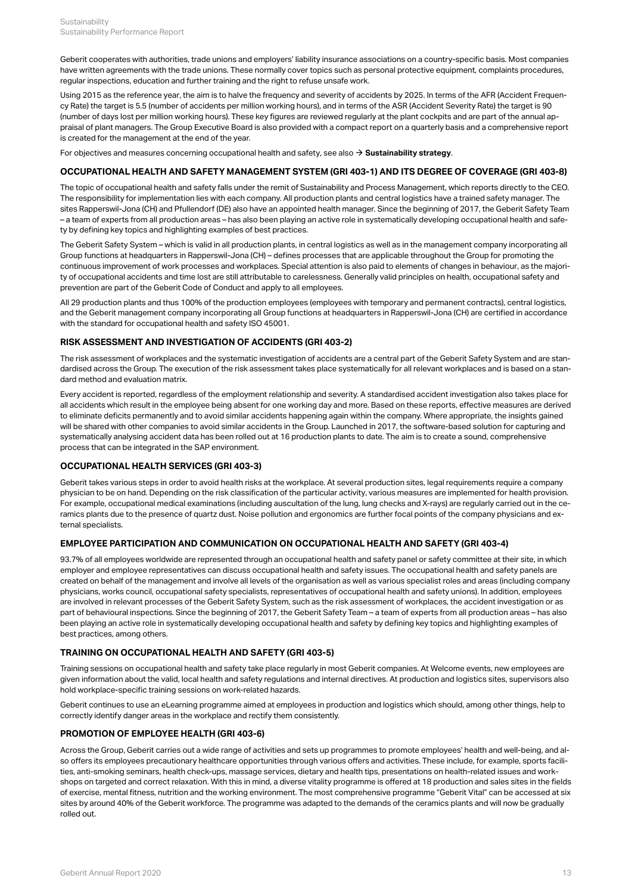Geberit cooperates with authorities, trade unions and employers' liability insurance associations on a country-specific basis. Most companies have written agreements with the trade unions. These normally cover topics such as personal protective equipment, complaints procedures, regular inspections, education and further training and the right to refuse unsafe work.

Using 2015 as the reference year, the aim is to halve the frequency and severity of accidents by 2025. In terms of the AFR (Accident Frequency Rate) the target is 5.5 (number of accidents per million working hours), and in terms of the ASR (Accident Severity Rate) the target is 90 (number of days lost per million working hours). These key figures are reviewed regularly at the plant cockpits and are part of the annual appraisal of plant managers. The Group Executive Board is also provided with a compact report on a quarterly basis and a comprehensive report is created for the management at the end of the year.

For objectives and measures concerning occupational health and safety, see also  $\rightarrow$  [Sustainability strategy](http://annualreport.geberit.com/reports/geberit/annual/2020/gb/English/3040/sustainability-strategy-2021-2023.html?anchor=3040_Occupational-health-and-safety#3040_Occupational-health-and-safety).

#### **OCCUPATIONAL HEALTH AND SAFETY MANAGEMENT SYSTEM (GRI 403-1) AND ITS DEGREE OF COVERAGE (GRI 403-8)**

The topic of occupational health and safety falls under the remit of Sustainability and Process Management, which reports directly to the CEO. The responsibility for implementation lies with each company. All production plants and central logistics have a trained safety manager. The sites Rapperswil-Jona (CH) and Pfullendorf (DE) also have an appointed health manager. Since the beginning of 2017, the Geberit Safety Team – a team of experts from all production areas – has also been playing an active role in systematically developing occupational health and safety by defining key topics and highlighting examples of best practices.

The Geberit Safety System – which is valid in all production plants, in central logistics as well as in the management company incorporating all Group functions at headquarters in Rapperswil-Jona (CH) – defines processes that are applicable throughout the Group for promoting the continuous improvement of work processes and workplaces. Special attention is also paid to elements of changes in behaviour, as the majority of occupational accidents and time lost are still attributable to carelessness. Generally valid principles on health, occupational safety and prevention are part of the Geberit Code of Conduct and apply to all employees.

All 29 production plants and thus 100% of the production employees (employees with temporary and permanent contracts), central logistics, and the Geberit management company incorporating all Group functions at headquarters in Rapperswil-Jona (CH) are certified in accordance with the standard for occupational health and safety ISO 45001.

### **RISK ASSESSMENT AND INVESTIGATION OF ACCIDENTS (GRI 403-2)**

The risk assessment of workplaces and the systematic investigation of accidents are a central part of the Geberit Safety System and are standardised across the Group. The execution of the risk assessment takes place systematically for all relevant workplaces and is based on a standard method and evaluation matrix.

Every accident is reported, regardless of the employment relationship and severity. A standardised accident investigation also takes place for all accidents which result in the employee being absent for one working day and more. Based on these reports, effective measures are derived to eliminate deficits permanently and to avoid similar accidents happening again within the company. Where appropriate, the insights gained will be shared with other companies to avoid similar accidents in the Group. Launched in 2017, the software-based solution for capturing and systematically analysing accident data has been rolled out at 16 production plants to date. The aim is to create a sound, comprehensive process that can be integrated in the SAP environment.

#### **OCCUPATIONAL HEALTH SERVICES (GRI 403-3)**

Geberit takes various steps in order to avoid health risks at the workplace. At several production sites, legal requirements require a company physician to be on hand. Depending on the risk classification of the particular activity, various measures are implemented for health provision. For example, occupational medical examinations (including auscultation of the lung, lung checks and X-rays) are regularly carried out in the ceramics plants due to the presence of quartz dust. Noise pollution and ergonomics are further focal points of the company physicians and external specialists.

### **EMPLOYEE PARTICIPATION AND COMMUNICATION ON OCCUPATIONAL HEALTH AND SAFETY (GRI 403-4)**

93.7% of all employees worldwide are represented through an occupational health and safety panel or safety committee at their site, in which employer and employee representatives can discuss occupational health and safety issues. The occupational health and safety panels are created on behalf of the management and involve all levels of the organisation as well as various specialist roles and areas (including company physicians, works council, occupational safety specialists, representatives of occupational health and safety unions). In addition, employees are involved in relevant processes of the Geberit Safety System, such as the risk assessment of workplaces, the accident investigation or as part of behavioural inspections. Since the beginning of 2017, the Geberit Safety Team – a team of experts from all production areas – has also been playing an active role in systematically developing occupational health and safety by defining key topics and highlighting examples of best practices, among others.

#### **TRAINING ON OCCUPATIONAL HEALTH AND SAFETY (GRI 403-5)**

Training sessions on occupational health and safety take place regularly in most Geberit companies. At Welcome events, new employees are given information about the valid, local health and safety regulations and internal directives. At production and logistics sites, supervisors also hold workplace-specific training sessions on work-related hazards.

Geberit continues to use an eLearning programme aimed at employees in production and logistics which should, among other things, help to correctly identify danger areas in the workplace and rectify them consistently.

#### **PROMOTION OF EMPLOYEE HEALTH (GRI 403-6)**

Across the Group, Geberit carries out a wide range of activities and sets up programmes to promote employees' health and well-being, and also offers its employees precautionary healthcare opportunities through various offers and activities. These include, for example, sports facilities, anti-smoking seminars, health check-ups, massage services, dietary and health tips, presentations on health-related issues and workshops on targeted and correct relaxation. With this in mind, a diverse vitality programme is offered at 18 production and sales sites in the fields of exercise, mental fitness, nutrition and the working environment. The most comprehensive programme "Geberit Vital" can be accessed at six sites by around 40% of the Geberit workforce. The programme was adapted to the demands of the ceramics plants and will now be gradually rolled out.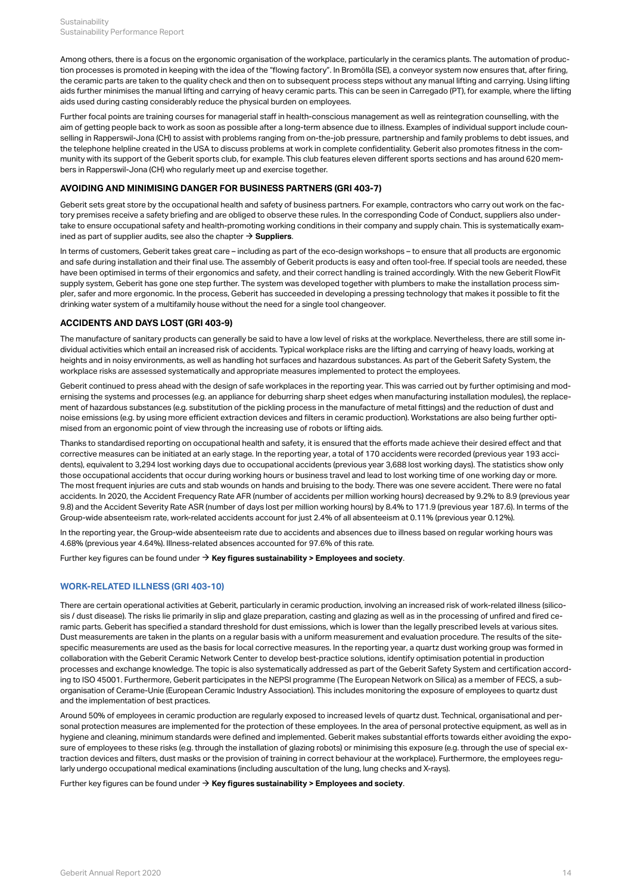Among others, there is a focus on the ergonomic organisation of the workplace, particularly in the ceramics plants. The automation of production processes is promoted in keeping with the idea of the "flowing factory". In Bromölla (SE), a conveyor system now ensures that, after firing, the ceramic parts are taken to the quality check and then on to subsequent process steps without any manual lifting and carrying. Using lifting aids further minimises the manual lifting and carrying of heavy ceramic parts. This can be seen in Carregado (PT), for example, where the lifting aids used during casting considerably reduce the physical burden on employees.

Further focal points are training courses for managerial staff in health-conscious management as well as reintegration counselling, with the aim of getting people back to work as soon as possible after a long-term absence due to illness. Examples of individual support include counselling in Rapperswil-Jona (CH) to assist with problems ranging from on-the-job pressure, partnership and family problems to debt issues, and the telephone helpline created in the USA to discuss problems at work in complete confidentiality. Geberit also promotes fitness in the community with its support of the Geberit sports club, for example. This club features eleven different sports sections and has around 620 members in Rapperswil-Jona (CH) who regularly meet up and exercise together.

## **AVOIDING AND MINIMISING DANGER FOR BUSINESS PARTNERS (GRI 403-7)**

Geberit sets great store by the occupational health and safety of business partners. For example, contractors who carry out work on the factory premises receive a safety briefing and are obliged to observe these rules. In the corresponding Code of Conduct, suppliers also undertake to ensure occupational safety and health-promoting working conditions in their company and supply chain. This is systematically examined as part of supplier audits, see also the chapter  $\rightarrow$  [Suppliers](#page-30-3).

In terms of customers, Geberit takes great care – including as part of the eco-design workshops – to ensure that all products are ergonomic and safe during installation and their final use. The assembly of Geberit products is easy and often tool-free. If special tools are needed, these have been optimised in terms of their ergonomics and safety, and their correct handling is trained accordingly. With the new Geberit FlowFit supply system, Geberit has gone one step further. The system was developed together with plumbers to make the installation process simpler, safer and more ergonomic. In the process, Geberit has succeeded in developing a pressing technology that makes it possible to fit the drinking water system of a multifamily house without the need for a single tool changeover.

#### **ACCIDENTS AND DAYS LOST (GRI 403-9)**

The manufacture of sanitary products can generally be said to have a low level of risks at the workplace. Nevertheless, there are still some individual activities which entail an increased risk of accidents. Typical workplace risks are the lifting and carrying of heavy loads, working at heights and in noisy environments, as well as handling hot surfaces and hazardous substances. As part of the Geberit Safety System, the workplace risks are assessed systematically and appropriate measures implemented to protect the employees.

Geberit continued to press ahead with the design of safe workplaces in the reporting year. This was carried out by further optimising and modernising the systems and processes (e.g. an appliance for deburring sharp sheet edges when manufacturing installation modules), the replacement of hazardous substances (e.g. substitution of the pickling process in the manufacture of metal fittings) and the reduction of dust and noise emissions (e.g. by using more efficient extraction devices and filters in ceramic production). Workstations are also being further optimised from an ergonomic point of view through the increasing use of robots or lifting aids.

Thanks to standardised reporting on occupational health and safety, it is ensured that the efforts made achieve their desired effect and that corrective measures can be initiated at an early stage. In the reporting year, a total of 170 accidents were recorded (previous year 193 accidents), equivalent to 3,294 lost working days due to occupational accidents (previous year 3,688 lost working days). The statistics show only those occupational accidents that occur during working hours or business travel and lead to lost working time of one working day or more. The most frequent injuries are cuts and stab wounds on hands and bruising to the body. There was one severe accident. There were no fatal accidents. In 2020, the Accident Frequency Rate AFR (number of accidents per million working hours) decreased by 9.2% to 8.9 (previous year 9.8) and the Accident Severity Rate ASR (number of days lost per million working hours) by 8.4% to 171.9 (previous year 187.6). In terms of the Group-wide absenteeism rate, work-related accidents account for just 2.4% of all absenteeism at 0.11% (previous year 0.12%).

In the reporting year, the Group-wide absenteeism rate due to accidents and absences due to illness based on regular working hours was 4.68% (previous year 4.64%). Illness-related absences accounted for 97.6% of this rate.

Further key figures can be found under  $\rightarrow$  [Key figures sustainability > Employees and society](#page-41-0).

# <span id="page-16-0"></span>**WORK-RELATED ILLNESS (GRI 403-10)**

There are certain operational activities at Geberit, particularly in ceramic production, involving an increased risk of work-related illness (silicosis / dust disease). The risks lie primarily in slip and glaze preparation, casting and glazing as well as in the processing of unfired and fired ceramic parts. Geberit has specified a standard threshold for dust emissions, which is lower than the legally prescribed levels at various sites. Dust measurements are taken in the plants on a regular basis with a uniform measurement and evaluation procedure. The results of the sitespecific measurements are used as the basis for local corrective measures. In the reporting year, a quartz dust working group was formed in collaboration with the Geberit Ceramic Network Center to develop best-practice solutions, identify optimisation potential in production processes and exchange knowledge. The topic is also systematically addressed as part of the Geberit Safety System and certification according to ISO 45001. Furthermore, Geberit participates in the NEPSI programme (The European Network on Silica) as a member of FECS, a suborganisation of Cerame-Unie (European Ceramic Industry Association). This includes monitoring the exposure of employees to quartz dust and the implementation of best practices.

Around 50% of employees in ceramic production are regularly exposed to increased levels of quartz dust. Technical, organisational and personal protection measures are implemented for the protection of these employees. In the area of personal protective equipment, as well as in hygiene and cleaning, minimum standards were defined and implemented. Geberit makes substantial efforts towards either avoiding the exposure of employees to these risks (e.g. through the installation of glazing robots) or minimising this exposure (e.g. through the use of special extraction devices and filters, dust masks or the provision of training in correct behaviour at the workplace). Furthermore, the employees regularly undergo occupational medical examinations (including auscultation of the lung, lung checks and X-rays).

Further key figures can be found under  $\rightarrow$  [Key figures sustainability > Employees and society](#page-41-0).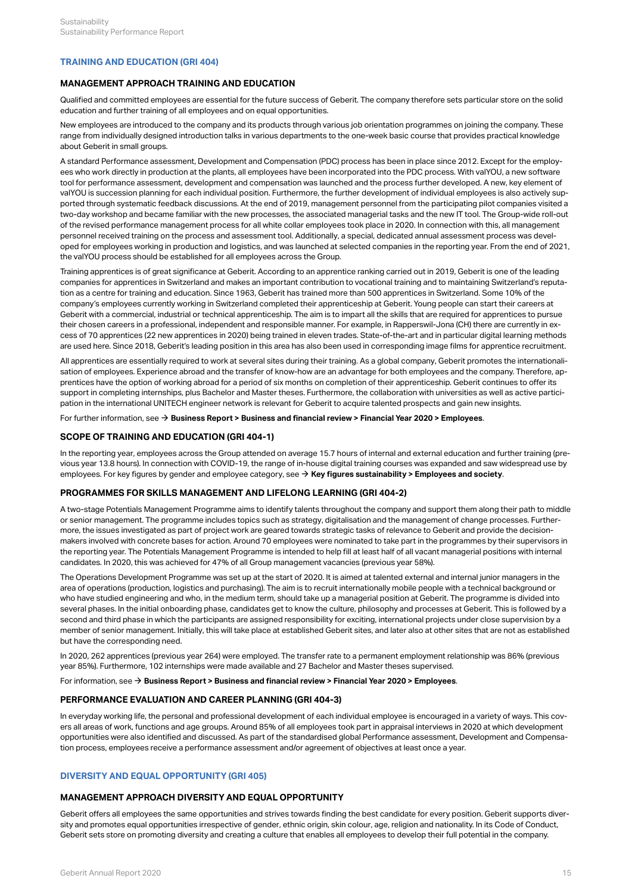## <span id="page-17-0"></span>**TRAINING AND EDUCATION (GRI 404)**

#### **MANAGEMENT APPROACH TRAINING AND EDUCATION**

Qualified and committed employees are essential for the future success of Geberit. The company therefore sets particular store on the solid education and further training of all employees and on equal opportunities.

New employees are introduced to the company and its products through various job orientation programmes on joining the company. These range from individually designed introduction talks in various departments to the one-week basic course that provides practical knowledge about Geberit in small groups.

A standard Performance assessment, Development and Compensation (PDC) process has been in place since 2012. Except for the employees who work directly in production at the plants, all employees have been incorporated into the PDC process. With valYOU, a new software tool for performance assessment, development and compensation was launched and the process further developed. A new, key element of valYOU is succession planning for each individual position. Furthermore, the further development of individual employees is also actively supported through systematic feedback discussions. At the end of 2019, management personnel from the participating pilot companies visited a two-day workshop and became familiar with the new processes, the associated managerial tasks and the new IT tool. The Group-wide roll-out of the revised performance management process for all white collar employees took place in 2020. In connection with this, all management personnel received training on the process and assessment tool. Additionally, a special, dedicated annual assessment process was developed for employees working in production and logistics, and was launched at selected companies in the reporting year. From the end of 2021, the valYOU process should be established for all employees across the Group.

Training apprentices is of great significance at Geberit. According to an apprentice ranking carried out in 2019, Geberit is one of the leading companies for apprentices in Switzerland and makes an important contribution to vocational training and to maintaining Switzerland's reputation as a centre for training and education. Since 1963, Geberit has trained more than 500 apprentices in Switzerland. Some 10% of the company's employees currently working in Switzerland completed their apprenticeship at Geberit. Young people can start their careers at Geberit with a commercial, industrial or technical apprenticeship. The aim is to impart all the skills that are required for apprentices to pursue their chosen careers in a professional, independent and responsible manner. For example, in Rapperswil-Jona (CH) there are currently in excess of 70 apprentices (22 new apprentices in 2020) being trained in eleven trades. State-of-the-art and in particular digital learning methods are used here. Since 2018, Geberit's leading position in this area has also been used in corresponding image films for apprentice recruitment.

All apprentices are essentially required to work at several sites during their training. As a global company, Geberit promotes the internationalisation of employees. Experience abroad and the transfer of know-how are an advantage for both employees and the company. Therefore, apprentices have the option of working abroad for a period of six months on completion of their apprenticeship. Geberit continues to offer its support in completing internships, plus Bachelor and Master theses. Furthermore, the collaboration with universities as well as active participation in the international UNITECH engineer network is relevant for Geberit to acquire talented prospects and gain new insights.

For further information, see  $\rightarrow$  [Business Report > Business and financial review > Financial Year 2020 > Employees](http://annualreport.geberit.com/reports/geberit/annual/2020/gb/English/10502040/employees.html).

#### **SCOPE OF TRAINING AND EDUCATION (GRI 404-1)**

In the reporting year, employees across the Group attended on average 15.7 hours of internal and external education and further training (previous year 13.8 hours). In connection with COVID-19, the range of in-house digital training courses was expanded and saw widespread use by employees. For key figures by gender and employee category, see  $\rightarrow$  [Key figures sustainability > Employees and society](#page-40-1).

# **PROGRAMMES FOR SKILLS MANAGEMENT AND LIFELONG LEARNING (GRI 404-2)**

A two-stage Potentials Management Programme aims to identify talents throughout the company and support them along their path to middle or senior management. The programme includes topics such as strategy, digitalisation and the management of change processes. Furthermore, the issues investigated as part of project work are geared towards strategic tasks of relevance to Geberit and provide the decisionmakers involved with concrete bases for action. Around 70 employees were nominated to take part in the programmes by their supervisors in the reporting year. The Potentials Management Programme is intended to help fill at least half of all vacant managerial positions with internal candidates. In 2020, this was achieved for 47% of all Group management vacancies (previous year 58%).

The Operations Development Programme was set up at the start of 2020. It is aimed at talented external and internal junior managers in the area of operations (production, logistics and purchasing). The aim is to recruit internationally mobile people with a technical background or who have studied engineering and who, in the medium term, should take up a managerial position at Geberit. The programme is divided into several phases. In the initial onboarding phase, candidates get to know the culture, philosophy and processes at Geberit. This is followed by a second and third phase in which the participants are assigned responsibility for exciting, international projects under close supervision by a member of senior management. Initially, this will take place at established Geberit sites, and later also at other sites that are not as established but have the corresponding need.

In 2020, 262 apprentices (previous year 264) were employed. The transfer rate to a permanent employment relationship was 86% (previous year 85%). Furthermore, 102 internships were made available and 27 Bachelor and Master theses supervised.

For information, see  $\rightarrow$  [Business Report > Business and financial review > Financial Year 2020 > Employees](http://annualreport.geberit.com/reports/geberit/annual/2020/gb/English/10502040/employees.html).

#### **PERFORMANCE EVALUATION AND CAREER PLANNING (GRI 404-3)**

In everyday working life, the personal and professional development of each individual employee is encouraged in a variety of ways. This covers all areas of work, functions and age groups. Around 85% of all employees took part in appraisal interviews in 2020 at which development opportunities were also identified and discussed. As part of the standardised global Performance assessment, Development and Compensation process, employees receive a performance assessment and/or agreement of objectives at least once a year.

# <span id="page-17-1"></span>**DIVERSITY AND EQUAL OPPORTUNITY (GRI 405)**

#### **MANAGEMENT APPROACH DIVERSITY AND EQUAL OPPORTUNITY**

Geberit offers all employees the same opportunities and strives towards finding the best candidate for every position. Geberit supports diversity and promotes equal opportunities irrespective of gender, ethnic origin, skin colour, age, religion and nationality. In its Code of Conduct, Geberit sets store on promoting diversity and creating a culture that enables all employees to develop their full potential in the company.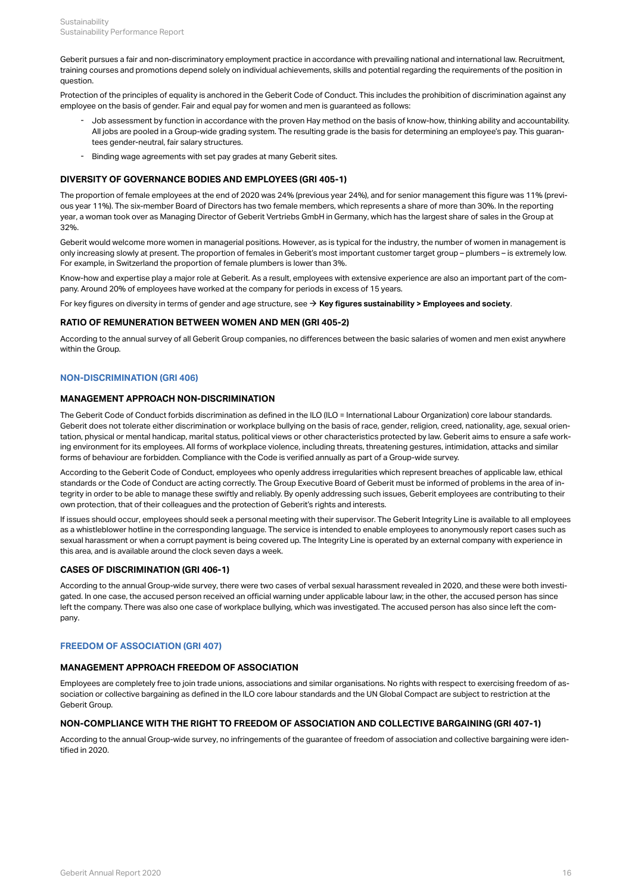Geberit pursues a fair and non-discriminatory employment practice in accordance with prevailing national and international law. Recruitment, training courses and promotions depend solely on individual achievements, skills and potential regarding the requirements of the position in question.

Protection of the principles of equality is anchored in the Geberit Code of Conduct. This includes the prohibition of discrimination against any employee on the basis of gender. Fair and equal pay for women and men is guaranteed as follows:

- Job assessment by function in accordance with the proven Hay method on the basis of know-how, thinking ability and accountability. All jobs are pooled in a Group-wide grading system. The resulting grade is the basis for determining an employee's pay. This guarantees gender-neutral, fair salary structures. -
- Binding wage agreements with set pay grades at many Geberit sites.

# **DIVERSITY OF GOVERNANCE BODIES AND EMPLOYEES (GRI 405-1)**

The proportion of female employees at the end of 2020 was 24% (previous year 24%), and for senior management this figure was 11% (previous year 11%). The six-member Board of Directors has two female members, which represents a share of more than 30%. In the reporting year, a woman took over as Managing Director of Geberit Vertriebs GmbH in Germany, which has the largest share of sales in the Group at 32%.

Geberit would welcome more women in managerial positions. However, as is typical for the industry, the number of women in management is only increasing slowly at present. The proportion of females in Geberit's most important customer target group – plumbers – is extremely low. For example, in Switzerland the proportion of female plumbers is lower than 3%.

Know-how and expertise play a major role at Geberit. As a result, employees with extensive experience are also an important part of the company. Around 20% of employees have worked at the company for periods in excess of 15 years.

For key figures on diversity in terms of gender and age structure, see → [Key figures sustainability > Employees and society](#page-39-2).

#### **RATIO OF REMUNERATION BETWEEN WOMEN AND MEN (GRI 405-2)**

According to the annual survey of all Geberit Group companies, no differences between the basic salaries of women and men exist anywhere within the Group.

# <span id="page-18-0"></span>**NON-DISCRIMINATION (GRI 406)**

#### **MANAGEMENT APPROACH NON-DISCRIMINATION**

The Geberit Code of Conduct forbids discrimination as defined in the ILO (ILO = International Labour Organization) core labour standards. Geberit does not tolerate either discrimination or workplace bullying on the basis of race, gender, religion, creed, nationality, age, sexual orientation, physical or mental handicap, marital status, political views or other characteristics protected by law. Geberit aims to ensure a safe working environment for its employees. All forms of workplace violence, including threats, threatening gestures, intimidation, attacks and similar forms of behaviour are forbidden. Compliance with the Code is verified annually as part of a Group-wide survey.

According to the Geberit Code of Conduct, employees who openly address irregularities which represent breaches of applicable law, ethical standards or the Code of Conduct are acting correctly. The Group Executive Board of Geberit must be informed of problems in the area of integrity in order to be able to manage these swiftly and reliably. By openly addressing such issues, Geberit employees are contributing to their own protection, that of their colleagues and the protection of Geberit's rights and interests.

If issues should occur, employees should seek a personal meeting with their supervisor. The Geberit Integrity Line is available to all employees as a whistleblower hotline in the corresponding language. The service is intended to enable employees to anonymously report cases such as sexual harassment or when a corrupt payment is being covered up. The Integrity Line is operated by an external company with experience in this area, and is available around the clock seven days a week.

#### **CASES OF DISCRIMINATION (GRI 406-1)**

According to the annual Group-wide survey, there were two cases of verbal sexual harassment revealed in 2020, and these were both investigated. In one case, the accused person received an official warning under applicable labour law; in the other, the accused person has since left the company. There was also one case of workplace bullying, which was investigated. The accused person has also since left the company.

#### <span id="page-18-1"></span>**FREEDOM OF ASSOCIATION (GRI 407)**

#### **MANAGEMENT APPROACH FREEDOM OF ASSOCIATION**

Employees are completely free to join trade unions, associations and similar organisations. No rights with respect to exercising freedom of association or collective bargaining as defined in the ILO core labour standards and the UN Global Compact are subject to restriction at the Geberit Group.

#### **NON-COMPLIANCE WITH THE RIGHT TO FREEDOM OF ASSOCIATION AND COLLECTIVE BARGAINING (GRI 407-1)**

According to the annual Group-wide survey, no infringements of the guarantee of freedom of association and collective bargaining were identified in 2020.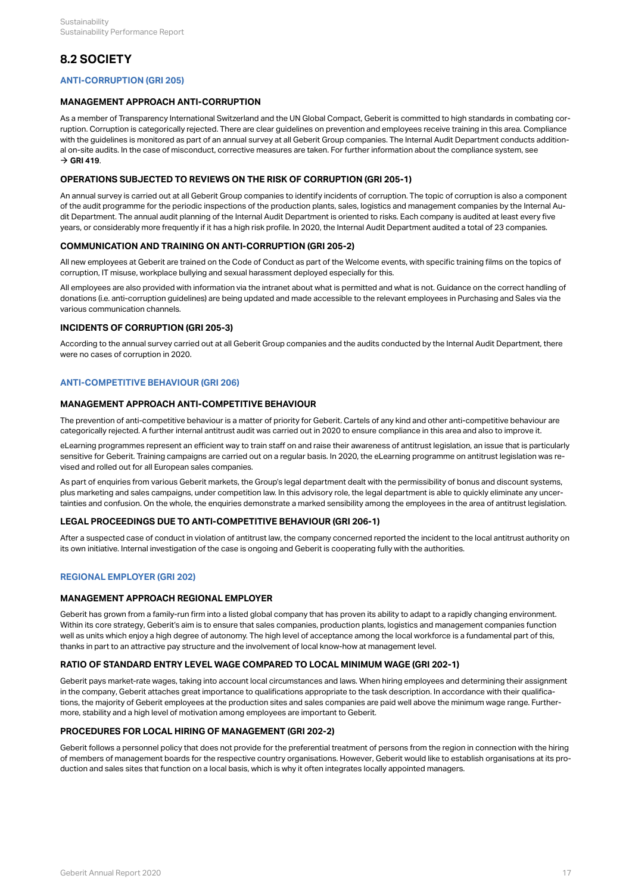# <span id="page-19-0"></span>**8.2 SOCIETY**

# <span id="page-19-1"></span>**ANTI-CORRUPTION (GRI 205)**

#### **MANAGEMENT APPROACH ANTI-CORRUPTION**

As a member of Transparency International Switzerland and the UN Global Compact, Geberit is committed to high standards in combating corruption. Corruption is categorically rejected. There are clear guidelines on prevention and employees receive training in this area. Compliance with the guidelines is monitored as part of an annual survey at all Geberit Group companies. The Internal Audit Department conducts additional on-site audits. In the case of misconduct, corrective measures are taken. For further information about the compliance system, see  $\rightarrow$  [GRI 419](#page-32-0).

#### **OPERATIONS SUBJECTED TO REVIEWS ON THE RISK OF CORRUPTION (GRI 205-1)**

An annual survey is carried out at all Geberit Group companies to identify incidents of corruption. The topic of corruption is also a component of the audit programme for the periodic inspections of the production plants, sales, logistics and management companies by the Internal Audit Department. The annual audit planning of the Internal Audit Department is oriented to risks. Each company is audited at least every five years, or considerably more frequently if it has a high risk profile. In 2020, the Internal Audit Department audited a total of 23 companies.

#### **COMMUNICATION AND TRAINING ON ANTI-CORRUPTION (GRI 205-2)**

All new employees at Geberit are trained on the Code of Conduct as part of the Welcome events, with specific training films on the topics of corruption, IT misuse, workplace bullying and sexual harassment deployed especially for this.

All employees are also provided with information via the intranet about what is permitted and what is not. Guidance on the correct handling of donations (i.e. anti-corruption guidelines) are being updated and made accessible to the relevant employees in Purchasing and Sales via the various communication channels.

#### **INCIDENTS OF CORRUPTION (GRI 205-3)**

According to the annual survey carried out at all Geberit Group companies and the audits conducted by the Internal Audit Department, there were no cases of corruption in 2020.

# <span id="page-19-2"></span>**ANTI-COMPETITIVE BEHAVIOUR (GRI 206)**

#### **MANAGEMENT APPROACH ANTI-COMPETITIVE BEHAVIOUR**

The prevention of anti-competitive behaviour is a matter of priority for Geberit. Cartels of any kind and other anti-competitive behaviour are categorically rejected. A further internal antitrust audit was carried out in 2020 to ensure compliance in this area and also to improve it.

eLearning programmes represent an efficient way to train staff on and raise their awareness of antitrust legislation, an issue that is particularly sensitive for Geberit. Training campaigns are carried out on a regular basis. In 2020, the eLearning programme on antitrust legislation was revised and rolled out for all European sales companies.

As part of enquiries from various Geberit markets, the Group's legal department dealt with the permissibility of bonus and discount systems, plus marketing and sales campaigns, under competition law. In this advisory role, the legal department is able to quickly eliminate any uncertainties and confusion. On the whole, the enquiries demonstrate a marked sensibility among the employees in the area of antitrust legislation.

#### **LEGAL PROCEEDINGS DUE TO ANTI-COMPETITIVE BEHAVIOUR (GRI 206-1)**

After a suspected case of conduct in violation of antitrust law, the company concerned reported the incident to the local antitrust authority on its own initiative. Internal investigation of the case is ongoing and Geberit is cooperating fully with the authorities.

# <span id="page-19-3"></span>**REGIONAL EMPLOYER (GRI 202)**

#### **MANAGEMENT APPROACH REGIONAL EMPLOYER**

Geberit has grown from a family-run firm into a listed global company that has proven its ability to adapt to a rapidly changing environment. Within its core strategy, Geberit's aim is to ensure that sales companies, production plants, logistics and management companies function well as units which enjoy a high degree of autonomy. The high level of acceptance among the local workforce is a fundamental part of this, thanks in part to an attractive pay structure and the involvement of local know-how at management level.

#### **RATIO OF STANDARD ENTRY LEVEL WAGE COMPARED TO LOCAL MINIMUM WAGE (GRI 202-1)**

Geberit pays market-rate wages, taking into account local circumstances and laws. When hiring employees and determining their assignment in the company, Geberit attaches great importance to qualifications appropriate to the task description. In accordance with their qualifications, the majority of Geberit employees at the production sites and sales companies are paid well above the minimum wage range. Furthermore, stability and a high level of motivation among employees are important to Geberit.

#### **PROCEDURES FOR LOCAL HIRING OF MANAGEMENT (GRI 202-2)**

Geberit follows a personnel policy that does not provide for the preferential treatment of persons from the region in connection with the hiring of members of management boards for the respective country organisations. However, Geberit would like to establish organisations at its production and sales sites that function on a local basis, which is why it often integrates locally appointed managers.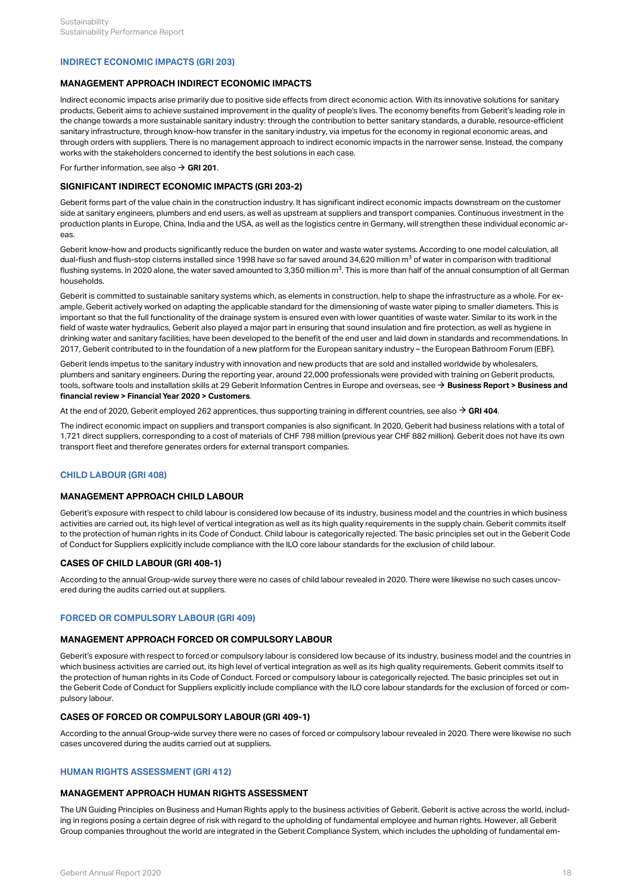### <span id="page-20-0"></span>**INDIRECT ECONOMIC IMPACTS (GRI 203)**

### **MANAGEMENT APPROACH INDIRECT ECONOMIC IMPACTS**

Indirect economic impacts arise primarily due to positive side effects from direct economic action. With its innovative solutions for sanitary products, Geberit aims to achieve sustained improvement in the quality of people's lives. The economy benefits from Geberit's leading role in the change towards a more sustainable sanitary industry: through the contribution to better sanitary standards, a durable, resource-efficient sanitary infrastructure, through know-how transfer in the sanitary industry, via impetus for the economy in regional economic areas, and through orders with suppliers. There is no management approach to indirect economic impacts in the narrower sense. Instead, the company works with the stakeholders concerned to identify the best solutions in each case.

For further information, see also  $\rightarrow$  [GRI 201](#page-32-1).

# **SIGNIFICANT INDIRECT ECONOMIC IMPACTS (GRI 203-2)**

Geberit forms part of the value chain in the construction industry. It has significant indirect economic impacts downstream on the customer side at sanitary engineers, plumbers and end users, as well as upstream at suppliers and transport companies. Continuous investment in the production plants in Europe, China, India and the USA, as well as the logistics centre in Germany, will strengthen these individual economic areas.

Geberit know-how and products significantly reduce the burden on water and waste water systems. According to one model calculation, all dual-flush and flush-stop cisterns installed since 1998 have so far saved around 34,620 million m $^3$  of water in comparison with traditional flushing systems. In 2020 alone, the water saved amounted to 3,350 million m $^3$ . This is more than half of the annual consumption of all German  $\,$ households.

Geberit is committed to sustainable sanitary systems which, as elements in construction, help to shape the infrastructure as a whole. For example, Geberit actively worked on adapting the applicable standard for the dimensioning of waste water piping to smaller diameters. This is important so that the full functionality of the drainage system is ensured even with lower quantities of waste water. Similar to its work in the field of waste water hydraulics, Geberit also played a major part in ensuring that sound insulation and fire protection, as well as hygiene in drinking water and sanitary facilities, have been developed to the benefit of the end user and laid down in standards and recommendations. In 2017, Geberit contributed to in the foundation of a new platform for the European sanitary industry – the European Bathroom Forum (EBF).

Geberit lends impetus to the sanitary industry with innovation and new products that are sold and installed worldwide by wholesalers, plumbers and sanitary engineers. During the reporting year, around 22,000 professionals were provided with training on Geberit products, tools, software tools and installation skills at 29 Geberit Information Centres in Europe and overseas, see → **Business Report > Business and [financial review > Financial Year 2020 > Customers](http://annualreport.geberit.com/reports/geberit/annual/2020/gb/English/10502045/customers.html)** .

At the end of 2020, Geberit employed 262 apprentices, thus supporting training in different countries, see also  $\rightarrow$  [GRI 404](#page-17-0).

The indirect economic impact on suppliers and transport companies is also significant. In 2020, Geberit had business relations with a total of 1,721 direct suppliers, corresponding to a cost of materials of CHF 798 million (previous year CHF 882 million). Geberit does not have its own transport fleet and therefore generates orders for external transport companies.

# <span id="page-20-1"></span>**CHILD LABOUR (GRI 408)**

# **MANAGEMENT APPROACH CHILD LABOUR**

Geberit's exposure with respect to child labour is considered low because of its industry, business model and the countries in which business activities are carried out, its high level of vertical integration as well as its high quality requirements in the supply chain. Geberit commits itself to the protection of human rights in its Code of Conduct. Child labour is categorically rejected. The basic principles set out in the Geberit Code of Conduct for Suppliers explicitly include compliance with the ILO core labour standards for the exclusion of child labour.

# **CASES OF CHILD LABOUR (GRI 408-1)**

According to the annual Group-wide survey there were no cases of child labour revealed in 2020. There were likewise no such cases uncovered during the audits carried out at suppliers.

#### <span id="page-20-2"></span>**FORCED OR COMPULSORY LABOUR (GRI 409)**

#### **MANAGEMENT APPROACH FORCED OR COMPULSORY LABOUR**

Geberit's exposure with respect to forced or compulsory labour is considered low because of its industry, business model and the countries in which business activities are carried out, its high level of vertical integration as well as its high quality requirements. Geberit commits itself to the protection of human rights in its Code of Conduct. Forced or compulsory labour is categorically rejected. The basic principles set out in the Geberit Code of Conduct for Suppliers explicitly include compliance with the ILO core labour standards for the exclusion of forced or compulsory labour.

#### **CASES OF FORCED OR COMPULSORY LABOUR (GRI 409-1)**

According to the annual Group-wide survey there were no cases of forced or compulsory labour revealed in 2020. There were likewise no such cases uncovered during the audits carried out at suppliers.

#### <span id="page-20-3"></span>**HUMAN RIGHTS ASSESSMENT (GRI 412)**

#### **MANAGEMENT APPROACH HUMAN RIGHTS ASSESSMENT**

The UN Guiding Principles on Business and Human Rights apply to the business activities of Geberit. Geberit is active across the world, including in regions posing a certain degree of risk with regard to the upholding of fundamental employee and human rights. However, all Geberit Group companies throughout the world are integrated in the Geberit Compliance System, which includes the upholding of fundamental em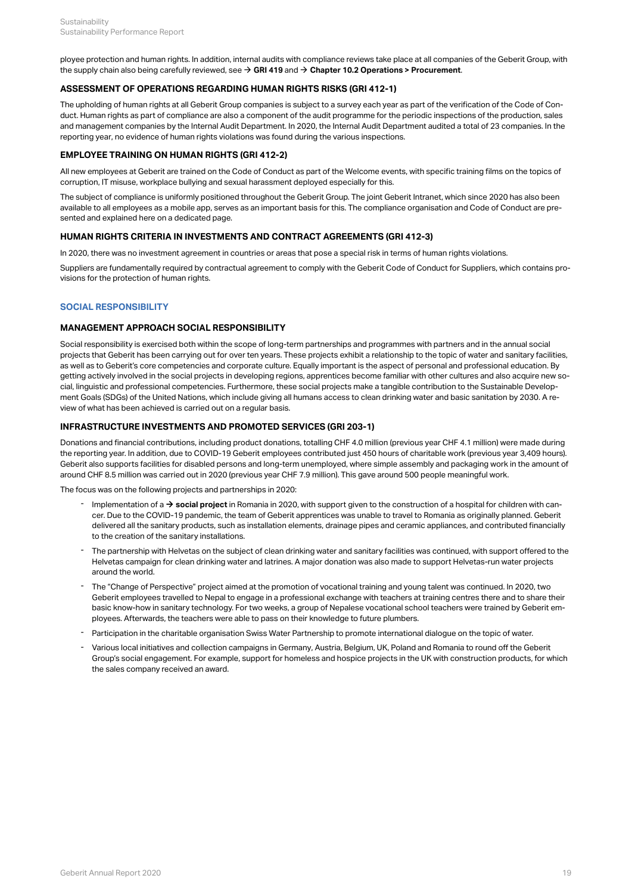ployee protection and human rights. In addition, internal audits with compliance reviews take place at all companies of the Geberit Group, with the supply chain also being carefully reviewed, see  $\rightarrow$  [GRI 419](#page-32-0) and  $\rightarrow$  [Chapter 10.2 Operations > Procurement](#page-30-1).

#### **ASSESSMENT OF OPERATIONS REGARDING HUMAN RIGHTS RISKS (GRI 412-1)**

The upholding of human rights at all Geberit Group companies is subject to a survey each year as part of the verification of the Code of Conduct. Human rights as part of compliance are also a component of the audit programme for the periodic inspections of the production, sales and management companies by the Internal Audit Department. In 2020, the Internal Audit Department audited a total of 23 companies. In the reporting year, no evidence of human rights violations was found during the various inspections.

#### **EMPLOYEE TRAINING ON HUMAN RIGHTS (GRI 412-2)**

All new employees at Geberit are trained on the Code of Conduct as part of the Welcome events, with specific training films on the topics of corruption, IT misuse, workplace bullying and sexual harassment deployed especially for this.

The subject of compliance is uniformly positioned throughout the Geberit Group. The joint Geberit Intranet, which since 2020 has also been available to all employees as a mobile app, serves as an important basis for this. The compliance organisation and Code of Conduct are presented and explained here on a dedicated page.

# **HUMAN RIGHTS CRITERIA IN INVESTMENTS AND CONTRACT AGREEMENTS (GRI 412-3)**

In 2020, there was no investment agreement in countries or areas that pose a special risk in terms of human rights violations.

Suppliers are fundamentally required by contractual agreement to comply with the Geberit Code of Conduct for Suppliers, which contains provisions for the protection of human rights.

# <span id="page-21-0"></span>**SOCIAL RESPONSIBILITY**

#### **MANAGEMENT APPROACH SOCIAL RESPONSIBILITY**

Social responsibility is exercised both within the scope of long-term partnerships and programmes with partners and in the annual social projects that Geberit has been carrying out for over ten years. These projects exhibit a relationship to the topic of water and sanitary facilities, as well as to Geberit's core competencies and corporate culture. Equally important is the aspect of personal and professional education. By getting actively involved in the social projects in developing regions, apprentices become familiar with other cultures and also acquire new social, linguistic and professional competencies. Furthermore, these social projects make a tangible contribution to the Sustainable Development Goals (SDGs) of the United Nations, which include giving all humans access to clean drinking water and basic sanitation by 2030. A review of what has been achieved is carried out on a regular basis.

#### **INFRASTRUCTURE INVESTMENTS AND PROMOTED SERVICES (GRI 203-1)**

Donations and financial contributions, including product donations, totalling CHF 4.0 million (previous year CHF 4.1 million) were made during the reporting year. In addition, due to COVID-19 Geberit employees contributed just 450 hours of charitable work (previous year 3,409 hours). Geberit also supports facilities for disabled persons and long-term unemployed, where simple assembly and packaging work in the amount of around CHF 8.5 million was carried out in 2020 (previous year CHF 7.9 million). This gave around 500 people meaningful work.

The focus was on the following projects and partnerships in 2020:

- Implementation of a → [social project](https://www.geberit.com/insights/house-of-hope.html) in Romania in 2020, with support given to the construction of a hospital for children with cancer. Due to the COVID-19 pandemic, the team of Geberit apprentices was unable to travel to Romania as originally planned. Geberit delivered all the sanitary products, such as installation elements, drainage pipes and ceramic appliances, and contributed financially to the creation of the sanitary installations.
- The partnership with Helvetas on the subject of clean drinking water and sanitary facilities was continued, with support offered to the Helvetas campaign for clean drinking water and latrines. A major donation was also made to support Helvetas-run water projects around the world.
- The "Change of Perspective" project aimed at the promotion of vocational training and young talent was continued. In 2020, two Geberit employees travelled to Nepal to engage in a professional exchange with teachers at training centres there and to share their basic know-how in sanitary technology. For two weeks, a group of Nepalese vocational school teachers were trained by Geberit employees. Afterwards, the teachers were able to pass on their knowledge to future plumbers. -
- Participation in the charitable organisation Swiss Water Partnership to promote international dialogue on the topic of water.
- Various local initiatives and collection campaigns in Germany, Austria, Belgium, UK, Poland and Romania to round off the Geberit Group's social engagement. For example, support for homeless and hospice projects in the UK with construction products, for which the sales company received an award. -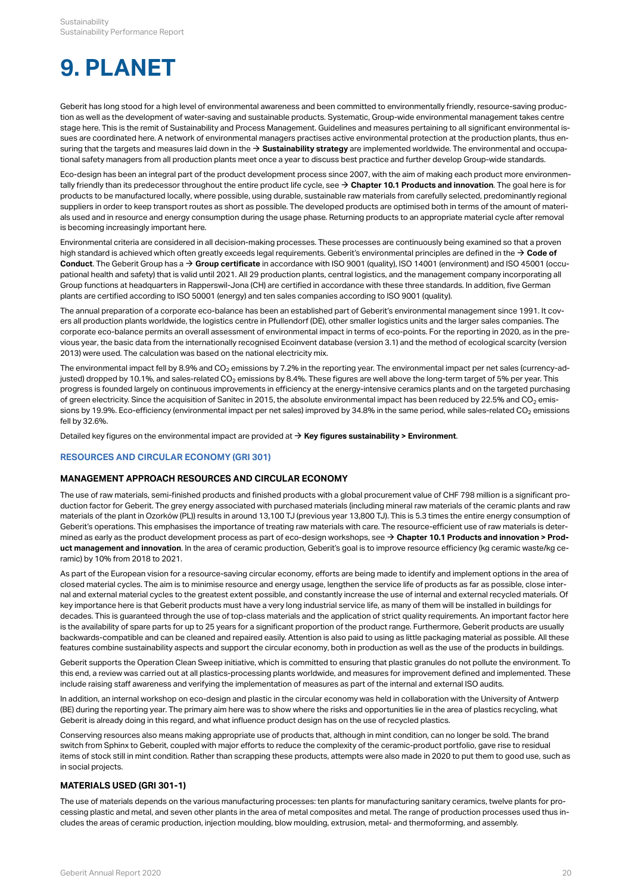# <span id="page-22-0"></span>**9. PLANET**

Geberit has long stood for a high level of environmental awareness and been committed to environmentally friendly, resource-saving production as well as the development of water-saving and sustainable products. Systematic, Group-wide environmental management takes centre stage here. This is the remit of Sustainability and Process Management. Guidelines and measures pertaining to all significant environmental issues are coordinated here. A network of environmental managers practises active environmental protection at the production plants, thus ensuring that the targets and measures laid down in the  $\rightarrow$  [Sustainability strategy](http://annualreport.geberit.com/reports/geberit/annual/2020/gb/English/3040/sustainability-strategy-2021-2023.html?anchor=3040_planet#3040_planet) are implemented worldwide. The environmental and occupational safety managers from all production plants meet once a year to discuss best practice and further develop Group-wide standards.

Eco-design has been an integral part of the product development process since 2007, with the aim of making each product more environmentally friendly than its predecessor throughout the entire product life cycle, see  $\rightarrow$  [Chapter 10.1 Products and innovation](#page-29-0). The goal here is for products to be manufactured locally, where possible, using durable, sustainable raw materials from carefully selected, predominantly regional suppliers in order to keep transport routes as short as possible. The developed products are optimised both in terms of the amount of materials used and in resource and energy consumption during the usage phase. Returning products to an appropriate material cycle after removal is becoming increasingly important here.

Environmental criteria are considered in all decision-making processes. These processes are continuously being examined so that a proven high standard is achieved which often greatly exceeds legal requirements. Geberit's environmental principles are defined in the → **Code of [Conduct](http://annualreport.geberit.com/geberit/annual/2020/gb/layout/../English/pdf/geberit_code_of_conduct_en.pdf)**. The Geberit Group has a  $\rightarrow$  **[Group certificate](https://www.geberit.com/files/diverses/iso-certificate-9001-and-14001-en.pdf)** in accordance with ISO 9001 (quality), ISO 14001 (environment) and ISO 45001 (occupational health and safety) that is valid until 2021. All 29 production plants, central logistics, and the management company incorporating all Group functions at headquarters in Rapperswil-Jona (CH) are certified in accordance with these three standards. In addition, five German plants are certified according to ISO 50001 (energy) and ten sales companies according to ISO 9001 (quality).

The annual preparation of a corporate eco-balance has been an established part of Geberit's environmental management since 1991. It covers all production plants worldwide, the logistics centre in Pfullendorf (DE), other smaller logistics units and the larger sales companies. The corporate eco-balance permits an overall assessment of environmental impact in terms of eco-points. For the reporting in 2020, as in the previous year, the basic data from the internationally recognised Ecoinvent database (version 3.1) and the method of ecological scarcity (version 2013) were used. The calculation was based on the national electricity mix.

The environmental impact fell by 8.9% and CO $_2$  emissions by 7.2% in the reporting year. The environmental impact per net sales (currency-adjusted) dropped by 10.1%, and sales-related CO $_2$  emissions by 8.4%. These figures are well above the long-term target of 5% per year. This progress is founded largely on continuous improvements in efficiency at the energy-intensive ceramics plants and on the targeted purchasing of green electricity. Since the acquisition of Sanitec in 2015, the absolute environmental impact has been reduced by 22.5% and CO $_2$  emissions by 19.9%. Eco-efficiency (environmental impact per net sales) improved by 34.8% in the same period, while sales-related CO $_2$  emissions fell by 32.6%.

Detailed key figures on the environmental impact are provided at  $\rightarrow$  [Key figures sustainability > Environment](#page-36-1).

#### <span id="page-22-1"></span>**RESOURCES AND CIRCULAR ECONOMY (GRI 301)**

#### **MANAGEMENT APPROACH RESOURCES AND CIRCULAR ECONOMY**

The use of raw materials, semi-finished products and finished products with a global procurement value of CHF 798 million is a significant production factor for Geberit. The grey energy associated with purchased materials (including mineral raw materials of the ceramic plants and raw materials of the plant in Ozorków (PL)) results in around 13,100 TJ (previous year 13,800 TJ). This is 5.3 times the entire energy consumption of Geberit's operations. This emphasises the importance of treating raw materials with care. The resource-efficient use of raw materials is determined as early as the product development process as part of eco-design workshops, see **[Chapter 10.1 Products and innovation > Prod-](#page-29-2)**[\\$](#page-29-2) **[uct management and innovation](#page-29-2)**. In the area of ceramic production, Geberit's goal is to improve resource efficiency (kg ceramic waste/kg ceramic) by 10% from 2018 to 2021.

As part of the European vision for a resource-saving circular economy, efforts are being made to identify and implement options in the area of closed material cycles. The aim is to minimise resource and energy usage, lengthen the service life of products as far as possible, close internal and external material cycles to the greatest extent possible, and constantly increase the use of internal and external recycled materials. Of key importance here is that Geberit products must have a very long industrial service life, as many of them will be installed in buildings for decades. This is guaranteed through the use of top-class materials and the application of strict quality requirements. An important factor here is the availability of spare parts for up to 25 years for a significant proportion of the product range. Furthermore, Geberit products are usually backwards-compatible and can be cleaned and repaired easily. Attention is also paid to using as little packaging material as possible. All these features combine sustainability aspects and support the circular economy, both in production as well as the use of the products in buildings.

Geberit supports the Operation Clean Sweep initiative, which is committed to ensuring that plastic granules do not pollute the environment. To this end, a review was carried out at all plastics-processing plants worldwide, and measures for improvement defined and implemented. These include raising staff awareness and verifying the implementation of measures as part of the internal and external ISO audits.

In addition, an internal workshop on eco-design and plastic in the circular economy was held in collaboration with the University of Antwerp (BE) during the reporting year. The primary aim here was to show where the risks and opportunities lie in the area of plastics recycling, what Geberit is already doing in this regard, and what influence product design has on the use of recycled plastics.

Conserving resources also means making appropriate use of products that, although in mint condition, can no longer be sold. The brand switch from Sphinx to Geberit, coupled with major efforts to reduce the complexity of the ceramic-product portfolio, gave rise to residual items of stock still in mint condition. Rather than scrapping these products, attempts were also made in 2020 to put them to good use, such as in social projects.

#### **MATERIALS USED (GRI 301-1)**

The use of materials depends on the various manufacturing processes: ten plants for manufacturing sanitary ceramics, twelve plants for processing plastic and metal, and seven other plants in the area of metal composites and metal. The range of production processes used thus includes the areas of ceramic production, injection moulding, blow moulding, extrusion, metal- and thermoforming, and assembly.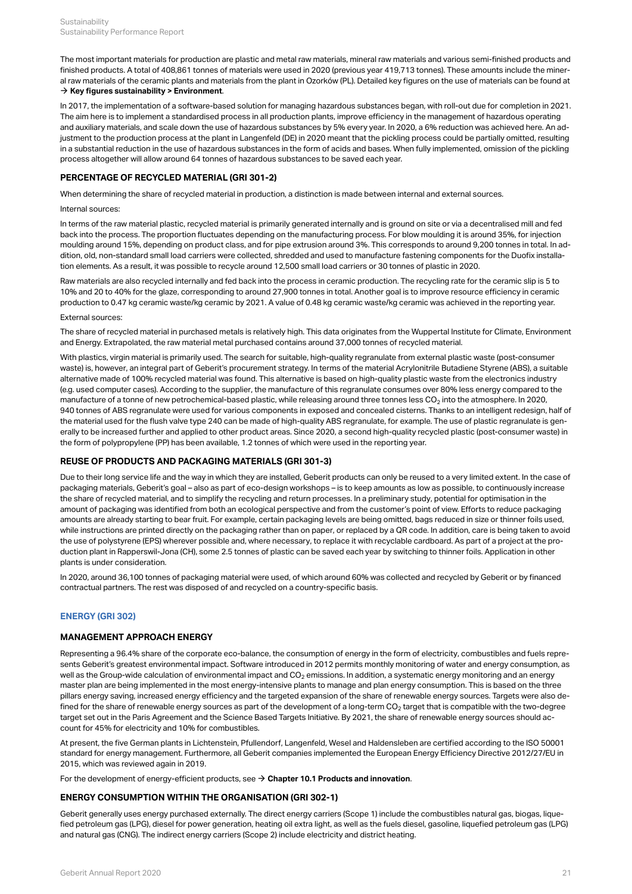The most important materials for production are plastic and metal raw materials, mineral raw materials and various semi-finished products and finished products. A total of 408,861 tonnes of materials were used in 2020 (previous year 419,713 tonnes). These amounts include the mineral raw materials of the ceramic plants and materials from the plant in Ozorków (PL). Detailed key figures on the use of materials can be found at  $\rightarrow$  [Key figures sustainability > Environment](#page-36-2).

In 2017, the implementation of a software-based solution for managing hazardous substances began, with roll-out due for completion in 2021. The aim here is to implement a standardised process in all production plants, improve efficiency in the management of hazardous operating and auxiliary materials, and scale down the use of hazardous substances by 5% every year. In 2020, a 6% reduction was achieved here. An adjustment to the production process at the plant in Langenfeld (DE) in 2020 meant that the pickling process could be partially omitted, resulting in a substantial reduction in the use of hazardous substances in the form of acids and bases. When fully implemented, omission of the pickling process altogether will allow around 64 tonnes of hazardous substances to be saved each year.

#### <span id="page-23-1"></span>**PERCENTAGE OF RECYCLED MATERIAL (GRI 301-2)**

When determining the share of recycled material in production, a distinction is made between internal and external sources.

#### Internal sources:

In terms of the raw material plastic, recycled material is primarily generated internally and is ground on site or via a decentralised mill and fed back into the process. The proportion fluctuates depending on the manufacturing process. For blow moulding it is around 35%, for injection moulding around 15%, depending on product class, and for pipe extrusion around 3%. This corresponds to around 9,200 tonnes in total. In addition, old, non-standard small load carriers were collected, shredded and used to manufacture fastening components for the Duofix installation elements. As a result, it was possible to recycle around 12,500 small load carriers or 30 tonnes of plastic in 2020.

Raw materials are also recycled internally and fed back into the process in ceramic production. The recycling rate for the ceramic slip is 5 to 10% and 20 to 40% for the glaze, corresponding to around 27,900 tonnes in total. Another goal is to improve resource efficiency in ceramic production to 0.47 kg ceramic waste/kg ceramic by 2021. A value of 0.48 kg ceramic waste/kg ceramic was achieved in the reporting year.

#### External sources:

The share of recycled material in purchased metals is relatively high. This data originates from the Wuppertal Institute for Climate, Environment and Energy. Extrapolated, the raw material metal purchased contains around 37,000 tonnes of recycled material.

With plastics, virgin material is primarily used. The search for suitable, high-quality regranulate from external plastic waste (post-consumer waste) is, however, an integral part of Geberit's procurement strategy. In terms of the material Acrylonitrile Butadiene Styrene (ABS), a suitable alternative made of 100% recycled material was found. This alternative is based on high-quality plastic waste from the electronics industry (e.g. used computer cases). According to the supplier, the manufacture of this regranulate consumes over 80% less energy compared to the manufacture of a tonne of new petrochemical-based plastic, while releasing around three tonnes less CO $_2$  into the atmosphere. In 2020, 940 tonnes of ABS regranulate were used for various components in exposed and concealed cisterns. Thanks to an intelligent redesign, half of the material used for the flush valve type 240 can be made of high-quality ABS regranulate, for example. The use of plastic regranulate is generally to be increased further and applied to other product areas. Since 2020, a second high-quality recycled plastic (post-consumer waste) in the form of polypropylene (PP) has been available, 1.2 tonnes of which were used in the reporting year.

# <span id="page-23-2"></span>**REUSE OF PRODUCTS AND PACKAGING MATERIALS (GRI 301-3)**

Due to their long service life and the way in which they are installed, Geberit products can only be reused to a very limited extent. In the case of packaging materials, Geberit's goal – also as part of eco-design workshops – is to keep amounts as low as possible, to continuously increase the share of recycled material, and to simplify the recycling and return processes. In a preliminary study, potential for optimisation in the amount of packaging was identified from both an ecological perspective and from the customer's point of view. Efforts to reduce packaging amounts are already starting to bear fruit. For example, certain packaging levels are being omitted, bags reduced in size or thinner foils used, while instructions are printed directly on the packaging rather than on paper, or replaced by a QR code. In addition, care is being taken to avoid the use of polystyrene (EPS) wherever possible and, where necessary, to replace it with recyclable cardboard. As part of a project at the production plant in Rapperswil-Jona (CH), some 2.5 tonnes of plastic can be saved each year by switching to thinner foils. Application in other plants is under consideration.

In 2020, around 36,100 tonnes of packaging material were used, of which around 60% was collected and recycled by Geberit or by financed contractual partners. The rest was disposed of and recycled on a country-specific basis.

# <span id="page-23-0"></span>**ENERGY (GRI 302)**

#### **MANAGEMENT APPROACH ENERGY**

Representing a 96.4% share of the corporate eco-balance, the consumption of energy in the form of electricity, combustibles and fuels represents Geberit's greatest environmental impact. Software introduced in 2012 permits monthly monitoring of water and energy consumption, as well as the Group-wide calculation of environmental impact and CO $_2$  emissions. In addition, a systematic energy monitoring and an energy master plan are being implemented in the most energy-intensive plants to manage and plan energy consumption. This is based on the three pillars energy saving, increased energy efficiency and the targeted expansion of the share of renewable energy sources. Targets were also defined for the share of renewable energy sources as part of the development of a long-term CO<sub>2</sub> target that is compatible with the two-degree target set out in the Paris Agreement and the Science Based Targets Initiative. By 2021, the share of renewable energy sources should account for 45% for electricity and 10% for combustibles.

At present, the five German plants in Lichtenstein, Pfullendorf, Langenfeld, Wesel and Haldensleben are certified according to the ISO 50001 standard for energy management. Furthermore, all Geberit companies implemented the European Energy Efficiency Directive 2012/27/EU in 2015, which was reviewed again in 2019.

For the development of energy-efficient products, see  $\rightarrow$  [Chapter 10.1 Products and innovation](#page-29-0).

#### **ENERGY CONSUMPTION WITHIN THE ORGANISATION (GRI 302-1)**

Geberit generally uses energy purchased externally. The direct energy carriers (Scope 1) include the combustibles natural gas, biogas, liquefied petroleum gas (LPG), diesel for power generation, heating oil extra light, as well as the fuels diesel, gasoline, liquefied petroleum gas (LPG) and natural gas (CNG). The indirect energy carriers (Scope 2) include electricity and district heating.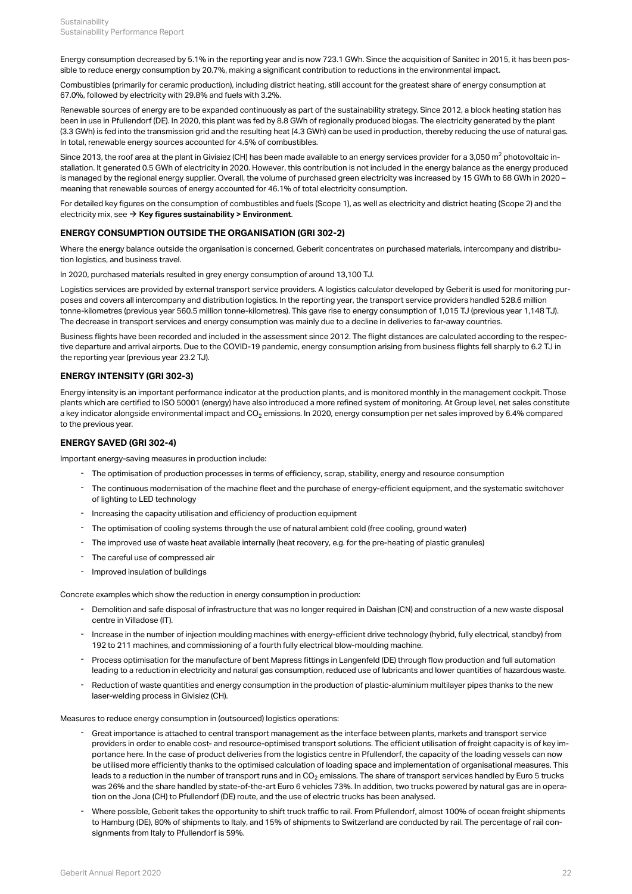Energy consumption decreased by 5.1% in the reporting year and is now 723.1 GWh. Since the acquisition of Sanitec in 2015, it has been possible to reduce energy consumption by 20.7%, making a significant contribution to reductions in the environmental impact.

Combustibles (primarily for ceramic production), including district heating, still account for the greatest share of energy consumption at 67.0%, followed by electricity with 29.8% and fuels with 3.2%.

Renewable sources of energy are to be expanded continuously as part of the sustainability strategy. Since 2012, a block heating station has been in use in Pfullendorf (DE). In 2020, this plant was fed by 8.8 GWh of regionally produced biogas. The electricity generated by the plant (3.3 GWh) is fed into the transmission grid and the resulting heat (4.3 GWh) can be used in production, thereby reducing the use of natural gas. In total, renewable energy sources accounted for 4.5% of combustibles.

Since 2013, the roof area at the plant in Givisiez (CH) has been made available to an energy services provider for a 3,050 m<sup>2</sup> photovoltaic installation. It generated 0.5 GWh of electricity in 2020. However, this contribution is not included in the energy balance as the energy produced is managed by the regional energy supplier. Overall, the volume of purchased green electricity was increased by 15 GWh to 68 GWh in 2020 – meaning that renewable sources of energy accounted for 46.1% of total electricity consumption.

For detailed key figures on the consumption of combustibles and fuels (Scope 1), as well as electricity and district heating (Scope 2) and the electricity mix, see  $\rightarrow$  [Key figures sustainability > Environment](#page-36-3).

# <span id="page-24-0"></span>**ENERGY CONSUMPTION OUTSIDE THE ORGANISATION (GRI 302-2)**

Where the energy balance outside the organisation is concerned, Geberit concentrates on purchased materials, intercompany and distribution logistics, and business travel.

In 2020, purchased materials resulted in grey energy consumption of around 13,100 TJ.

Logistics services are provided by external transport service providers. A logistics calculator developed by Geberit is used for monitoring purposes and covers all intercompany and distribution logistics. In the reporting year, the transport service providers handled 528.6 million tonne-kilometres (previous year 560.5 million tonne-kilometres). This gave rise to energy consumption of 1,015 TJ (previous year 1,148 TJ). The decrease in transport services and energy consumption was mainly due to a decline in deliveries to far-away countries.

Business flights have been recorded and included in the assessment since 2012. The flight distances are calculated according to the respective departure and arrival airports. Due to the COVID-19 pandemic, energy consumption arising from business flights fell sharply to 6.2 TJ in the reporting year (previous year 23.2 TJ).

## **ENERGY INTENSITY (GRI 302-3)**

Energy intensity is an important performance indicator at the production plants, and is monitored monthly in the management cockpit. Those plants which are certified to ISO 50001 (energy) have also introduced a more refined system of monitoring. At Group level, net sales constitute a key indicator alongside environmental impact and CO $_2$  emissions. In 2020, energy consumption per net sales improved by 6.4% compared to the previous year.

#### **ENERGY SAVED (GRI 302-4)**

Important energy-saving measures in production include:

- The optimisation of production processes in terms of efficiency, scrap, stability, energy and resource consumption
- The continuous modernisation of the machine fleet and the purchase of energy-efficient equipment, and the systematic switchover of lighting to LED technology -
- Increasing the capacity utilisation and efficiency of production equipment
- The optimisation of cooling systems through the use of natural ambient cold (free cooling, ground water)
- The improved use of waste heat available internally (heat recovery, e.g. for the pre-heating of plastic granules)
- The careful use of compressed air
- Improved insulation of buildings

Concrete examples which show the reduction in energy consumption in production:

- Demolition and safe disposal of infrastructure that was no longer required in Daishan (CN) and construction of a new waste disposal centre in Villadose (IT).
- Increase in the number of injection moulding machines with energy-efficient drive technology (hybrid, fully electrical, standby) from 192 to 211 machines, and commissioning of a fourth fully electrical blow-moulding machine.
- Process optimisation for the manufacture of bent Mapress fittings in Langenfeld (DE) through flow production and full automation leading to a reduction in electricity and natural gas consumption, reduced use of lubricants and lower quantities of hazardous waste.
- Reduction of waste quantities and energy consumption in the production of plastic-aluminium multilayer pipes thanks to the new laser-welding process in Givisiez (CH). -

Measures to reduce energy consumption in (outsourced) logistics operations:

- Great importance is attached to central transport management as the interface between plants, markets and transport service providers in order to enable cost- and resource-optimised transport solutions. The efficient utilisation of freight capacity is of key importance here. In the case of product deliveries from the logistics centre in Pfullendorf, the capacity of the loading vessels can now be utilised more efficiently thanks to the optimised calculation of loading space and implementation of organisational measures. This leads to a reduction in the number of transport runs and in CO $_2$  emissions. The share of transport services handled by Euro 5 trucks was 26% and the share handled by state-of-the-art Euro 6 vehicles 73%. In addition, two trucks powered by natural gas are in operation on the Jona (CH) to Pfullendorf (DE) route, and the use of electric trucks has been analysed. -
- Where possible, Geberit takes the opportunity to shift truck traffic to rail. From Pfullendorf, almost 100% of ocean freight shipments to Hamburg (DE), 80% of shipments to Italy, and 15% of shipments to Switzerland are conducted by rail. The percentage of rail consignments from Italy to Pfullendorf is 59%. -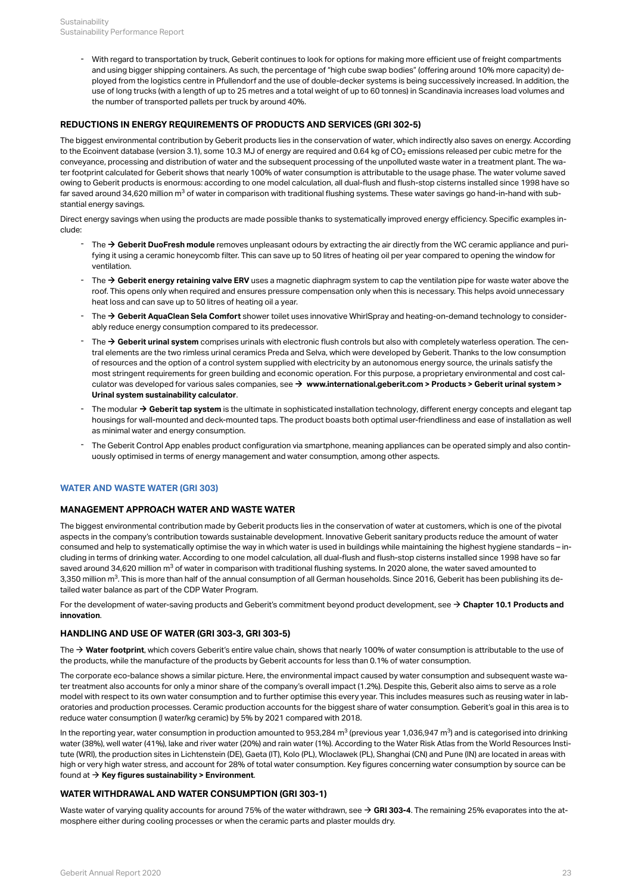With regard to transportation by truck, Geberit continues to look for options for making more efficient use of freight compartments and using bigger shipping containers. As such, the percentage of "high cube swap bodies" (offering around 10% more capacity) deployed from the logistics centre in Pfullendorf and the use of double-decker systems is being successively increased. In addition, the use of long trucks (with a length of up to 25 metres and a total weight of up to 60 tonnes) in Scandinavia increases load volumes and the number of transported pallets per truck by around 40%. -

# **REDUCTIONS IN ENERGY REQUIREMENTS OF PRODUCTS AND SERVICES (GRI 302-5)**

The biggest environmental contribution by Geberit products lies in the conservation of water, which indirectly also saves on energy. According to the Ecoinvent database (version 3.1), some 10.3 MJ of energy are required and 0.64 kg of CO $_2$  emissions released per cubic metre for the conveyance, processing and distribution of water and the subsequent processing of the unpolluted waste water in a treatment plant. The water footprint calculated for Geberit shows that nearly 100% of water consumption is attributable to the usage phase. The water volume saved owing to Geberit products is enormous: according to one model calculation, all dual-flush and flush-stop cisterns installed since 1998 have so far saved around 34,620 million m $^3$  of water in comparison with traditional flushing systems. These water savings go hand-in-hand with substantial energy savings.

Direct energy savings when using the products are made possible thanks to systematically improved energy efficiency. Specific examples include:

- The → [Geberit DuoFresh module](https://www.geberit.com/insights/feeling-of-freshness.html) removes unpleasant odours by extracting the air directly from the WC ceramic appliance and purifying it using a ceramic honeycomb filter. This can save up to 50 litres of heating oil per year compared to opening the window for ventilation.
- The → [Geberit energy retaining valve ERV](https://www.geberit.co.uk/products/piping-systems-for-building-drainage/geberit-energy-retaining-valve-erv/) uses a magnetic diaphragm system to cap the ventilation pipe for waste water above the roof. This opens only when required and ensures pressure compensation only when this is necessary. This helps avoid unnecessary heat loss and can save up to 50 litres of heating oil a year.
- The → [Geberit AquaClean Sela Comfort](http://annualreport.geberit.com/geberit/annual/2020/gb/layout/../English/pdf/Facts_Figures_2019_EN_AquaClean_Sela.pdf) shower toilet uses innovative WhirlSpray and heating-on-demand technology to considerably reduce energy consumption compared to its predecessor. -
- The → [Geberit urinal system](http://annualreport.geberit.com/geberit/annual/2020/gb/layout/../English/pdf/urinal_system_2018.pdf) comprises urinals with electronic flush controls but also with completely waterless operation. The central elements are the two rimless urinal ceramics Preda and Selva, which were developed by Geberit. Thanks to the low consumption of resources and the option of a control system supplied with electricity by an autonomous energy source, the urinals satisfy the most stringent requirements for green building and economic operation. For this purpose, a proprietary environmental and cost calculator was developed for various sales companies, see → [www.international.geberit.com > Products > Geberit urinal system >](https://tools.international.geberit.com/en_gisa/urinal_calculator/urinal_calculator_page.html) **[Urinal system sustainability calculator](https://tools.international.geberit.com/en_gisa/urinal_calculator/urinal_calculator_page.html)** .
- The modular → [Geberit tap system](http://annualreport.geberit.com/geberit/annual/2020/gb/layout/../English/pdf/tab_system.pdf) is the ultimate in sophisticated installation technology, different energy concepts and elegant tap housings for wall-mounted and deck-mounted taps. The product boasts both optimal user-friendliness and ease of installation as well as minimal water and energy consumption.
- The Geberit Control App enables product configuration via smartphone, meaning appliances can be operated simply and also contin- uously optimised in terms of energy management and water consumption, among other aspects.

# <span id="page-25-0"></span>**WATER AND WASTE WATER (GRI 303)**

#### **MANAGEMENT APPROACH WATER AND WASTE WATER**

The biggest environmental contribution made by Geberit products lies in the conservation of water at customers, which is one of the pivotal aspects in the company's contribution towards sustainable development. Innovative Geberit sanitary products reduce the amount of water consumed and help to systematically optimise the way in which water is used in buildings while maintaining the highest hygiene standards – including in terms of drinking water. According to one model calculation, all dual-flush and flush-stop cisterns installed since 1998 have so far saved around 34,620 million m $^3$  of water in comparison with traditional flushing systems. In 2020 alone, the water saved amounted to 3,350 million m $^3$ . This is more than half of the annual consumption of all German households. Since 2016, Geberit has been publishing its detailed water balance as part of the CDP Water Program.

For the development of water-saving products and Geberit's commitment beyond product development, see  $\rightarrow$  [Chapter 10.1 Products and](#page-29-0) **[innovation](#page-29-0)** .

#### **HANDLING AND USE OF WATER (GRI 303-3, GRI 303-5)**

The  $\rightarrow$  [Water footprint](http://annualreport.geberit.com/reports/geberit/annual/2020/gb/English/10502065/sustainability.html?anchor=10502065_Water-footprint#10502065_Water-footprint), which covers Geberit's entire value chain, shows that nearly 100% of water consumption is attributable to the use of the products, while the manufacture of the products by Geberit accounts for less than 0.1% of water consumption.

The corporate eco-balance shows a similar picture. Here, the environmental impact caused by water consumption and subsequent waste water treatment also accounts for only a minor share of the company's overall impact (1.2%). Despite this, Geberit also aims to serve as a role model with respect to its own water consumption and to further optimise this every year. This includes measures such as reusing water in laboratories and production processes. Ceramic production accounts for the biggest share of water consumption. Geberit's goal in this area is to reduce water consumption (l water/kg ceramic) by 5% by 2021 compared with 2018.

In the reporting year, water consumption in production amounted to 953,284 m $^3$  (previous year 1,036,947 m $^3$ ) and is categorised into drinking water (38%), well water (41%), lake and river water (20%) and rain water (1%). According to the Water Risk Atlas from the World Resources Institute (WRI), the production sites in Lichtenstein (DE), Gaeta (IT), Kolo (PL), Wloclawek (PL), Shanghai (CN) and Pune (IN) are located in areas with high or very high water stress, and account for 28% of total water consumption. Key figures concerning water consumption by source can be found at  $\rightarrow$  [Key figures sustainability > Environment](#page-37-0).

# **WATER WITHDRAWAL AND WATER CONSUMPTION (GRI 303-1)**

Waste water of varying quality accounts for around 75% of the water withdrawn, see  $\rightarrow$  [GRI 303-4](#page-26-1). The remaining 25% evaporates into the atmosphere either during cooling processes or when the ceramic parts and plaster moulds dry.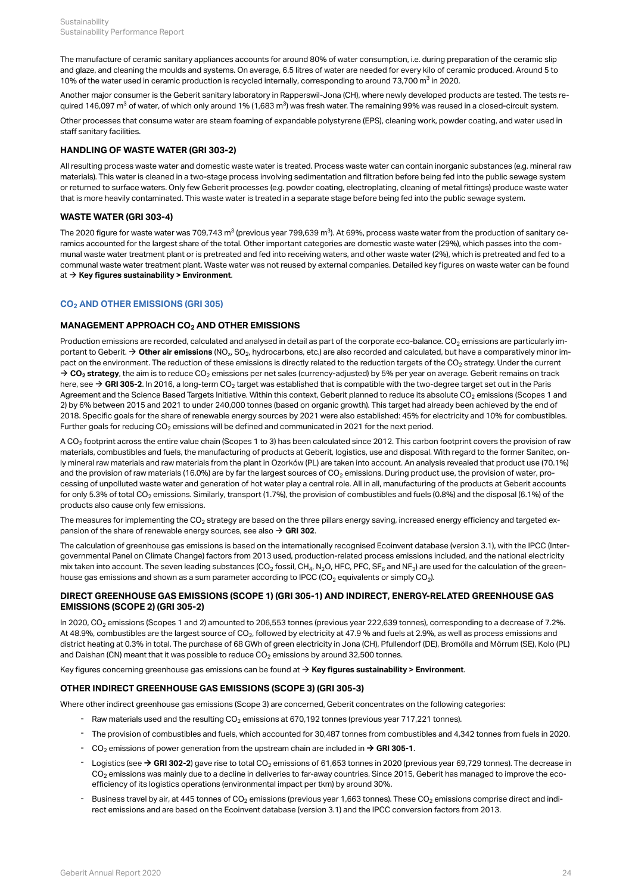The manufacture of ceramic sanitary appliances accounts for around 80% of water consumption, i.e. during preparation of the ceramic slip and glaze, and cleaning the moulds and systems. On average, 6.5 litres of water are needed for every kilo of ceramic produced. Around 5 to 10% of the water used in ceramic production is recycled internally, corresponding to around 73,700  $\text{m}^3$  in 2020.

Another major consumer is the Geberit sanitary laboratory in Rapperswil-Jona (CH), where newly developed products are tested. The tests required 146,097 m $^3$  of water, of which only around 1% (1,683 m $^3$ ) was fresh water. The remaining 99% was reused in a closed-circuit system.

Other processes that consume water are steam foaming of expandable polystyrene (EPS), cleaning work, powder coating, and water used in staff sanitary facilities.

# **HANDLING OF WASTE WATER (GRI 303-2)**

All resulting process waste water and domestic waste water is treated. Process waste water can contain inorganic substances (e.g. mineral raw materials). This water is cleaned in a two-stage process involving sedimentation and filtration before being fed into the public sewage system or returned to surface waters. Only few Geberit processes (e.g. powder coating, electroplating, cleaning of metal fittings) produce waste water that is more heavily contaminated. This waste water is treated in a separate stage before being fed into the public sewage system.

# <span id="page-26-1"></span>**WASTE WATER (GRI 303-4)**

The 2020 figure for waste water was 709,743 m $^3$  (previous year 799,639 m $^3$ ). At 69%, process waste water from the production of sanitary ceramics accounted for the largest share of the total. Other important categories are domestic waste water (29%), which passes into the communal waste water treatment plant or is pretreated and fed into receiving waters, and other waste water (2%), which is pretreated and fed to a communal waste water treatment plant. Waste water was not reused by external companies. Detailed key figures on waste water can be found at  $\rightarrow$  [Key figures sustainability > Environment](#page-37-0).

# <span id="page-26-0"></span>**CO AND OTHER EMISSIONS (GRI 305) 2**

# $M$ ANAGEMENT APPROACH CO $_2$  AND OTHER EMISSIONS

Production emissions are recorded, calculated and analysed in detail as part of the corporate eco-balance. CO $_2$  emissions are particularly important to Geberit.  $\to$  **[Other air emissions](#page-38-0)** (NO<sub>x</sub>, SO<sub>2</sub>, hydrocarbons, etc.) are also recorded and calculated, but have a comparatively minor impact on the environment. The reduction of these emissions is directly related to the reduction targets of the CO $_2$  strategy. Under the current  $\rightarrow$  [CO](http://annualreport.geberit.com/reports/geberit/annual/2020/gb/English/3040/sustainability-strategy-2021-2023.html?anchor=3040_Energy-and-CO2-reduction#3040_Energy-and-CO2-reduction)<sub>[2](http://annualreport.geberit.com/reports/geberit/annual/2020/gb/English/3040/sustainability-strategy-2021-2023.html?anchor=3040_Energy-and-CO2-reduction#3040_Energy-and-CO2-reduction)</sub> [strategy](http://annualreport.geberit.com/reports/geberit/annual/2020/gb/English/3040/sustainability-strategy-2021-2023.html?anchor=3040_Energy-and-CO2-reduction#3040_Energy-and-CO2-reduction), the aim is to reduce CO<sub>2</sub> emissions per net sales (currency-adjusted) by 5% per year on average. Geberit remains on track here, see  $\to$  [GRI 305-2](#page-26-2). In 2016, a long-term CO $_2$  target was established that is compatible with the two-degree target set out in the Paris Agreement and the Science Based Targets Initiative. Within this context, Geberit planned to reduce its absolute CO $_2$  emissions (Scopes 1 and 2) by 6% between 2015 and 2021 to under 240,000 tonnes (based on organic growth). This target had already been achieved by the end of 2018. Specific goals for the share of renewable energy sources by 2021 were also established: 45% for electricity and 10% for combustibles. Further goals for reducing CO $_2$  emissions will be defined and communicated in 2021 for the next period.

A CO $_2$  footprint across the entire value chain (Scopes 1 to 3) has been calculated since 2012. This carbon footprint covers the provision of raw materials, combustibles and fuels, the manufacturing of products at Geberit, logistics, use and disposal. With regard to the former Sanitec, only mineral raw materials and raw materials from the plant in Ozorków (PL) are taken into account. An analysis revealed that product use (70.1%) and the provision of raw materials (16.0%) are by far the largest sources of CO $_2$  emissions. During product use, the provision of water, processing of unpolluted waste water and generation of hot water play a central role. All in all, manufacturing of the products at Geberit accounts for only 5.3% of total CO $_2$  emissions. Similarly, transport (1.7%), the provision of combustibles and fuels (0.8%) and the disposal (6.1%) of the products also cause only few emissions.

The measures for implementing the CO $_2$  strategy are based on the three pillars energy saving, increased energy efficiency and targeted expansion of the share of renewable energy sources, see also  $\rightarrow$  [GRI 302](#page-23-0).

The calculation of greenhouse gas emissions is based on the internationally recognised Ecoinvent database (version 3.1), with the IPCC (Intergovernmental Panel on Climate Change) factors from 2013 used, production-related process emissions included, and the national electricity mix taken into account. The seven leading substances (CO $_2$  fossil, CH $_4$ , N $_2$ O, HFC, PFC, SF $_6$  and NF $_3$ ) are used for the calculation of the greenhouse gas emissions and shown as a sum parameter according to IPCC (CO $_2$  equivalents or simply CO $_2$ ).

# <span id="page-26-2"></span>**DIRECT GREENHOUSE GAS EMISSIONS (SCOPE 1) (GRI 305-1) AND INDIRECT, ENERGY-RELATED GREENHOUSE GAS EMISSIONS (SCOPE 2) (GRI 305-2)**

ln 2020, CO<sub>2</sub> emissions (Scopes 1 and 2) amounted to 206,553 tonnes (previous year 222,639 tonnes), corresponding to a decrease of 7.2%. At 48.9%, combustibles are the largest source of CO $_2$ , followed by electricity at 47.9 % and fuels at 2.9%, as well as process emissions and district heating at 0.3% in total. The purchase of 68 GWh of green electricity in Jona (CH), Pfullendorf (DE), Bromölla and Mörrum (SE), Kolo (PL) and Daishan (CN) meant that it was possible to reduce CO $_2$  emissions by around 32,500 tonnes.

Key figures concerning greenhouse gas emissions can be found at  $\rightarrow$  [Key figures sustainability > Environment](#page-38-0).

# **OTHER INDIRECT GREENHOUSE GAS EMISSIONS (SCOPE 3) (GRI 305-3)**

Where other indirect greenhouse gas emissions (Scope 3) are concerned, Geberit concentrates on the following categories:

- Raw materials used and the resulting  $CO<sub>2</sub>$  emissions at 670,192 tonnes (previous year 717,221 tonnes).
- The provision of combustibles and fuels, which accounted for 30,487 tonnes from combustibles and 4,342 tonnes from fuels in 2020.
- $-CO<sub>2</sub>$  emissions of power generation from the upstream chain are included in  $\rightarrow$  [GRI 305-1](#page-26-2).
- $\,$  Logistics (see  $\to$  [GRI 302-2](#page-24-0)) gave rise to total CO $_2$  emissions of 61,653 tonnes in 2020 (previous year 69,729 tonnes). The decrease in CO $_2$  emissions was mainly due to a decline in deliveries to far-away countries. Since 2015, Geberit has managed to improve the ecoefficiency of its logistics operations (environmental impact per tkm) by around 30%.
- $\,$  Business travel by air, at 445 tonnes of CO $_2$  emissions (previous year 1,663 tonnes). These CO $_2$  emissions comprise direct and indirect emissions and are based on the Ecoinvent database (version 3.1) and the IPCC conversion factors from 2013.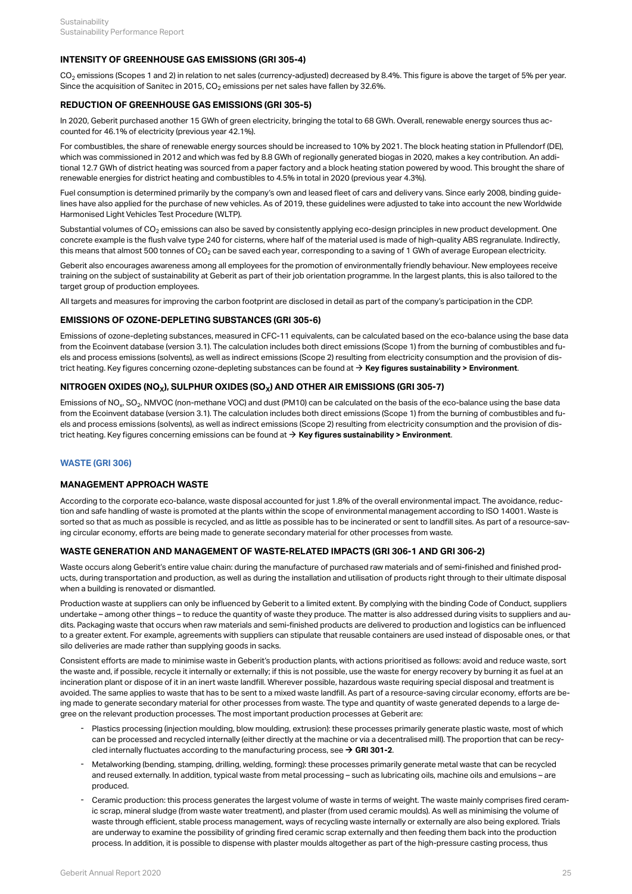#### **INTENSITY OF GREENHOUSE GAS EMISSIONS (GRI 305-4)**

CO $_2$  emissions (Scopes 1 and 2) in relation to net sales (currency-adjusted) decreased by 8.4%. This figure is above the target of 5% per year. Since the acquisition of Sanitec in 2015, CO $_2$  emissions per net sales have fallen by 32.6%.

### **REDUCTION OF GREENHOUSE GAS EMISSIONS (GRI 305-5)**

In 2020, Geberit purchased another 15 GWh of green electricity, bringing the total to 68 GWh. Overall, renewable energy sources thus accounted for 46.1% of electricity (previous year 42.1%).

For combustibles, the share of renewable energy sources should be increased to 10% by 2021. The block heating station in Pfullendorf (DE), which was commissioned in 2012 and which was fed by 8.8 GWh of regionally generated biogas in 2020, makes a key contribution. An additional 12.7 GWh of district heating was sourced from a paper factory and a block heating station powered by wood. This brought the share of renewable energies for district heating and combustibles to 4.5% in total in 2020 (previous year 4.3%).

Fuel consumption is determined primarily by the company's own and leased fleet of cars and delivery vans. Since early 2008, binding guidelines have also applied for the purchase of new vehicles. As of 2019, these guidelines were adjusted to take into account the new Worldwide Harmonised Light Vehicles Test Procedure (WLTP).

Substantial volumes of CO $_2$  emissions can also be saved by consistently applying eco-design principles in new product development. One concrete example is the flush valve type 240 for cisterns, where half of the material used is made of high-quality ABS regranulate. Indirectly, this means that almost 500 tonnes of CO $_2$  can be saved each year, corresponding to a saving of 1 GWh of average European electricity.

Geberit also encourages awareness among all employees for the promotion of environmentally friendly behaviour. New employees receive training on the subject of sustainability at Geberit as part of their job orientation programme. In the largest plants, this is also tailored to the target group of production employees.

All targets and measures for improving the carbon footprint are disclosed in detail as part of the company's participation in the CDP.

# **EMISSIONS OF OZONE-DEPLETING SUBSTANCES (GRI 305-6)**

Emissions of ozone-depleting substances, measured in CFC-11 equivalents, can be calculated based on the eco-balance using the base data from the Ecoinvent database (version 3.1). The calculation includes both direct emissions (Scope 1) from the burning of combustibles and fuels and process emissions (solvents), as well as indirect emissions (Scope 2) resulting from electricity consumption and the provision of district heating. Key figures concerning ozone-depleting substances can be found at  $\rightarrow$  [Key figures sustainability > Environment](#page-38-0).

# **NITROGEN OXIDES (NO ), SULPHUR OXIDES (SO ) AND OTHER AIR EMISSIONS (GRI 305-7) X X**

Emissions of NO $_{\rm x}$  SO $_{\rm 2}$ , NMVOC (non-methane VOC) and dust (PM10) can be calculated on the basis of the eco-balance using the base data from the Ecoinvent database (version 3.1). The calculation includes both direct emissions (Scope 1) from the burning of combustibles and fuels and process emissions (solvents), as well as indirect emissions (Scope 2) resulting from electricity consumption and the provision of district heating. Key figures concerning emissions can be found at [\\$](#page-38-0) **[Key figures sustainability > Environment](#page-38-0)**.

#### <span id="page-27-0"></span>**WASTE (GRI 306)**

#### **MANAGEMENT APPROACH WASTE**

According to the corporate eco-balance, waste disposal accounted for just 1.8% of the overall environmental impact. The avoidance, reduction and safe handling of waste is promoted at the plants within the scope of environmental management according to ISO 14001. Waste is sorted so that as much as possible is recycled, and as little as possible has to be incinerated or sent to landfill sites. As part of a resource-saving circular economy, efforts are being made to generate secondary material for other processes from waste.

#### **WASTE GENERATION AND MANAGEMENT OF WASTE-RELATED IMPACTS (GRI 306-1 AND GRI 306-2)**

Waste occurs along Geberit's entire value chain: during the manufacture of purchased raw materials and of semi-finished and finished products, during transportation and production, as well as during the installation and utilisation of products right through to their ultimate disposal when a building is renovated or dismantled.

Production waste at suppliers can only be influenced by Geberit to a limited extent. By complying with the binding Code of Conduct, suppliers undertake – among other things – to reduce the quantity of waste they produce. The matter is also addressed during visits to suppliers and audits. Packaging waste that occurs when raw materials and semi-finished products are delivered to production and logistics can be influenced to a greater extent. For example, agreements with suppliers can stipulate that reusable containers are used instead of disposable ones, or that silo deliveries are made rather than supplying goods in sacks.

Consistent efforts are made to minimise waste in Geberit's production plants, with actions prioritised as follows: avoid and reduce waste, sort the waste and, if possible, recycle it internally or externally; if this is not possible, use the waste for energy recovery by burning it as fuel at an incineration plant or dispose of it in an inert waste landfill. Wherever possible, hazardous waste requiring special disposal and treatment is avoided. The same applies to waste that has to be sent to a mixed waste landfill. As part of a resource-saving circular economy, efforts are being made to generate secondary material for other processes from waste. The type and quantity of waste generated depends to a large degree on the relevant production processes. The most important production processes at Geberit are:

- Plastics processing (injection moulding, blow moulding, extrusion): these processes primarily generate plastic waste, most of which can be processed and recycled internally (either directly at the machine or via a decentralised mill). The proportion that can be recycled internally fluctuates according to the manufacturing process, see  $\rightarrow$  [GRI 301-2](#page-23-1). -
- Metalworking (bending, stamping, drilling, welding, forming): these processes primarily generate metal waste that can be recycled and reused externally. In addition, typical waste from metal processing – such as lubricating oils, machine oils and emulsions – are produced. -
- Ceramic production: this process generates the largest volume of waste in terms of weight. The waste mainly comprises fired ceramic scrap, mineral sludge (from waste water treatment), and plaster (from used ceramic moulds). As well as minimising the volume of waste through efficient, stable process management, ways of recycling waste internally or externally are also being explored. Trials are underway to examine the possibility of grinding fired ceramic scrap externally and then feeding them back into the production process. In addition, it is possible to dispense with plaster moulds altogether as part of the high-pressure casting process, thus -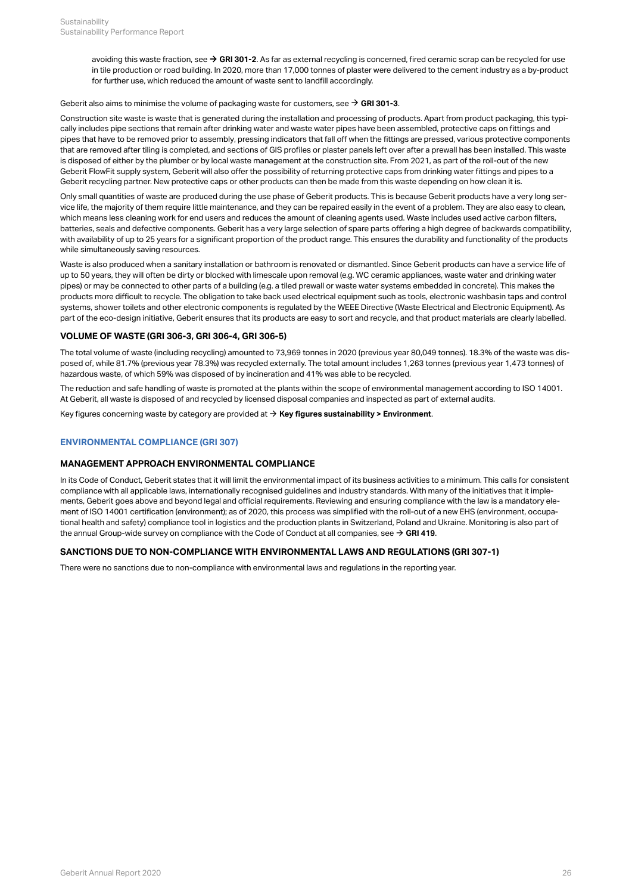avoiding this waste fraction, see  $\rightarrow$  [GRI 301-2](#page-23-1). As far as external recycling is concerned, fired ceramic scrap can be recycled for use in tile production or road building. In 2020, more than 17,000 tonnes of plaster were delivered to the cement industry as a by-product for further use, which reduced the amount of waste sent to landfill accordingly.

#### Geberit also aims to minimise the volume of packaging waste for customers, see  $\rightarrow$  [GRI 301-3](#page-23-2).

Construction site waste is waste that is generated during the installation and processing of products. Apart from product packaging, this typically includes pipe sections that remain after drinking water and waste water pipes have been assembled, protective caps on fittings and pipes that have to be removed prior to assembly, pressing indicators that fall off when the fittings are pressed, various protective components that are removed after tiling is completed, and sections of GIS profiles or plaster panels left over after a prewall has been installed. This waste is disposed of either by the plumber or by local waste management at the construction site. From 2021, as part of the roll-out of the new Geberit FlowFit supply system, Geberit will also offer the possibility of returning protective caps from drinking water fittings and pipes to a Geberit recycling partner. New protective caps or other products can then be made from this waste depending on how clean it is.

Only small quantities of waste are produced during the use phase of Geberit products. This is because Geberit products have a very long service life, the majority of them require little maintenance, and they can be repaired easily in the event of a problem. They are also easy to clean, which means less cleaning work for end users and reduces the amount of cleaning agents used. Waste includes used active carbon filters, batteries, seals and defective components. Geberit has a very large selection of spare parts offering a high degree of backwards compatibility, with availability of up to 25 years for a significant proportion of the product range. This ensures the durability and functionality of the products while simultaneously saving resources.

Waste is also produced when a sanitary installation or bathroom is renovated or dismantled. Since Geberit products can have a service life of up to 50 years, they will often be dirty or blocked with limescale upon removal (e.g. WC ceramic appliances, waste water and drinking water pipes) or may be connected to other parts of a building (e.g. a tiled prewall or waste water systems embedded in concrete). This makes the products more difficult to recycle. The obligation to take back used electrical equipment such as tools, electronic washbasin taps and control systems, shower toilets and other electronic components is regulated by the WEEE Directive (Waste Electrical and Electronic Equipment). As part of the eco-design initiative, Geberit ensures that its products are easy to sort and recycle, and that product materials are clearly labelled.

#### **VOLUME OF WASTE (GRI 306-3, GRI 306-4, GRI 306-5)**

The total volume of waste (including recycling) amounted to 73,969 tonnes in 2020 (previous year 80,049 tonnes). 18.3% of the waste was disposed of, while 81.7% (previous year 78.3%) was recycled externally. The total amount includes 1,263 tonnes (previous year 1,473 tonnes) of hazardous waste, of which 59% was disposed of by incineration and 41% was able to be recycled.

The reduction and safe handling of waste is promoted at the plants within the scope of environmental management according to ISO 14001. At Geberit, all waste is disposed of and recycled by licensed disposal companies and inspected as part of external audits.

Key figures concerning waste by category are provided at  $\rightarrow$  [Key figures sustainability > Environment](#page-38-1).

# <span id="page-28-0"></span>**ENVIRONMENTAL COMPLIANCE (GRI 307)**

#### **MANAGEMENT APPROACH ENVIRONMENTAL COMPLIANCE**

In its Code of Conduct, Geberit states that it will limit the environmental impact of its business activities to a minimum. This calls for consistent compliance with all applicable laws, internationally recognised guidelines and industry standards. With many of the initiatives that it implements, Geberit goes above and beyond legal and official requirements. Reviewing and ensuring compliance with the law is a mandatory element of ISO 14001 certification (environment); as of 2020, this process was simplified with the roll-out of a new EHS (environment, occupational health and safety) compliance tool in logistics and the production plants in Switzerland, Poland and Ukraine. Monitoring is also part of the annual Group-wide survey on compliance with the Code of Conduct at all companies, see  $\rightarrow$  [GRI 419](#page-32-0).

#### **SANCTIONS DUE TO NON-COMPLIANCE WITH ENVIRONMENTAL LAWS AND REGULATIONS (GRI 307-1)**

There were no sanctions due to non-compliance with environmental laws and regulations in the reporting year.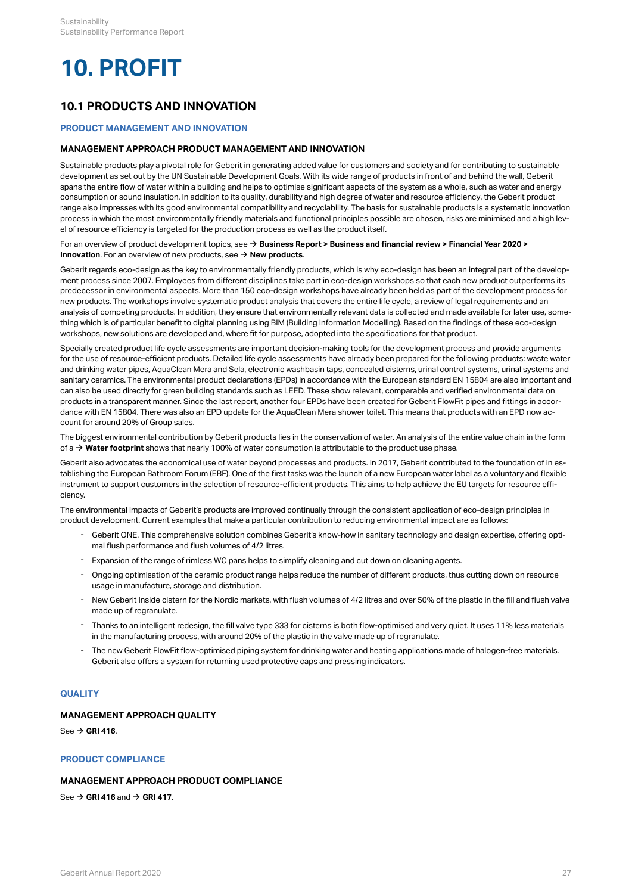# <span id="page-29-0"></span>**10. PROFIT**

# <span id="page-29-1"></span>**10.1 PRODUCTS AND INNOVATION**

#### <span id="page-29-2"></span>**PRODUCT MANAGEMENT AND INNOVATION**

#### **MANAGEMENT APPROACH PRODUCT MANAGEMENT AND INNOVATION**

Sustainable products play a pivotal role for Geberit in generating added value for customers and society and for contributing to sustainable development as set out by the UN Sustainable Development Goals. With its wide range of products in front of and behind the wall, Geberit spans the entire flow of water within a building and helps to optimise significant aspects of the system as a whole, such as water and energy consumption or sound insulation. In addition to its quality, durability and high degree of water and resource efficiency, the Geberit product range also impresses with its good environmental compatibility and recyclability. The basis for sustainable products is a systematic innovation process in which the most environmentally friendly materials and functional principles possible are chosen, risks are minimised and a high level of resource efficiency is targeted for the production process as well as the product itself.

#### For an overview of product development topics, see **[Business Report > Business and financial review > Financial Year 2020 >](http://annualreport.geberit.com/reports/geberit/annual/2020/gb/English/10502050/innovation.html)**  [\\$](http://annualreport.geberit.com/reports/geberit/annual/2020/gb/English/10502050/innovation.html) **[Innovation](http://annualreport.geberit.com/reports/geberit/annual/2020/gb/English/10502050/innovation.html)**. For an overview of new products, see → **[New products](https://www.geberit.com/products/new-products/)**.

Geberit regards eco-design as the key to environmentally friendly products, which is why eco-design has been an integral part of the development process since 2007. Employees from different disciplines take part in eco-design workshops so that each new product outperforms its predecessor in environmental aspects. More than 150 eco-design workshops have already been held as part of the development process for new products. The workshops involve systematic product analysis that covers the entire life cycle, a review of legal requirements and an analysis of competing products. In addition, they ensure that environmentally relevant data is collected and made available for later use, something which is of particular benefit to digital planning using BIM (Building Information Modelling). Based on the findings of these eco-design workshops, new solutions are developed and, where fit for purpose, adopted into the specifications for that product.

Specially created product life cycle assessments are important decision-making tools for the development process and provide arguments for the use of resource-efficient products. Detailed life cycle assessments have already been prepared for the following products: waste water and drinking water pipes, AquaClean Mera and Sela, electronic washbasin taps, concealed cisterns, urinal control systems, urinal systems and sanitary ceramics. The environmental product declarations (EPDs) in accordance with the European standard EN 15804 are also important and can also be used directly for green building standards such as LEED. These show relevant, comparable and verified environmental data on products in a transparent manner. Since the last report, another four EPDs have been created for Geberit FlowFit pipes and fittings in accordance with EN 15804. There was also an EPD update for the AquaClean Mera shower toilet. This means that products with an EPD now account for around 20% of Group sales.

The biggest environmental contribution by Geberit products lies in the conservation of water. An analysis of the entire value chain in the form of a  $\rightarrow$  [Water footprint](http://annualreport.geberit.com/reports/geberit/annual/2020/gb/English/10502065/sustainability.html?anchor=10502065_Water-footprint#10502065_Water-footprint) shows that nearly 100% of water consumption is attributable to the product use phase.

Geberit also advocates the economical use of water beyond processes and products. In 2017, Geberit contributed to the foundation of in establishing the European Bathroom Forum (EBF). One of the first tasks was the launch of a new European water label as a voluntary and flexible instrument to support customers in the selection of resource-efficient products. This aims to help achieve the EU targets for resource efficiency.

The environmental impacts of Geberit's products are improved continually through the consistent application of eco-design principles in product development. Current examples that make a particular contribution to reducing environmental impact are as follows:

- Geberit ONE. This comprehensive solution combines Geberit's know-how in sanitary technology and design expertise, offering optimal flush performance and flush volumes of 4/2 litres. -
- Expansion of the range of rimless WC pans helps to simplify cleaning and cut down on cleaning agents.
- Ongoing optimisation of the ceramic product range helps reduce the number of different products, thus cutting down on resource usage in manufacture, storage and distribution.
- New Geberit Inside cistern for the Nordic markets, with flush volumes of 4/2 litres and over 50% of the plastic in the fill and flush valve made up of regranulate. -
- Thanks to an intelligent redesign, the fill valve type 333 for cisterns is both flow-optimised and very quiet. It uses 11% less materials in the manufacturing process, with around 20% of the plastic in the valve made up of regranulate. -
- The new Geberit FlowFit flow-optimised piping system for drinking water and heating applications made of halogen-free materials. Geberit also offers a system for returning used protective caps and pressing indicators. -

# <span id="page-29-3"></span>**QUALITY**

### **MANAGEMENT APPROACH QUALITY**

 $See  $\rightarrow$  [GRI 416](#page-33-2).$ 

#### <span id="page-29-4"></span>**PRODUCT COMPLIANCE**

# **MANAGEMENT APPROACH PRODUCT COMPLIANCE**

 $\text{See} \rightarrow \text{GRI} 416$  and  $\rightarrow \text{GRI} 417$ .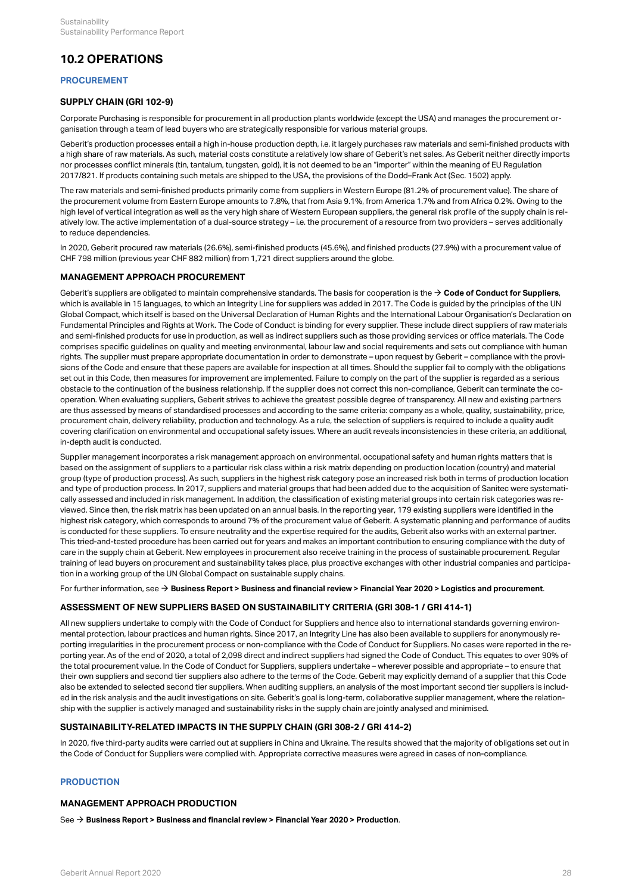# <span id="page-30-0"></span>**10.2 OPERATIONS**

# <span id="page-30-1"></span>**PROCUREMENT**

## <span id="page-30-3"></span>**SUPPLY CHAIN (GRI 102-9)**

Corporate Purchasing is responsible for procurement in all production plants worldwide (except the USA) and manages the procurement organisation through a team of lead buyers who are strategically responsible for various material groups.

Geberit's production processes entail a high in-house production depth, i.e. it largely purchases raw materials and semi-finished products with a high share of raw materials. As such, material costs constitute a relatively low share of Geberit's net sales. As Geberit neither directly imports nor processes conflict minerals (tin, tantalum, tungsten, gold), it is not deemed to be an "importer" within the meaning of EU Regulation 2017/821. If products containing such metals are shipped to the USA, the provisions of the Dodd–Frank Act (Sec. 1502) apply.

The raw materials and semi-finished products primarily come from suppliers in Western Europe (81.2% of procurement value). The share of the procurement volume from Eastern Europe amounts to 7.8%, that from Asia 9.1%, from America 1.7% and from Africa 0.2%. Owing to the high level of vertical integration as well as the very high share of Western European suppliers, the general risk profile of the supply chain is relatively low. The active implementation of a dual-source strategy – i.e. the procurement of a resource from two providers – serves additionally to reduce dependencies.

In 2020, Geberit procured raw materials (26.6%), semi-finished products (45.6%), and finished products (27.9%) with a procurement value of CHF 798 million (previous year CHF 882 million) from 1,721 direct suppliers around the globe.

# **MANAGEMENT APPROACH PROCUREMENT**

Geberit's suppliers are obligated to maintain comprehensive standards. The basis for cooperation is the  $\rightarrow$  [Code of Conduct for Suppliers](http://annualreport.geberit.com/geberit/annual/2020/gb/layout/../English/pdf/supplier_code_of_conduct.pdf), which is available in 15 languages, to which an Integrity Line for suppliers was added in 2017. The Code is guided by the principles of the UN Global Compact, which itself is based on the Universal Declaration of Human Rights and the International Labour Organisation's Declaration on Fundamental Principles and Rights at Work. The Code of Conduct is binding for every supplier. These include direct suppliers of raw materials and semi-finished products for use in production, as well as indirect suppliers such as those providing services or office materials. The Code comprises specific guidelines on quality and meeting environmental, labour law and social requirements and sets out compliance with human rights. The supplier must prepare appropriate documentation in order to demonstrate – upon request by Geberit – compliance with the provisions of the Code and ensure that these papers are available for inspection at all times. Should the supplier fail to comply with the obligations set out in this Code, then measures for improvement are implemented. Failure to comply on the part of the supplier is regarded as a serious obstacle to the continuation of the business relationship. If the supplier does not correct this non-compliance, Geberit can terminate the cooperation. When evaluating suppliers, Geberit strives to achieve the greatest possible degree of transparency. All new and existing partners are thus assessed by means of standardised processes and according to the same criteria: company as a whole, quality, sustainability, price, procurement chain, delivery reliability, production and technology. As a rule, the selection of suppliers is required to include a quality audit covering clarification on environmental and occupational safety issues. Where an audit reveals inconsistencies in these criteria, an additional, in-depth audit is conducted.

Supplier management incorporates a risk management approach on environmental, occupational safety and human rights matters that is based on the assignment of suppliers to a particular risk class within a risk matrix depending on production location (country) and material group (type of production process). As such, suppliers in the highest risk category pose an increased risk both in terms of production location and type of production process. In 2017, suppliers and material groups that had been added due to the acquisition of Sanitec were systematically assessed and included in risk management. In addition, the classification of existing material groups into certain risk categories was reviewed. Since then, the risk matrix has been updated on an annual basis. In the reporting year, 179 existing suppliers were identified in the highest risk category, which corresponds to around 7% of the procurement value of Geberit. A systematic planning and performance of audits is conducted for these suppliers. To ensure neutrality and the expertise required for the audits, Geberit also works with an external partner. This tried-and-tested procedure has been carried out for years and makes an important contribution to ensuring compliance with the duty of care in the supply chain at Geberit. New employees in procurement also receive training in the process of sustainable procurement. Regular training of lead buyers on procurement and sustainability takes place, plus proactive exchanges with other industrial companies and participation in a working group of the UN Global Compact on sustainable supply chains.

For further information, see  $\rightarrow$  [Business Report > Business and financial review > Financial Year 2020 > Logistics and procurement](http://annualreport.geberit.com/reports/geberit/annual/2020/gb/English/10502060/logistics-and-procurement.html).

#### **ASSESSMENT OF NEW SUPPLIERS BASED ON SUSTAINABILITY CRITERIA (GRI 308-1 / GRI 414-1)**

All new suppliers undertake to comply with the Code of Conduct for Suppliers and hence also to international standards governing environmental protection, labour practices and human rights. Since 2017, an Integrity Line has also been available to suppliers for anonymously reporting irregularities in the procurement process or non-compliance with the Code of Conduct for Suppliers. No cases were reported in the reporting year. As of the end of 2020, a total of 2,098 direct and indirect suppliers had signed the Code of Conduct. This equates to over 90% of the total procurement value. In the Code of Conduct for Suppliers, suppliers undertake – wherever possible and appropriate – to ensure that their own suppliers and second tier suppliers also adhere to the terms of the Code. Geberit may explicitly demand of a supplier that this Code also be extended to selected second tier suppliers. When auditing suppliers, an analysis of the most important second tier suppliers is included in the risk analysis and the audit investigations on site. Geberit's goal is long-term, collaborative supplier management, where the relationship with the supplier is actively managed and sustainability risks in the supply chain are jointly analysed and minimised.

#### **SUSTAINABILITY-RELATED IMPACTS IN THE SUPPLY CHAIN (GRI 308-2 / GRI 414-2)**

In 2020, five third-party audits were carried out at suppliers in China and Ukraine. The results showed that the majority of obligations set out in the Code of Conduct for Suppliers were complied with. Appropriate corrective measures were agreed in cases of non-compliance.

#### <span id="page-30-2"></span>**PRODUCTION**

## **MANAGEMENT APPROACH PRODUCTION**

See  $\rightarrow$  [Business Report > Business and financial review > Financial Year 2020 > Production](http://annualreport.geberit.com/reports/geberit/annual/2020/gb/English/10502055/production.html).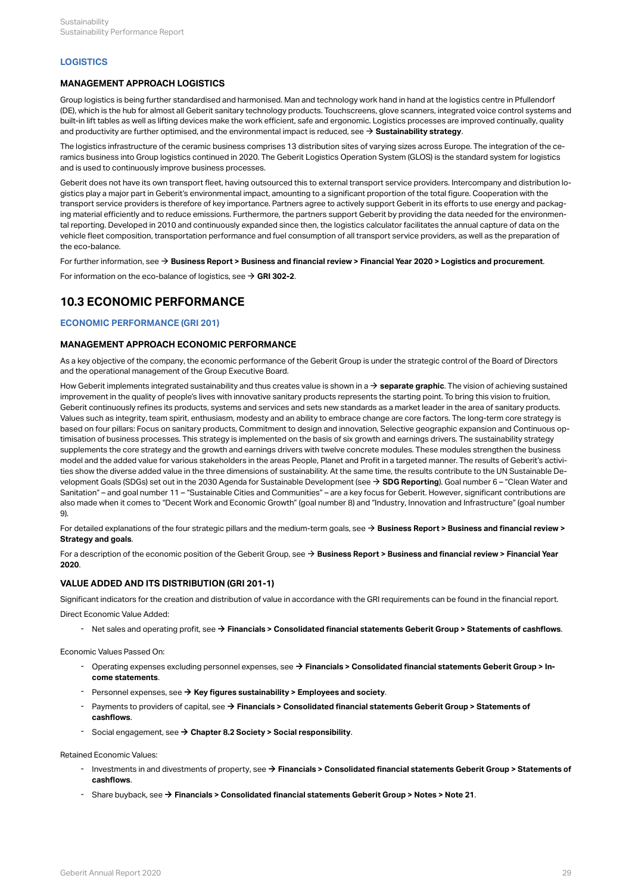#### <span id="page-31-0"></span>**LOGISTICS**

#### **MANAGEMENT APPROACH LOGISTICS**

Group logistics is being further standardised and harmonised. Man and technology work hand in hand at the logistics centre in Pfullendorf (DE), which is the hub for almost all Geberit sanitary technology products. Touchscreens, glove scanners, integrated voice control systems and built-in lift tables as well as lifting devices make the work efficient, safe and ergonomic. Logistics processes are improved continually, quality and productivity are further optimised, and the environmental impact is reduced, see  $\rightarrow$  [Sustainability strategy](http://annualreport.geberit.com/reports/geberit/annual/2020/gb/English/3040/sustainability-strategy-2021-2023.html?anchor=3040_Green-Logistics#3040_Green-Logistics).

The logistics infrastructure of the ceramic business comprises 13 distribution sites of varying sizes across Europe. The integration of the ceramics business into Group logistics continued in 2020. The Geberit Logistics Operation System (GLOS) is the standard system for logistics and is used to continuously improve business processes.

Geberit does not have its own transport fleet, having outsourced this to external transport service providers. Intercompany and distribution logistics play a major part in Geberit's environmental impact, amounting to a significant proportion of the total figure. Cooperation with the transport service providers is therefore of key importance. Partners agree to actively support Geberit in its efforts to use energy and packaging material efficiently and to reduce emissions. Furthermore, the partners support Geberit by providing the data needed for the environmental reporting. Developed in 2010 and continuously expanded since then, the logistics calculator facilitates the annual capture of data on the vehicle fleet composition, transportation performance and fuel consumption of all transport service providers, as well as the preparation of the eco-balance.

For further information, see  $\rightarrow$  [Business Report > Business and financial review > Financial Year 2020 > Logistics and procurement](http://annualreport.geberit.com/reports/geberit/annual/2020/gb/English/10502060/logistics-and-procurement.html).

For information on the eco-balance of logistics, see  $\rightarrow$  [GRI 302-2](#page-24-0).

# <span id="page-31-1"></span>**10.3 ECONOMIC PERFORMANCE**

## <span id="page-31-2"></span>**ECONOMIC PERFORMANCE (GRI 201)**

#### **MANAGEMENT APPROACH ECONOMIC PERFORMANCE**

As a key objective of the company, the economic performance of the Geberit Group is under the strategic control of the Board of Directors and the operational management of the Group Executive Board.

How Geberit implements integrated sustainability and thus creates value is shown in a  $\rightarrow$  [separate graphic](http://annualreport.geberit.com/reports/geberit/annual/2020/gb/English/3040/sustainability-strategy-2021-2023.html). The vision of achieving sustained improvement in the quality of people's lives with innovative sanitary products represents the starting point. To bring this vision to fruition, Geberit continuously refines its products, systems and services and sets new standards as a market leader in the area of sanitary products. Values such as integrity, team spirit, enthusiasm, modesty and an ability to embrace change are core factors. The long-term core strategy is based on four pillars: Focus on sanitary products, Commitment to design and innovation, Selective geographic expansion and Continuous optimisation of business processes. This strategy is implemented on the basis of six growth and earnings drivers. The sustainability strategy supplements the core strategy and the growth and earnings drivers with twelve concrete modules. These modules strengthen the business model and the added value for various stakeholders in the areas People, Planet and Profit in a targeted manner. The results of Geberit's activities show the diverse added value in the three dimensions of sustainability. At the same time, the results contribute to the UN Sustainable Development Goals (SDGs) set out in the 2030 Agenda for Sustainable Development (see [\\$](http://annualreport.geberit.com/geberit/annual/2020/gb/layout/../English/pdf/SDG_Reporting_2020_en.pdf) **[SDG Reporting](http://annualreport.geberit.com/geberit/annual/2020/gb/layout/../English/pdf/SDG_Reporting_2020_en.pdf)**). Goal number 6 – "Clean Water and Sanitation" – and goal number 11 – "Sustainable Cities and Communities" – are a key focus for Geberit. However, significant contributions are also made when it comes to "Decent Work and Economic Growth" (goal number 8) and "Industry, Innovation and Infrastructure" (goal number 9).

For detailed explanations of the four strategic pillars and the medium-term goals, see  $\rightarrow$  [Business Report > Business and financial review >](http://annualreport.geberit.com/reports/geberit/annual/2020/gb/English/105010/strategy-and-goals.html) **[Strategy and goals](http://annualreport.geberit.com/reports/geberit/annual/2020/gb/English/105010/strategy-and-goals.html)** .

For a description of the economic position of the Geberit Group, see **[Business Report > Business and financial review > Financial Year](http://annualreport.geberit.com/reports/geberit/annual/2020/gb/English/105020/financial-year-2020.html)**  [\\$](http://annualreport.geberit.com/reports/geberit/annual/2020/gb/English/105020/financial-year-2020.html) **[2020](http://annualreport.geberit.com/reports/geberit/annual/2020/gb/English/105020/financial-year-2020.html)** .

#### **VALUE ADDED AND ITS DISTRIBUTION (GRI 201-1)**

Significant indicators for the creation and distribution of value in accordance with the GRI requirements can be found in the financial report. Direct Economic Value Added:

- Net sales and operating profit, see → [Financials > Consolidated financial statements Geberit Group > Statements of cashflows](http://annualreport.geberit.com/reports/geberit/annual/2020/gb/English/204040/consolidated-statements-of-cashflows.html).

Economic Values Passed On:

- Operating expenses excluding personnel expenses, see **→ [Financials > Consolidated financial statements Geberit Group > In](http://annualreport.geberit.com/reports/geberit/annual/2020/gb/English/204020/consolidated-income-statements.html)[come statements](http://annualreport.geberit.com/reports/geberit/annual/2020/gb/English/204020/consolidated-income-statements.html)** .
- Personnel expenses, see → [Key figures sustainability > Employees and society](#page-41-1).
- Payments to providers of capital, see → Financials > Consolidated financial statements Geberit Group > Statements of **[cashflows](http://annualreport.geberit.com/reports/geberit/annual/2020/gb/English/204040/consolidated-statements-of-cashflows.html)** . -
- Social engagement, see [\\$](#page-21-0) **[Chapter 8.2 Society > Social responsibility](#page-21-0)**.

#### Retained Economic Values:

- Investments in and divestments of property, see **[Financials > Consolidated financial statements Geberit Group > Statements of](http://annualreport.geberit.com/reports/geberit/annual/2020/gb/English/204040/consolidated-statements-of-cashflows.html)**  [\\$](http://annualreport.geberit.com/reports/geberit/annual/2020/gb/English/204040/consolidated-statements-of-cashflows.html) **[cashflows](http://annualreport.geberit.com/reports/geberit/annual/2020/gb/English/204040/consolidated-statements-of-cashflows.html)** .
- Share buyback, see  $\rightarrow$  [Financials > Consolidated financial statements Geberit Group > Notes > Note 21](http://annualreport.geberit.com/reports/geberit/annual/2020/gb/English/20405021/21_-capital-stock-and-treasury-shares.html).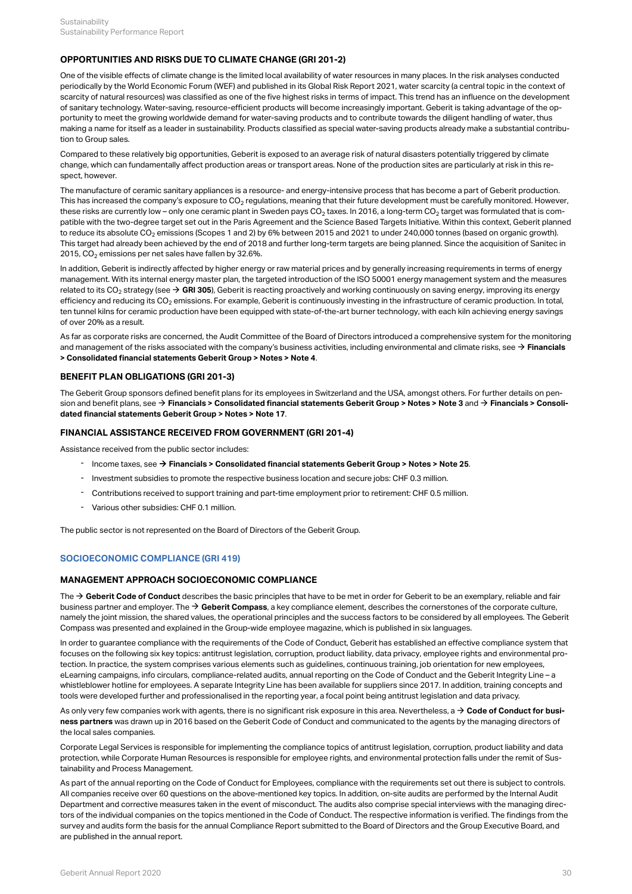## <span id="page-32-1"></span>**OPPORTUNITIES AND RISKS DUE TO CLIMATE CHANGE (GRI 201-2)**

One of the visible effects of climate change is the limited local availability of water resources in many places. In the risk analyses conducted periodically by the World Economic Forum (WEF) and published in its Global Risk Report 2021, water scarcity (a central topic in the context of scarcity of natural resources) was classified as one of the five highest risks in terms of impact. This trend has an influence on the development of sanitary technology. Water-saving, resource-efficient products will become increasingly important. Geberit is taking advantage of the opportunity to meet the growing worldwide demand for water-saving products and to contribute towards the diligent handling of water, thus making a name for itself as a leader in sustainability. Products classified as special water-saving products already make a substantial contribution to Group sales.

Compared to these relatively big opportunities, Geberit is exposed to an average risk of natural disasters potentially triggered by climate change, which can fundamentally affect production areas or transport areas. None of the production sites are particularly at risk in this respect, however.

The manufacture of ceramic sanitary appliances is a resource- and energy-intensive process that has become a part of Geberit production. This has increased the company's exposure to CO $_2$  regulations, meaning that their future development must be carefully monitored. However, these risks are currently low – only one ceramic plant in Sweden pays CO $_2$  taxes. In 2016, a long-term CO $_2$  target was formulated that is compatible with the two-degree target set out in the Paris Agreement and the Science Based Targets Initiative. Within this context, Geberit planned to reduce its absolute CO $_2$  emissions (Scopes 1 and 2) by 6% between 2015 and 2021 to under 240,000 tonnes (based on organic growth). This target had already been achieved by the end of 2018 and further long-term targets are being planned. Since the acquisition of Sanitec in 2015, CO $_{\rm 2}$  emissions per net sales have fallen by 32.6%.

In addition, Geberit is indirectly affected by higher energy or raw material prices and by generally increasing requirements in terms of energy management. With its internal energy master plan, the targeted introduction of the ISO 50001 energy management system and the measures related to its CO $_2$  strategy (see  $\to$  **[GRI 305](#page-26-0)**), Geberit is reacting proactively and working continuously on saving energy, improving its energy efficiency and reducing its CO<sub>2</sub> emissions. For example, Geberit is continuously investing in the infrastructure of ceramic production. In total, ten tunnel kilns for ceramic production have been equipped with state-of-the-art burner technology, with each kiln achieving energy savings of over 20% as a result.

As far as corporate risks are concerned, the Audit Committee of the Board of Directors introduced a comprehensive system for the monitoring and management of the risks associated with the company's business activities, including environmental and climate risks, see → **Financials [> Consolidated financial statements Geberit Group > Notes > Note 4](http://annualreport.geberit.com/reports/geberit/annual/2020/gb/English/20405004/4_-risk-assessment-and-management.html)** .

#### **BENEFIT PLAN OBLIGATIONS (GRI 201-3)**

The Geberit Group sponsors defined benefit plans for its employees in Switzerland and the USA, amongst others. For further details on pension and benefit plans, see → **[Financials > Consolidated financial statements Geberit Group > Notes > Note 3](http://annualreport.geberit.com/reports/geberit/annual/2020/gb/English/20405003/3_-summary-of-significant-accounting-policies.html?anchor=20405003_Retirement-benefit-plans#20405003_Retirement-benefit-plans)** and → **[Financials > Consoli](http://annualreport.geberit.com/reports/geberit/annual/2020/gb/English/20405017/17_-participation-plans.html)[dated financial statements Geberit Group > Notes > Note 17](http://annualreport.geberit.com/reports/geberit/annual/2020/gb/English/20405017/17_-participation-plans.html)** .

# **FINANCIAL ASSISTANCE RECEIVED FROM GOVERNMENT (GRI 201-4)**

Assistance received from the public sector includes:

- Income taxes, see [\\$](http://annualreport.geberit.com/reports/geberit/annual/2020/gb/English/20405025/25_-income-tax-expenses.html) **[Financials > Consolidated financial statements Geberit Group > Notes > Note 25](http://annualreport.geberit.com/reports/geberit/annual/2020/gb/English/20405025/25_-income-tax-expenses.html)**.
- Investment subsidies to promote the respective business location and secure jobs: CHF 0.3 million.
- Contributions received to support training and part-time employment prior to retirement: CHF 0.5 million.
- Various other subsidies: CHF 0.1 million.

The public sector is not represented on the Board of Directors of the Geberit Group.

## <span id="page-32-0"></span>**SOCIOECONOMIC COMPLIANCE (GRI 419)**

## **MANAGEMENT APPROACH SOCIOECONOMIC COMPLIANCE**

The  $\rightarrow$  [Geberit Code of Conduct](http://annualreport.geberit.com/geberit/annual/2020/gb/layout/../English/pdf/geberit_code_of_conduct_en.pdf) describes the basic principles that have to be met in order for Geberit to be an exemplary, reliable and fair business partner and employer. The  $\rightarrow$  [Geberit Compass](http://annualreport.geberit.com/geberit/annual/2020/gb/layout/../English/pdf/geberit_compass.pdf), a key compliance element, describes the cornerstones of the corporate culture, namely the joint mission, the shared values, the operational principles and the success factors to be considered by all employees. The Geberit Compass was presented and explained in the Group-wide employee magazine, which is published in six languages.

In order to guarantee compliance with the requirements of the Code of Conduct, Geberit has established an effective compliance system that focuses on the following six key topics: antitrust legislation, corruption, product liability, data privacy, employee rights and environmental protection. In practice, the system comprises various elements such as guidelines, continuous training, job orientation for new employees, eLearning campaigns, info circulars, compliance-related audits, annual reporting on the Code of Conduct and the Geberit Integrity Line – a whistleblower hotline for employees. A separate Integrity Line has been available for suppliers since 2017. In addition, training concepts and tools were developed further and professionalised in the reporting year, a focal point being antitrust legislation and data privacy.

As only very few companies work with agents, there is no significant risk exposure in this area. Nevertheless, a **[Code of Conduct for busi-](http://annualreport.geberit.com/geberit/annual/2020/gb/layout/../English/pdf/business_partners_code_of_conduct.pdf)**[\\$](http://annualreport.geberit.com/geberit/annual/2020/gb/layout/../English/pdf/business_partners_code_of_conduct.pdf) **[ness partners](http://annualreport.geberit.com/geberit/annual/2020/gb/layout/../English/pdf/business_partners_code_of_conduct.pdf)** was drawn up in 2016 based on the Geberit Code of Conduct and communicated to the agents by the managing directors of the local sales companies.

Corporate Legal Services is responsible for implementing the compliance topics of antitrust legislation, corruption, product liability and data protection, while Corporate Human Resources is responsible for employee rights, and environmental protection falls under the remit of Sustainability and Process Management.

As part of the annual reporting on the Code of Conduct for Employees, compliance with the requirements set out there is subject to controls. All companies receive over 60 questions on the above-mentioned key topics. In addition, on-site audits are performed by the Internal Audit Department and corrective measures taken in the event of misconduct. The audits also comprise special interviews with the managing directors of the individual companies on the topics mentioned in the Code of Conduct. The respective information is verified. The findings from the survey and audits form the basis for the annual Compliance Report submitted to the Board of Directors and the Group Executive Board, and are published in the annual report.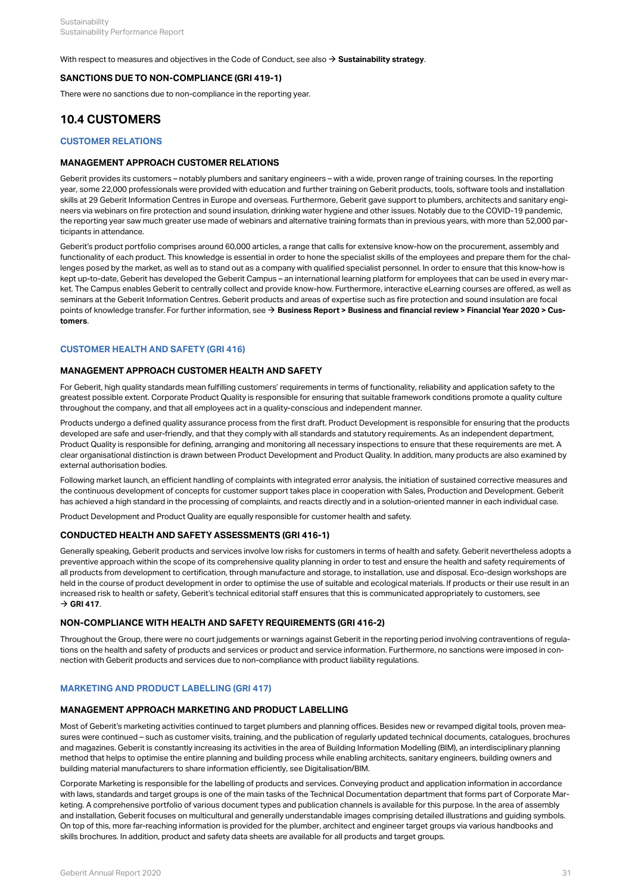With respect to measures and objectives in the Code of Conduct, see also  $\rightarrow$  [Sustainability strategy](http://annualreport.geberit.com/reports/geberit/annual/2020/gb/English/3040/sustainability-strategy-2021-2023.html?anchor=3040_Compliance-and-integrity#3040_Compliance-and-integrity).

# **SANCTIONS DUE TO NON-COMPLIANCE (GRI 419-1)**

There were no sanctions due to non-compliance in the reporting year.

# <span id="page-33-0"></span>**10.4 CUSTOMERS**

# <span id="page-33-1"></span>**CUSTOMER RELATIONS**

#### **MANAGEMENT APPROACH CUSTOMER RELATIONS**

Geberit provides its customers – notably plumbers and sanitary engineers – with a wide, proven range of training courses. In the reporting year, some 22,000 professionals were provided with education and further training on Geberit products, tools, software tools and installation skills at 29 Geberit Information Centres in Europe and overseas. Furthermore, Geberit gave support to plumbers, architects and sanitary engineers via webinars on fire protection and sound insulation, drinking water hygiene and other issues. Notably due to the COVID-19 pandemic, the reporting year saw much greater use made of webinars and alternative training formats than in previous years, with more than 52,000 participants in attendance.

Geberit's product portfolio comprises around 60,000 articles, a range that calls for extensive know-how on the procurement, assembly and functionality of each product. This knowledge is essential in order to hone the specialist skills of the employees and prepare them for the challenges posed by the market, as well as to stand out as a company with qualified specialist personnel. In order to ensure that this know-how is kept up-to-date, Geberit has developed the Geberit Campus – an international learning platform for employees that can be used in every market. The Campus enables Geberit to centrally collect and provide know-how. Furthermore, interactive eLearning courses are offered, as well as seminars at the Geberit Information Centres. Geberit products and areas of expertise such as fire protection and sound insulation are focal points of knowledge transfer. For further information, see → **[Business Report > Business and financial review > Financial Year 2020 > Cus](http://annualreport.geberit.com/reports/geberit/annual/2020/gb/English/10502045/customers.html)[tomers](http://annualreport.geberit.com/reports/geberit/annual/2020/gb/English/10502045/customers.html)** .

#### <span id="page-33-2"></span>**CUSTOMER HEALTH AND SAFETY (GRI 416)**

#### **MANAGEMENT APPROACH CUSTOMER HEALTH AND SAFETY**

For Geberit, high quality standards mean fulfilling customers' requirements in terms of functionality, reliability and application safety to the greatest possible extent. Corporate Product Quality is responsible for ensuring that suitable framework conditions promote a quality culture throughout the company, and that all employees act in a quality-conscious and independent manner.

Products undergo a defined quality assurance process from the first draft. Product Development is responsible for ensuring that the products developed are safe and user-friendly, and that they comply with all standards and statutory requirements. As an independent department, Product Quality is responsible for defining, arranging and monitoring all necessary inspections to ensure that these requirements are met. A clear organisational distinction is drawn between Product Development and Product Quality. In addition, many products are also examined by external authorisation bodies.

Following market launch, an efficient handling of complaints with integrated error analysis, the initiation of sustained corrective measures and the continuous development of concepts for customer support takes place in cooperation with Sales, Production and Development. Geberit has achieved a high standard in the processing of complaints, and reacts directly and in a solution-oriented manner in each individual case.

Product Development and Product Quality are equally responsible for customer health and safety.

#### **CONDUCTED HEALTH AND SAFETY ASSESSMENTS (GRI 416-1)**

Generally speaking, Geberit products and services involve low risks for customers in terms of health and safety. Geberit nevertheless adopts a preventive approach within the scope of its comprehensive quality planning in order to test and ensure the health and safety requirements of all products from development to certification, through manufacture and storage, to installation, use and disposal. Eco-design workshops are held in the course of product development in order to optimise the use of suitable and ecological materials. If products or their use result in an increased risk to health or safety, Geberit's technical editorial staff ensures that this is communicated appropriately to customers, see  $\rightarrow$  [GRI 417](#page-33-3).

#### **NON-COMPLIANCE WITH HEALTH AND SAFETY REQUIREMENTS (GRI 416-2)**

Throughout the Group, there were no court judgements or warnings against Geberit in the reporting period involving contraventions of regulations on the health and safety of products and services or product and service information. Furthermore, no sanctions were imposed in connection with Geberit products and services due to non-compliance with product liability regulations.

#### <span id="page-33-3"></span>**MARKETING AND PRODUCT LABELLING (GRI 417)**

#### **MANAGEMENT APPROACH MARKETING AND PRODUCT LABELLING**

Most of Geberit's marketing activities continued to target plumbers and planning offices. Besides new or revamped digital tools, proven measures were continued – such as customer visits, training, and the publication of regularly updated technical documents, catalogues, brochures and magazines. Geberit is constantly increasing its activities in the area of Building Information Modelling (BIM), an interdisciplinary planning method that helps to optimise the entire planning and building process while enabling architects, sanitary engineers, building owners and building material manufacturers to share information efficiently, see Digitalisation/BIM.

Corporate Marketing is responsible for the labelling of products and services. Conveying product and application information in accordance with laws, standards and target groups is one of the main tasks of the Technical Documentation department that forms part of Corporate Marketing. A comprehensive portfolio of various document types and publication channels is available for this purpose. In the area of assembly and installation, Geberit focuses on multicultural and generally understandable images comprising detailed illustrations and guiding symbols. On top of this, more far-reaching information is provided for the plumber, architect and engineer target groups via various handbooks and skills brochures. In addition, product and safety data sheets are available for all products and target groups.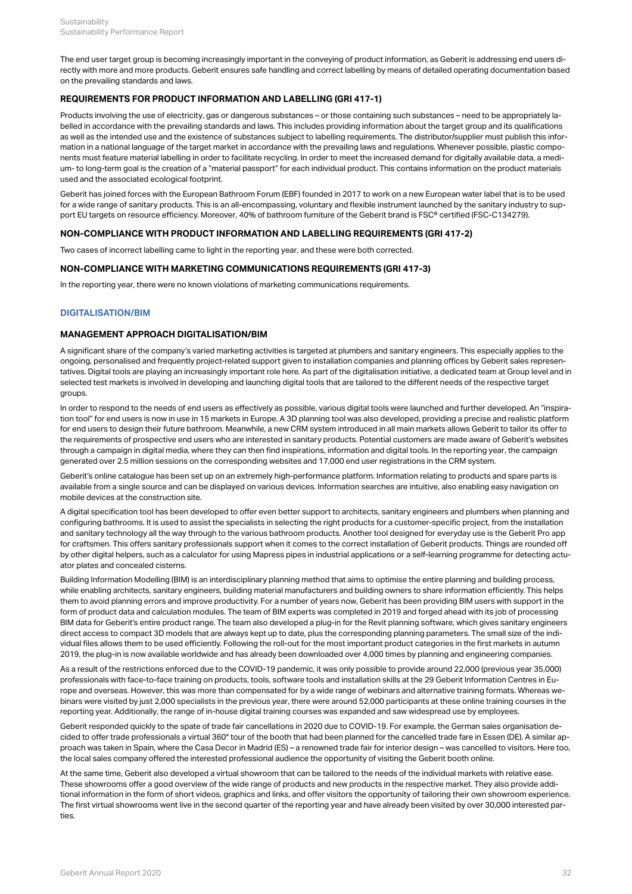The end user target group is becoming increasingly important in the conveying of product information, as Geberit is addressing end users directly with more and more products. Geberit ensures safe handling and correct labelling by means of detailed operating documentation based on the prevailing standards and laws.

# **REQUIREMENTS FOR PRODUCT INFORMATION AND LABELLING (GRI 417-1)**

Products involving the use of electricity, gas or dangerous substances – or those containing such substances – need to be appropriately labelled in accordance with the prevailing standards and laws. This includes providing information about the target group and its qualifications as well as the intended use and the existence of substances subject to labelling requirements. The distributor/supplier must publish this information in a national language of the target market in accordance with the prevailing laws and regulations. Whenever possible, plastic components must feature material labelling in order to facilitate recycling. In order to meet the increased demand for digitally available data, a medium- to long-term goal is the creation of a "material passport" for each individual product. This contains information on the product materials used and the associated ecological footprint.

Geberit has joined forces with the European Bathroom Forum (EBF) founded in 2017 to work on a new European water label that is to be used for a wide range of sanitary products. This is an all-encompassing, voluntary and flexible instrument launched by the sanitary industry to support EU targets on resource efficiency. Moreover, 40% of bathroom furniture of the Geberit brand is FSC® certified (FSC-C134279).

#### **NON-COMPLIANCE WITH PRODUCT INFORMATION AND LABELLING REQUIREMENTS (GRI 417-2)**

Two cases of incorrect labelling came to light in the reporting year, and these were both corrected.

#### **NON-COMPLIANCE WITH MARKETING COMMUNICATIONS REQUIREMENTS (GRI 417-3)**

In the reporting year, there were no known violations of marketing communications requirements.

#### <span id="page-34-0"></span>**DIGITALISATION/BIM**

#### **MANAGEMENT APPROACH DIGITALISATION/BIM**

A significant share of the company's varied marketing activities is targeted at plumbers and sanitary engineers. This especially applies to the ongoing, personalised and frequently project-related support given to installation companies and planning offices by Geberit sales representatives. Digital tools are playing an increasingly important role here. As part of the digitalisation initiative, a dedicated team at Group level and in selected test markets is involved in developing and launching digital tools that are tailored to the different needs of the respective target groups.

In order to respond to the needs of end users as effectively as possible, various digital tools were launched and further developed. An "inspiration tool" for end users is now in use in 15 markets in Europe. A 3D planning tool was also developed, providing a precise and realistic platform for end users to design their future bathroom. Meanwhile, a new CRM system introduced in all main markets allows Geberit to tailor its offer to the requirements of prospective end users who are interested in sanitary products. Potential customers are made aware of Geberit's websites through a campaign in digital media, where they can then find inspirations, information and digital tools. In the reporting year, the campaign generated over 2.5 million sessions on the corresponding websites and 17,000 end user registrations in the CRM system.

Geberit's online catalogue has been set up on an extremely high-performance platform. Information relating to products and spare parts is available from a single source and can be displayed on various devices. Information searches are intuitive, also enabling easy navigation on mobile devices at the construction site.

A digital specification tool has been developed to offer even better support to architects, sanitary engineers and plumbers when planning and configuring bathrooms. It is used to assist the specialists in selecting the right products for a customer-specific project, from the installation and sanitary technology all the way through to the various bathroom products. Another tool designed for everyday use is the Geberit Pro app for craftsmen. This offers sanitary professionals support when it comes to the correct installation of Geberit products. Things are rounded off by other digital helpers, such as a calculator for using Mapress pipes in industrial applications or a self-learning programme for detecting actuator plates and concealed cisterns.

Building Information Modelling (BIM) is an interdisciplinary planning method that aims to optimise the entire planning and building process, while enabling architects, sanitary engineers, building material manufacturers and building owners to share information efficiently. This helps them to avoid planning errors and improve productivity. For a number of years now, Geberit has been providing BIM users with support in the form of product data and calculation modules. The team of BIM experts was completed in 2019 and forged ahead with its job of processing BIM data for Geberit's entire product range. The team also developed a plug-in for the Revit planning software, which gives sanitary engineers direct access to compact 3D models that are always kept up to date, plus the corresponding planning parameters. The small size of the individual files allows them to be used efficiently. Following the roll-out for the most important product categories in the first markets in autumn 2019, the plug-in is now available worldwide and has already been downloaded over 4,000 times by planning and engineering companies.

As a result of the restrictions enforced due to the COVID-19 pandemic, it was only possible to provide around 22,000 (previous year 35,000) professionals with face-to-face training on products, tools, software tools and installation skills at the 29 Geberit Information Centres in Europe and overseas. However, this was more than compensated for by a wide range of webinars and alternative training formats. Whereas webinars were visited by just 2,000 specialists in the previous year, there were around 52,000 participants at these online training courses in the reporting year. Additionally, the range of in-house digital training courses was expanded and saw widespread use by employees.

Geberit responded quickly to the spate of trade fair cancellations in 2020 due to COVID-19. For example, the German sales organisation decided to offer trade professionals a virtual 360° tour of the booth that had been planned for the cancelled trade fare in Essen (DE). A similar approach was taken in Spain, where the Casa Decor in Madrid (ES) – a renowned trade fair for interior design – was cancelled to visitors. Here too, the local sales company offered the interested professional audience the opportunity of visiting the Geberit booth online.

At the same time, Geberit also developed a virtual showroom that can be tailored to the needs of the individual markets with relative ease. These showrooms offer a good overview of the wide range of products and new products in the respective market. They also provide additional information in the form of short videos, graphics and links, and offer visitors the opportunity of tailoring their own showroom experience. The first virtual showrooms went live in the second quarter of the reporting year and have already been visited by over 30,000 interested parties.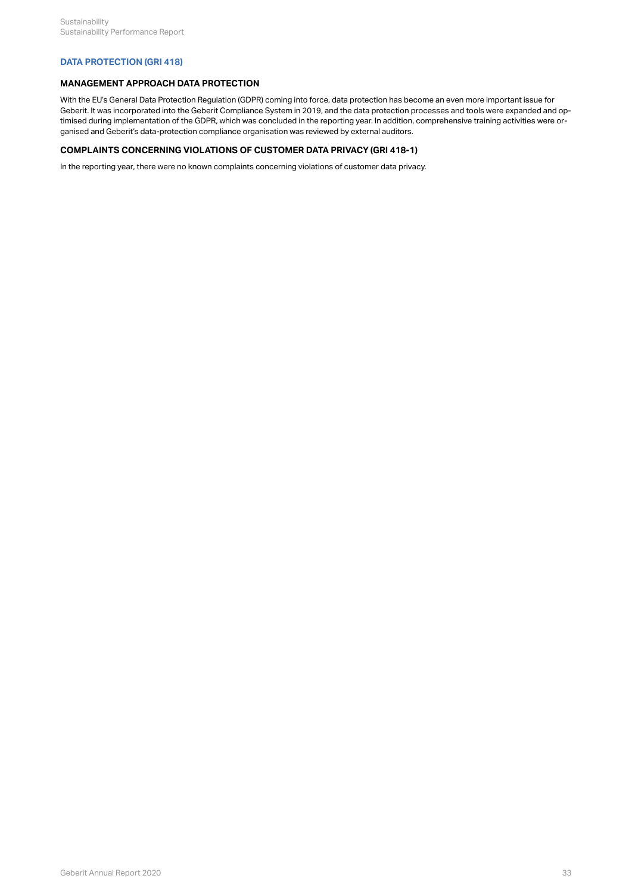# <span id="page-35-0"></span>**DATA PROTECTION (GRI 418)**

# **MANAGEMENT APPROACH DATA PROTECTION**

With the EU's General Data Protection Regulation (GDPR) coming into force, data protection has become an even more important issue for Geberit. It was incorporated into the Geberit Compliance System in 2019, and the data protection processes and tools were expanded and optimised during implementation of the GDPR, which was concluded in the reporting year. In addition, comprehensive training activities were organised and Geberit's data-protection compliance organisation was reviewed by external auditors.

# **COMPLAINTS CONCERNING VIOLATIONS OF CUSTOMER DATA PRIVACY (GRI 418-1)**

In the reporting year, there were no known complaints concerning violations of customer data privacy.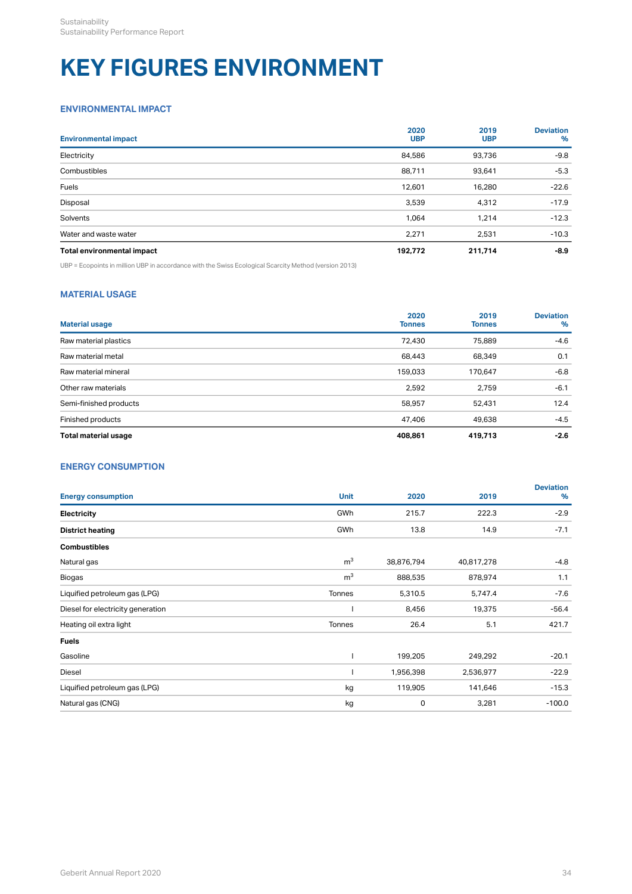# <span id="page-36-0"></span>**KEY FIGURES ENVIRONMENT**

# <span id="page-36-1"></span>**ENVIRONMENTAL IMPACT**

| <b>Environmental impact</b> | 2020<br><b>UBP</b> | 2019<br><b>UBP</b> | <b>Deviation</b><br>$\%$ |
|-----------------------------|--------------------|--------------------|--------------------------|
| Electricity                 | 84,586             | 93,736             | $-9.8$                   |
| Combustibles                | 88,711             | 93,641             | $-5.3$                   |
| Fuels                       | 12,601             | 16,280             | $-22.6$                  |
| Disposal                    | 3,539              | 4,312              | $-17.9$                  |
| Solvents                    | 1,064              | 1.214              | $-12.3$                  |
| Water and waste water       | 2,271              | 2,531              | $-10.3$                  |
| Total environmental impact  | 192,772            | 211,714            | $-8.9$                   |

UBP = Ecopoints in million UBP in accordance with the Swiss Ecological Scarcity Method (version 2013)

# <span id="page-36-2"></span>**MATERIAL USAGE**

| <b>Material usage</b>  | 2020<br><b>Tonnes</b> | 2019<br><b>Tonnes</b> | <b>Deviation</b><br>% |
|------------------------|-----------------------|-----------------------|-----------------------|
| Raw material plastics  | 72,430                | 75,889                | $-4.6$                |
| Raw material metal     | 68,443                | 68,349                | 0.1                   |
| Raw material mineral   | 159,033               | 170.647               | $-6.8$                |
| Other raw materials    | 2,592                 | 2.759                 | $-6.1$                |
| Semi-finished products | 58.957                | 52,431                | 12.4                  |
| Finished products      | 47,406                | 49,638                | $-4.5$                |
| Total material usage   | 408.861               | 419.713               | $-2.6$                |

# <span id="page-36-3"></span>**ENERGY CONSUMPTION**

| <b>Energy consumption</b>         | <b>Unit</b>    | 2020       | 2019       | <b>Deviation</b><br>% |
|-----------------------------------|----------------|------------|------------|-----------------------|
| Electricity                       | GWh            | 215.7      | 222.3      | $-2.9$                |
| <b>District heating</b>           | GWh            | 13.8       | 14.9       | $-7.1$                |
| <b>Combustibles</b>               |                |            |            |                       |
| Natural gas                       | m <sup>3</sup> | 38,876,794 | 40,817,278 | $-4.8$                |
| Biogas                            | m <sup>3</sup> | 888,535    | 878,974    | 1.1                   |
| Liquified petroleum gas (LPG)     | Tonnes         | 5,310.5    | 5,747.4    | $-7.6$                |
| Diesel for electricity generation |                | 8,456      | 19,375     | $-56.4$               |
| Heating oil extra light           | Tonnes         | 26.4       | 5.1        | 421.7                 |
| <b>Fuels</b>                      |                |            |            |                       |
| Gasoline                          |                | 199,205    | 249,292    | $-20.1$               |
| Diesel                            |                | 1,956,398  | 2,536,977  | $-22.9$               |
| Liquified petroleum gas (LPG)     | kg             | 119,905    | 141,646    | $-15.3$               |
| Natural gas (CNG)                 | kg             | 0          | 3,281      | $-100.0$              |
|                                   |                |            |            |                       |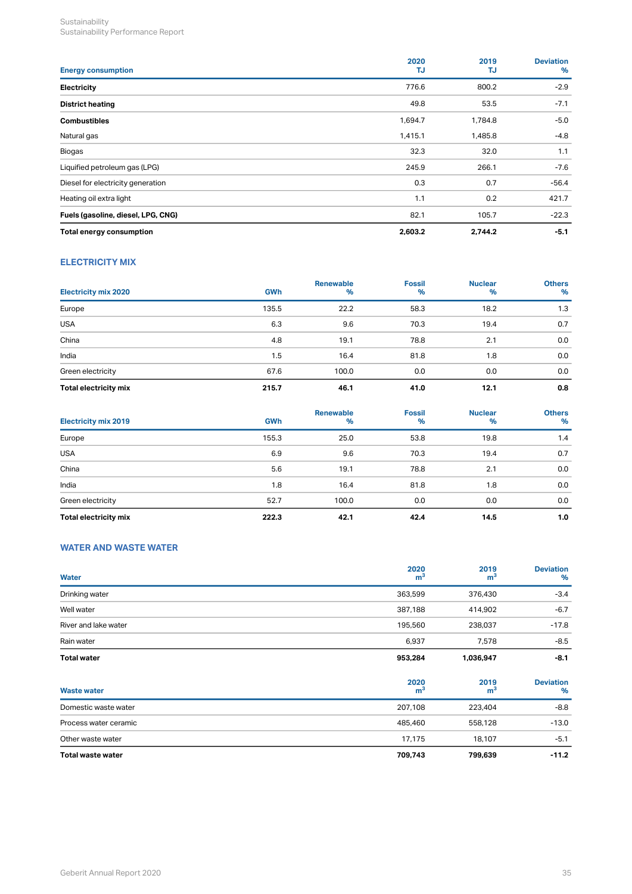| <b>Energy consumption</b>          | 2020<br>TJ | 2019<br>TJ | <b>Deviation</b><br>$\%$ |
|------------------------------------|------------|------------|--------------------------|
| Electricity                        | 776.6      | 800.2      | $-2.9$                   |
| <b>District heating</b>            | 49.8       | 53.5       | $-7.1$                   |
| <b>Combustibles</b>                | 1,694.7    | 1,784.8    | $-5.0$                   |
| Natural gas                        | 1,415.1    | 1,485.8    | $-4.8$                   |
| Biogas                             | 32.3       | 32.0       | 1.1                      |
| Liquified petroleum gas (LPG)      | 245.9      | 266.1      | $-7.6$                   |
| Diesel for electricity generation  | 0.3        | 0.7        | $-56.4$                  |
| Heating oil extra light            | 1.1        | 0.2        | 421.7                    |
| Fuels (gasoline, diesel, LPG, CNG) | 82.1       | 105.7      | $-22.3$                  |
| Total energy consumption           | 2,603.2    | 2,744.2    | $-5.1$                   |

# **ELECTRICITY MIX**

| <b>Electricity mix 2020</b> | <b>GWh</b> | <b>Renewable</b><br>$\frac{9}{6}$ | <b>Fossil</b><br>$\%$ | <b>Nuclear</b><br>% | <b>Others</b><br>$\%$ |
|-----------------------------|------------|-----------------------------------|-----------------------|---------------------|-----------------------|
| Europe                      | 135.5      | 22.2                              | 58.3                  | 18.2                | 1.3                   |
| <b>USA</b>                  | 6.3        | 9.6                               | 70.3                  | 19.4                | 0.7                   |
| China                       | 4.8        | 19.1                              | 78.8                  | 2.1                 | 0.0                   |
| India                       | 1.5        | 16.4                              | 81.8                  | 1.8                 | 0.0                   |
| Green electricity           | 67.6       | 100.0                             | 0.0                   | 0.0                 | 0.0                   |
| Total electricity mix       | 215.7      | 46.1                              | 41.0                  | 12.1                | 0.8                   |

| <b>Electricity mix 2019</b> | <b>GWh</b> | <b>Renewable</b><br>$\%$ | <b>Fossil</b><br>$\%$ | <b>Nuclear</b><br>% | <b>Others</b><br>$\%$ |
|-----------------------------|------------|--------------------------|-----------------------|---------------------|-----------------------|
| Europe                      | 155.3      | 25.0                     | 53.8                  | 19.8                | 1.4                   |
| <b>USA</b>                  | 6.9        | 9.6                      | 70.3                  | 19.4                | 0.7                   |
| China                       | 5.6        | 19.1                     | 78.8                  | 2.1                 | 0.0                   |
| India                       | 1.8        | 16.4                     | 81.8                  | 1.8                 | 0.0                   |
| Green electricity           | 52.7       | 100.0                    | 0.0                   | 0.0                 | 0.0                   |
| Total electricity mix       | 222.3      | 42.1                     | 42.4                  | 14.5                | 1.0                   |

# <span id="page-37-0"></span>**WATER AND WASTE WATER**

| Water                 | 2020<br>m <sup>3</sup> | 2019<br>m <sup>3</sup> | <b>Deviation</b><br>%    |
|-----------------------|------------------------|------------------------|--------------------------|
| Drinking water        | 363,599                | 376,430                | $-3.4$                   |
| Well water            | 387,188                | 414,902                | $-6.7$                   |
| River and lake water  | 195,560                | 238,037                | $-17.8$                  |
| Rain water            | 6,937                  | 7,578                  | $-8.5$                   |
| <b>Total water</b>    | 953,284                | 1,036,947              | $-8.1$                   |
| <b>Waste water</b>    | 2020<br>m <sup>3</sup> | 2019<br>m <sup>3</sup> | <b>Deviation</b><br>$\%$ |
| Domestic waste water  | 207,108                | 223,404                | $-8.8$                   |
| Process water ceramic | 485,460                | 558,128                | $-13.0$                  |
| Other waste water     | 17,175                 | 18,107                 | $-5.1$                   |
| Total waste water     | 709,743                | 799,639                | $-11.2$                  |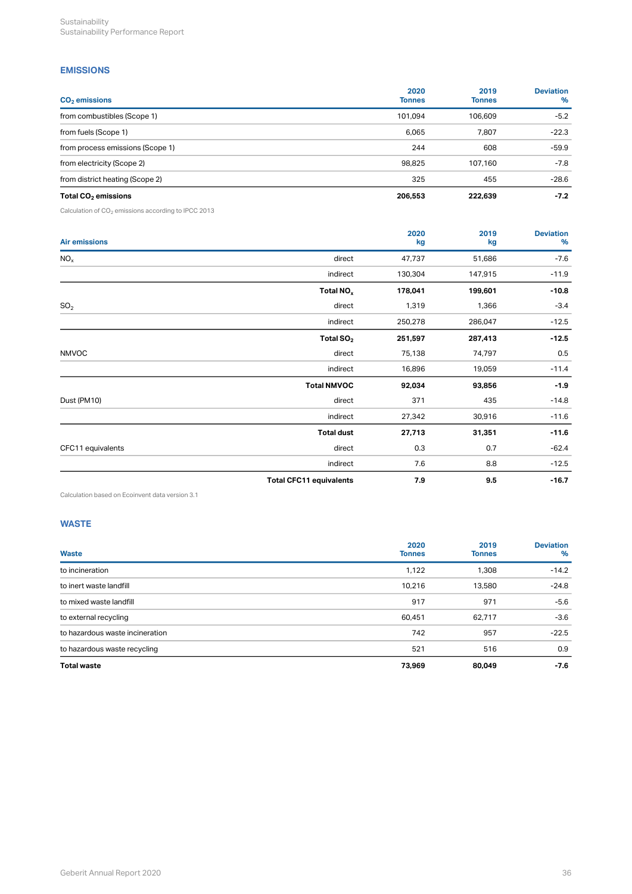# <span id="page-38-0"></span>**EMISSIONS**

| $CO2$ emissions                  | 2020<br><b>Tonnes</b> | 2019<br><b>Tonnes</b> | <b>Deviation</b><br>% |
|----------------------------------|-----------------------|-----------------------|-----------------------|
| from combustibles (Scope 1)      | 101.094               | 106.609               | $-5.2$                |
| from fuels (Scope 1)             | 6.065                 | 7,807                 | $-22.3$               |
| from process emissions (Scope 1) | 244                   | 608                   | $-59.9$               |
| from electricity (Scope 2)       | 98,825                | 107.160               | $-7.8$                |
| from district heating (Scope 2)  | 325                   | 455                   | $-28.6$               |
| Total $CO2$ emissions            | 206,553               | 222,639               | $-7.2$                |

Calculation of  $CO<sub>2</sub>$  emissions according to IPCC 2013

| <b>Air emissions</b> |                                | 2020<br>kg | 2019<br>kg | <b>Deviation</b><br>% |
|----------------------|--------------------------------|------------|------------|-----------------------|
| NO <sub>x</sub>      | direct                         | 47,737     | 51,686     | $-7.6$                |
|                      | indirect                       | 130,304    | 147,915    | $-11.9$               |
|                      | Total NO <sub>x</sub>          | 178,041    | 199,601    | $-10.8$               |
| SO <sub>2</sub>      | direct                         | 1,319      | 1,366      | $-3.4$                |
|                      | indirect                       | 250,278    | 286,047    | $-12.5$               |
|                      | Total $SO2$                    | 251,597    | 287,413    | $-12.5$               |
| <b>NMVOC</b>         | direct                         | 75,138     | 74,797     | 0.5                   |
|                      | indirect                       | 16,896     | 19,059     | $-11.4$               |
|                      | <b>Total NMVOC</b>             | 92,034     | 93,856     | $-1.9$                |
| Dust (PM10)          | direct                         | 371        | 435        | $-14.8$               |
|                      | indirect                       | 27,342     | 30,916     | $-11.6$               |
|                      | <b>Total dust</b>              | 27,713     | 31,351     | $-11.6$               |
| CFC11 equivalents    | direct                         | 0.3        | 0.7        | $-62.4$               |
|                      | indirect                       | 7.6        | 8.8        | $-12.5$               |
|                      | <b>Total CFC11 equivalents</b> | 7.9        | 9.5        | $-16.7$               |

Calculation based on Ecoinvent data version 3.1

# <span id="page-38-1"></span>**WASTE**

| Waste                           | 2020<br><b>Tonnes</b> | 2019<br><b>Tonnes</b> | <b>Deviation</b><br>% |
|---------------------------------|-----------------------|-----------------------|-----------------------|
| to incineration                 | 1,122                 | 1,308                 | $-14.2$               |
| to inert waste landfill         | 10,216                | 13,580                | $-24.8$               |
| to mixed waste landfill         | 917                   | 971                   | $-5.6$                |
| to external recycling           | 60,451                | 62,717                | $-3.6$                |
| to hazardous waste incineration | 742                   | 957                   | $-22.5$               |
| to hazardous waste recycling    | 521                   | 516                   | 0.9                   |
| <b>Total waste</b>              | 73,969                | 80,049                | $-7.6$                |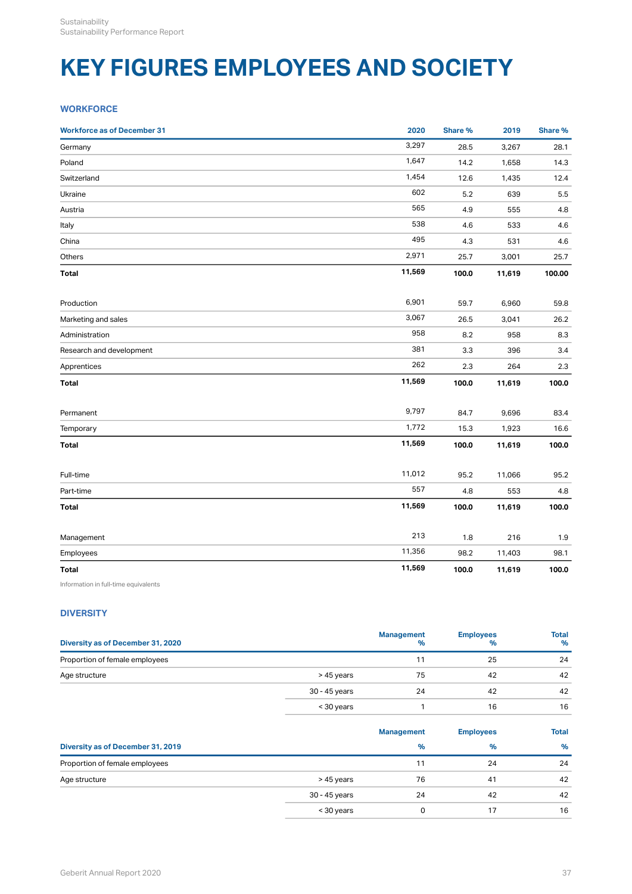# <span id="page-39-0"></span>**KEY FIGURES EMPLOYEES AND SOCIETY**

# <span id="page-39-1"></span>**WORKFORCE**

| <b>Workforce as of December 31</b> | 2020   | <b>Share %</b> | 2019   | Share % |
|------------------------------------|--------|----------------|--------|---------|
| Germany                            | 3,297  | 28.5           | 3,267  | 28.1    |
| Poland                             | 1,647  | 14.2           | 1,658  | 14.3    |
| Switzerland                        | 1,454  | 12.6           | 1,435  | 12.4    |
| Ukraine                            | 602    | 5.2            | 639    | 5.5     |
| Austria                            | 565    | 4.9            | 555    | 4.8     |
| Italy                              | 538    | 4.6            | 533    | 4.6     |
| China                              | 495    | 4.3            | 531    | 4.6     |
| Others                             | 2,971  | 25.7           | 3,001  | 25.7    |
| Total                              | 11,569 | 100.0          | 11,619 | 100.00  |
| Production                         | 6,901  | 59.7           | 6,960  | 59.8    |
| Marketing and sales                | 3,067  | 26.5           | 3,041  | 26.2    |
| Administration                     | 958    | 8.2            | 958    | 8.3     |
| Research and development           | 381    | 3.3            | 396    | 3.4     |
| Apprentices                        | 262    | 2.3            | 264    | 2.3     |
| <b>Total</b>                       | 11,569 | 100.0          | 11,619 | 100.0   |
| Permanent                          | 9,797  | 84.7           | 9,696  | 83.4    |
| Temporary                          | 1,772  | 15.3           | 1,923  | 16.6    |
| <b>Total</b>                       | 11,569 | 100.0          | 11,619 | 100.0   |
| Full-time                          | 11,012 | 95.2           | 11,066 | 95.2    |
| Part-time                          | 557    | 4.8            | 553    | 4.8     |
| <b>Total</b>                       | 11,569 | 100.0          | 11,619 | 100.0   |
| Management                         | 213    | 1.8            | 216    | 1.9     |
| Employees                          | 11,356 | 98.2           | 11,403 | 98.1    |
| <b>Total</b>                       | 11,569 | 100.0          | 11,619 | 100.0   |
|                                    |        |                |        |         |

Information in full-time equivalents

# <span id="page-39-2"></span>**DIVERSITY**

| Diversity as of December 31, 2020 |               | <b>Management</b><br>% | <b>Employees</b><br>% | <b>Total</b><br>$\%$ |
|-----------------------------------|---------------|------------------------|-----------------------|----------------------|
| Proportion of female employees    |               |                        | 25                    | 24                   |
| Age structure                     | > 45 years    | 75                     | 42                    | 42                   |
|                                   | 30 - 45 years | 24                     | 42                    | 42                   |
|                                   | < 30 years    |                        | 16                    | 16                   |

|                                   |               | <b>Management</b> | <b>Employees</b> | <b>Total</b> |
|-----------------------------------|---------------|-------------------|------------------|--------------|
| Diversity as of December 31, 2019 |               | $\%$              | $\%$             | $\%$         |
| Proportion of female employees    |               | 11                | 24               | 24           |
| Age structure                     | > 45 years    | 76                | 41               | 42           |
|                                   | 30 - 45 years | 24                | 42               | 42           |
|                                   | < 30 years    | 0                 | 17               | 16           |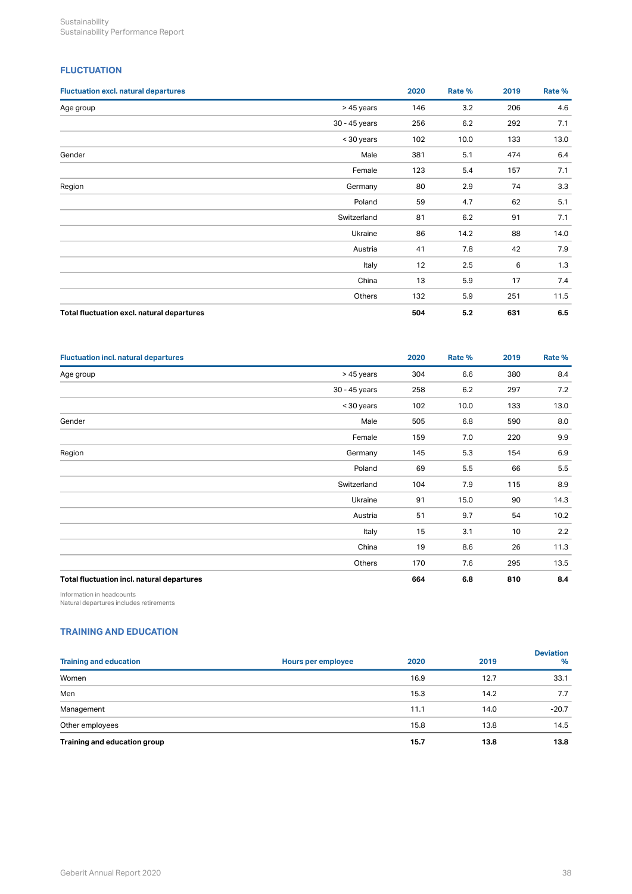# <span id="page-40-0"></span>**FLUCTUATION**

| <b>Fluctuation excl. natural departures</b> |               | 2020 | Rate % | 2019 | Rate % |
|---------------------------------------------|---------------|------|--------|------|--------|
| Age group                                   | > 45 years    | 146  | 3.2    | 206  | 4.6    |
|                                             | 30 - 45 years | 256  | 6.2    | 292  | 7.1    |
|                                             | < 30 years    | 102  | 10.0   | 133  | 13.0   |
| Gender                                      | Male          | 381  | 5.1    | 474  | 6.4    |
|                                             | Female        | 123  | 5.4    | 157  | 7.1    |
| Region                                      | Germany       | 80   | 2.9    | 74   | 3.3    |
|                                             | Poland        | 59   | 4.7    | 62   | 5.1    |
|                                             | Switzerland   | 81   | 6.2    | 91   | 7.1    |
|                                             | Ukraine       | 86   | 14.2   | 88   | 14.0   |
|                                             | Austria       | 41   | 7.8    | 42   | 7.9    |
|                                             | Italy         | 12   | 2.5    | 6    | 1.3    |
|                                             | China         | 13   | 5.9    | 17   | 7.4    |
|                                             | Others        | 132  | 5.9    | 251  | 11.5   |
| Total fluctuation excl. natural departures  |               | 504  | 5.2    | 631  | 6.5    |

| <b>Fluctuation incl. natural departures</b> |               | 2020 | Rate % | 2019 | Rate % |
|---------------------------------------------|---------------|------|--------|------|--------|
| Age group                                   | > 45 years    | 304  | 6.6    | 380  | 8.4    |
|                                             | 30 - 45 years | 258  | 6.2    | 297  | 7.2    |
|                                             | < 30 years    | 102  | 10.0   | 133  | 13.0   |
| Gender                                      | Male          | 505  | 6.8    | 590  | 8.0    |
|                                             | Female        | 159  | 7.0    | 220  | 9.9    |
| Region                                      | Germany       | 145  | 5.3    | 154  | 6.9    |
|                                             | Poland        | 69   | 5.5    | 66   | 5.5    |
|                                             | Switzerland   | 104  | 7.9    | 115  | 8.9    |
|                                             | Ukraine       | 91   | 15.0   | 90   | 14.3   |
|                                             | Austria       | 51   | 9.7    | 54   | 10.2   |
|                                             | Italy         | 15   | 3.1    | 10   | 2.2    |
|                                             | China         | 19   | 8.6    | 26   | 11.3   |
|                                             | Others        | 170  | 7.6    | 295  | 13.5   |
| Total fluctuation incl. natural departures  |               | 664  | 6.8    | 810  | 8.4    |

Information in headcounts

Natural departures includes retirements

# <span id="page-40-1"></span>**TRAINING AND EDUCATION**

| <b>Training and education</b> | Hours per employee | 2020 | 2019 | <b>Deviation</b><br>$\%$ |
|-------------------------------|--------------------|------|------|--------------------------|
| Women                         |                    | 16.9 | 12.7 | 33.1                     |
| Men                           |                    | 15.3 | 14.2 | 7.7                      |
| Management                    |                    | 11.1 | 14.0 | $-20.7$                  |
| Other employees               |                    | 15.8 | 13.8 | 14.5                     |
| Training and education group  |                    | 15.7 | 13.8 | 13.8                     |